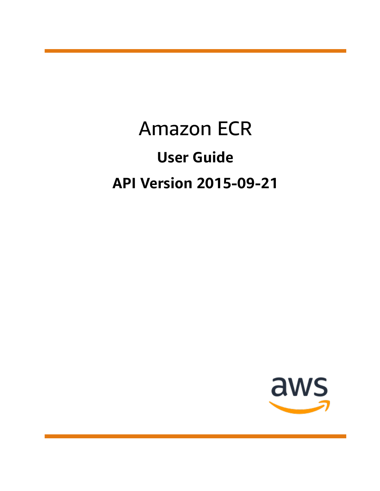# Amazon ECR **User Guide API Version 2015-09-21**

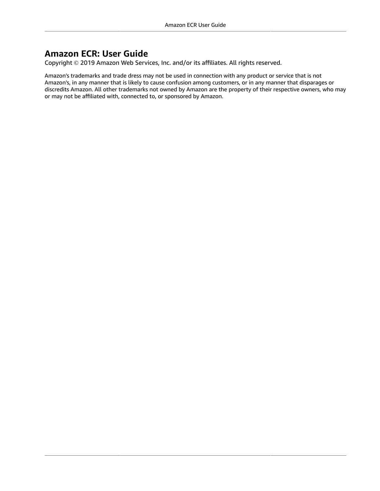### **Amazon ECR: User Guide**

Copyright © 2019 Amazon Web Services, Inc. and/or its affiliates. All rights reserved.

Amazon's trademarks and trade dress may not be used in connection with any product or service that is not Amazon's, in any manner that is likely to cause confusion among customers, or in any manner that disparages or discredits Amazon. All other trademarks not owned by Amazon are the property of their respective owners, who may or may not be affiliated with, connected to, or sponsored by Amazon.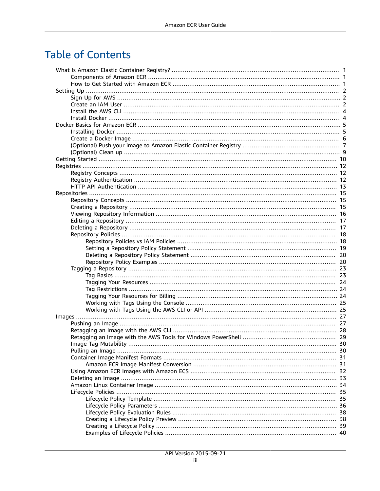# **Table of Contents**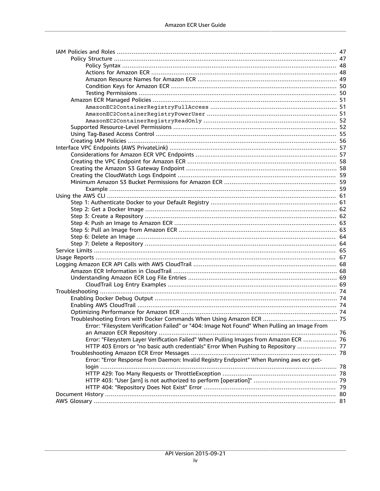| Error: "Filesystem Verification Failed" or "404: Image Not Found" When Pulling an Image From |  |
|----------------------------------------------------------------------------------------------|--|
|                                                                                              |  |
| Error: "Filesystem Layer Verification Failed" When Pulling Images from Amazon ECR  76        |  |
| HTTP 403 Errors or "no basic auth credentials" Error When Pushing to Repository  77          |  |
|                                                                                              |  |
| Error: "Error Response from Daemon: Invalid Registry Endpoint" When Running aws ecr get-     |  |
|                                                                                              |  |
|                                                                                              |  |
|                                                                                              |  |
|                                                                                              |  |
|                                                                                              |  |
|                                                                                              |  |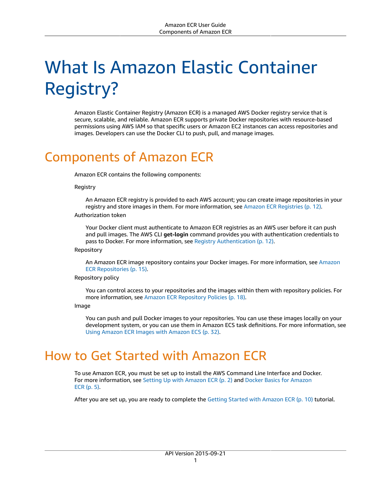# <span id="page-4-0"></span>What Is Amazon Elastic Container Registry?

Amazon Elastic Container Registry (Amazon ECR) is a managed AWS Docker registry service that is secure, scalable, and reliable. Amazon ECR supports private Docker repositories with resource-based permissions using AWS IAM so that specific users or Amazon EC2 instances can access repositories and images. Developers can use the Docker CLI to push, pull, and manage images.

# <span id="page-4-1"></span>Components of Amazon ECR

Amazon ECR contains the following components:

Registry

An Amazon ECR registry is provided to each AWS account; you can create image repositories in your registry and store images in them. For more information, see Amazon ECR [Registries \(p. 12\)](#page-15-0).

### Authorization token

Your Docker client must authenticate to Amazon ECR registries as an AWS user before it can push and pull images. The AWS CLI **get-login** command provides you with authentication credentials to pass to Docker. For more information, see Registry [Authentication \(p. 12\).](#page-15-2)

Repository

An Amazon ECR image repository contains your Docker images. For more information, see [Amazon](#page-18-0) ECR [Repositories \(p. 15\).](#page-18-0)

#### Repository policy

You can control access to your repositories and the images within them with repository policies. For more information, see Amazon ECR [Repository](#page-21-0) Policie[s \(p. 18\)](#page-21-0).

Image

You can push and pull Docker images to your repositories. You can use these images locally on your development system, or you can use them in Amazon ECS task definitions. For more information, see Using Amazon ECR Images with [Amazon](#page-35-0) EC[S \(p. 32\)](#page-35-0).

# <span id="page-4-2"></span>How to Get Started with Amazon ECR

To use Amazon ECR, you must be set up to install the AWS Command Line Interface and Docker. For more information, see Setting Up with [Amazon](#page-5-0) ECR [\(p. 2\)](#page-5-0) and Docker Basics for [Amazon](#page-8-0) [ECR \(p. 5\).](#page-8-0)

After you are set up, you are ready to complete the Getting Started with [Amazon](#page-13-0) EC[R \(p. 10\)](#page-13-0) tutorial.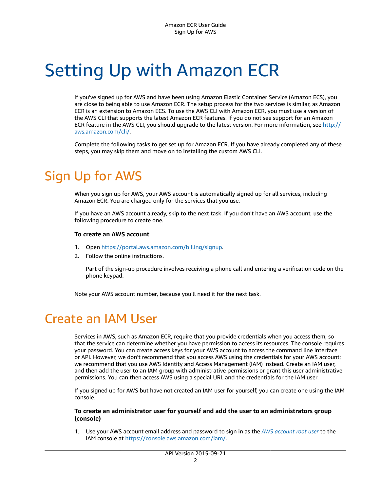# <span id="page-5-0"></span>Setting Up with Amazon ECR

If you've signed up for AWS and have been using Amazon Elastic Container Service (Amazon ECS), you are close to being able to use Amazon ECR. The setup process for the two services is similar, as Amazon ECR is an extension to Amazon ECS. To use the AWS CLI with Amazon ECR, you must use a version of the AWS CLI that supports the latest Amazon ECR features. If you do not see support for an Amazon ECR feature in the AWS CLI, you should upgrade to the latest version. For more information, see [http://](http://aws.amazon.com/cli/) [aws.amazon.com/cli/.](http://aws.amazon.com/cli/)

Complete the following tasks to get set up for Amazon ECR. If you have already completed any of these steps, you may skip them and move on to installing the custom AWS CLI.

# <span id="page-5-1"></span>Sign Up for AWS

When you sign up for AWS, your AWS account is automatically signed up for all services, including Amazon ECR. You are charged only for the services that you use.

If you have an AWS account already, skip to the next task. If you don't have an AWS account, use the following procedure to create one.

### **To create an AWS account**

- 1. Open [https://portal.aws.amazon.com/billing/signup.](https://portal.aws.amazon.com/billing/signup)
- 2. Follow the online instructions.

Part of the sign-up procedure involves receiving a phone call and entering a verification code on the phone keypad.

Note your AWS account number, because you'll need it for the next task.

## <span id="page-5-2"></span>Create an IAM User

Services in AWS, such as Amazon ECR, require that you provide credentials when you access them, so that the service can determine whether you have permission to access its resources. The console requires your password. You can create access keys for your AWS account to access the command line interface or API. However, we don't recommend that you access AWS using the credentials for your AWS account; we recommend that you use AWS Identity and Access Management (IAM) instead. Create an IAM user, and then add the user to an IAM group with administrative permissions or grant this user administrative permissions. You can then access AWS using a special URL and the credentials for the IAM user.

If you signed up for AWS but have not created an IAM user for yourself, you can create one using the IAM console.

### **To create an administrator user for yourself and add the user to an administrators group (console)**

1. Use your AWS account email address and password to sign in as the *AWS [account](https://docs.aws.amazon.com/IAM/latest/UserGuide/id_root-user.html) root user* to the IAM console at [https://console.aws.amazon.com/iam/.](https://console.aws.amazon.com/iam/)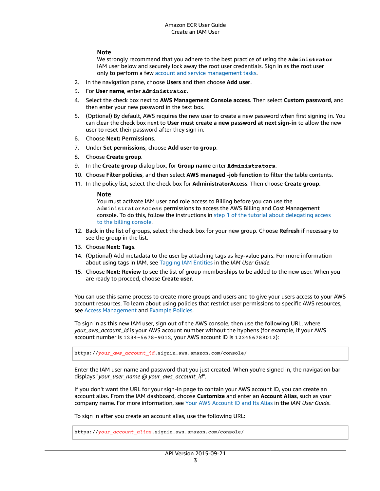### **Note**

We strongly recommend that you adhere to the best practice of using the **Administrator** IAM user below and securely lock away the root user credentials. Sign in as the root user only to perform a few account and service [management](https://docs.aws.amazon.com/general/latest/gr/aws_tasks-that-require-root.html) tasks.

- 2. In the navigation pane, choose **Users** and then choose **Add user**.
- 3. For **User name**, enter **Administrator**.
- 4. Select the check box next to **AWS Management Console access**. Then select **Custom password**, and then enter your new password in the text box.
- 5. (Optional) By default, AWS requires the new user to create a new password when first signing in. You can clear the check box next to **User must create a new password at next sign-in** to allow the new user to reset their password after they sign in.
- 6. Choose **Next: Permissions**.
- 7. Under **Set permissions**, choose **Add user to group**.
- 8. Choose **Create group**.
- 9. In the **Create group** dialog box, for **Group name** enter **Administrators**.
- 10. Choose **Filter policies**, and then select **AWS managed -job function** to filter the table contents.
- 11. In the policy list, select the check box for **AdministratorAccess**. Then choose **Create group**.

### **Note**

You must activate IAM user and role access to Billing before you can use the AdministratorAccess permissions to access the AWS Billing and Cost Management console. To do this, follow the instructions in step 1 of the tutorial about [delegating](https://docs.aws.amazon.com/IAM/latest/UserGuide/tutorial_billing.html) access to the billing [console](https://docs.aws.amazon.com/IAM/latest/UserGuide/tutorial_billing.html).

- 12. Back in the list of groups, select the check box for your new group. Choose **Refresh** if necessary to see the group in the list.
- 13. Choose **Next: Tags**.
- 14. (Optional) Add metadata to the user by attaching tags as key-value pairs. For more information about using tags in IAM, see [Tagging](https://docs.aws.amazon.com/IAM/latest/UserGuide/id_tags.html) IAM Entities in the *IAM User Guide*.
- 15. Choose **Next: Review** to see the list of group memberships to be added to the new user. When you are ready to proceed, choose **Create user**.

You can use this same process to create more groups and users and to give your users access to your AWS account resources. To learn about using policies that restrict user permissions to specific AWS resources, see Access [Management](https://docs.aws.amazon.com/IAM/latest/UserGuide/access.html) and [Example](https://docs.aws.amazon.com/IAM/latest/UserGuide/access_policies_examples.html) Policies.

To sign in as this new IAM user, sign out of the AWS console, then use the following URL, where *your\_aws\_account\_id* is your AWS account number without the hyphens (for example, if your AWS account number is 1234-5678-9012, your AWS account ID is 123456789012):

https://*your\_aws\_account\_id*.signin.aws.amazon.com/console/

Enter the IAM user name and password that you just created. When you're signed in, the navigation bar displays "*your\_user\_name* @ *your\_aws\_account\_id*".

If you don't want the URL for your sign-in page to contain your AWS account ID, you can create an account alias. From the IAM dashboard, choose **Customize** and enter an **Account Alias**, such as your company name. For more information, see Your AWS [Account](https://docs.aws.amazon.com/IAM/latest/UserGuide/console_account-alias.html) ID and Its Alias in the *IAM User Guide*.

To sign in after you create an account alias, use the following URL:

https://*your\_account\_alias*.signin.aws.amazon.com/console/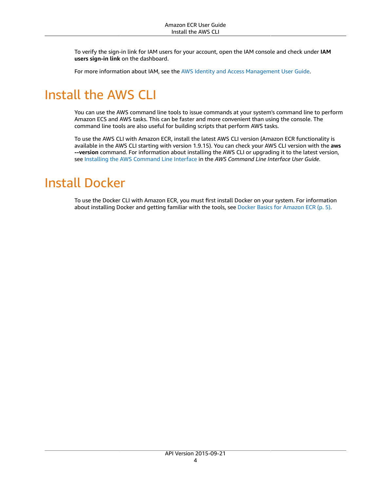To verify the sign-in link for IAM users for your account, open the IAM console and check under **IAM users sign-in link** on the dashboard.

For more information about IAM, see the AWS Identity and Access [Management](https://docs.aws.amazon.com/IAM/latest/UserGuide/) User Guide.

# <span id="page-7-0"></span>Install the AWS CLI

You can use the AWS command line tools to issue commands at your system's command line to perform Amazon ECS and AWS tasks. This can be faster and more convenient than using the console. The command line tools are also useful for building scripts that perform AWS tasks.

To use the AWS CLI with Amazon ECR, install the latest AWS CLI version (Amazon ECR functionality is available in the AWS CLI starting with version 1.9.15). You can check your AWS CLI version with the **aws --version** command. For information about installing the AWS CLI or upgrading it to the latest version, see Installing the AWS [Command](https://docs.aws.amazon.com/cli/latest/userguide/installing.html) Line Interface in the *AWS Command Line Interface User Guide*.

# <span id="page-7-1"></span>Install Docker

To use the Docker CLI with Amazon ECR, you must first install Docker on your system. For information about installing Docker and getting familiar with the tools, see Docker Basics for [Amazon](#page-8-0) ECR [\(p. 5\).](#page-8-0)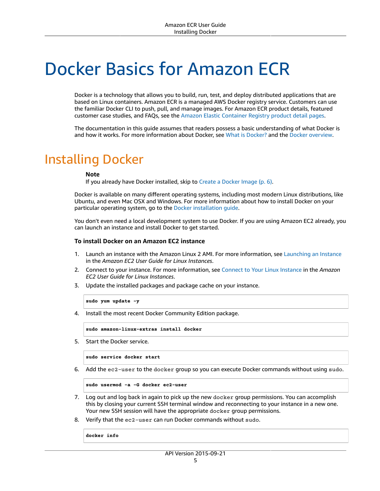# <span id="page-8-0"></span>Docker Basics for Amazon ECR

Docker is a technology that allows you to build, run, test, and deploy distributed applications that are based on Linux containers. Amazon ECR is a managed AWS Docker registry service. Customers can use the familiar Docker CLI to push, pull, and manage images. For Amazon ECR product details, featured customer case studies, and FAQs, see the Amazon Elastic [Container](http://aws.amazon.com/ecr) Registry product detail pages.

The documentation in this guide assumes that readers possess a basic understanding of what Docker is and how it works. For more information about Docker, see What is [Docker?](http://aws.amazon.com/docker/) and the Docker [overview.](https://docs.docker.com/engine/docker-overview/)

## <span id="page-8-1"></span>Installing Docker

#### **Note**

If you already have Docker installed, skip to Create a [Docker](#page-9-0) Image [\(p. 6\)](#page-9-0).

Docker is available on many different operating systems, including most modern Linux distributions, like Ubuntu, and even Mac OSX and Windows. For more information about how to install Docker on your particular operating system, go to the Docker [installation](https://docs.docker.com/engine/installation/#installation) guide.

You don't even need a local development system to use Docker. If you are using Amazon EC2 already, you can launch an instance and install Docker to get started.

### **To install Docker on an Amazon EC2 instance**

- 1. Launch an instance with the Amazon Linux 2 AMI. For more information, see [Launching](https://docs.aws.amazon.com/AWSEC2/latest/UserGuide/launching-instance.html) an Instance in the *Amazon EC2 User Guide for Linux Instances*.
- 2. Connect to your instance. For more information, see [Connect](https://docs.aws.amazon.com/AWSEC2/latest/UserGuide/AccessingInstances.html) to Your Linux Instance in the *Amazon EC2 User Guide for Linux Instances*.
- 3. Update the installed packages and package cache on your instance.

**sudo yum update -y**

4. Install the most recent Docker Community Edition package.

**sudo amazon-linux-extras install docker**

5. Start the Docker service.

**sudo service docker start**

6. Add the ec2-user to the docker group so you can execute Docker commands without using sudo.

```
sudo usermod -a -G docker ec2-user
```
- 7. Log out and log back in again to pick up the new docker group permissions. You can accomplish this by closing your current SSH terminal window and reconnecting to your instance in a new one. Your new SSH session will have the appropriate docker group permissions.
- 8. Verify that the ec2-user can run Docker commands without sudo.

**docker info**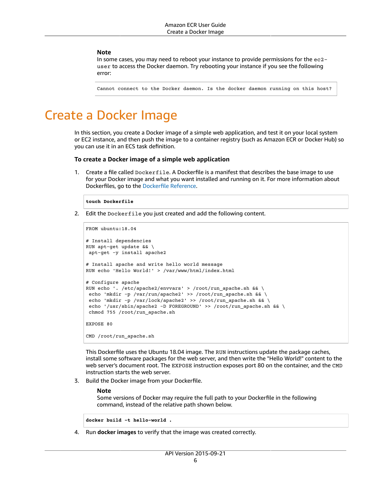### **Note**

In some cases, you may need to reboot your instance to provide permissions for the ec2 user to access the Docker daemon. Try rebooting your instance if you see the following error:

Cannot connect to the Docker daemon. Is the docker daemon running on this host?

# <span id="page-9-0"></span>Create a Docker Image

In this section, you create a Docker image of a simple web application, and test it on your local system or EC2 instance, and then push the image to a container registry (such as Amazon ECR or Docker Hub) so you can use it in an ECS task definition.

### **To create a Docker image of a simple web application**

1. Create a file called Dockerfile. A Dockerfile is a manifest that describes the base image to use for your Docker image and what you want installed and running on it. For more information about Dockerfiles, go to the [Dockerfile](https://docs.docker.com/engine/reference/builder/) Reference.

#### **touch Dockerfile**

2. Edit the Dockerfile you just created and add the following content.

```
FROM ubuntu:18.04
# Install dependencies
RUN apt-get update && \
 apt-get -y install apache2
# Install apache and write hello world message
RUN echo 'Hello World!' > /var/www/html/index.html
# Configure apache
RUN echo '. /etc/apache2/envvars' > /root/run_apache.sh && \
 echo 'mkdir -p /var/run/apache2' >> /root/run_apache.sh && \
echo 'mkdir -p /var/lock/apache2' >> /root/run_apache.sh && \
echo '/usr/sbin/apache2 -D FOREGROUND' >> /root/run apache.sh && \
 chmod 755 /root/run_apache.sh
EXPOSE 80
CMD /root/run_apache.sh
```
This Dockerfile uses the Ubuntu 18.04 image. The RUN instructions update the package caches, install some software packages for the web server, and then write the "Hello World!" content to the web server's document root. The EXPOSE instruction exposes port 80 on the container, and the CMD instruction starts the web server.

3. Build the Docker image from your Dockerfile.

#### **Note**

Some versions of Docker may require the full path to your Dockerfile in the following command, instead of the relative path shown below.

**docker build -t hello-world .**

4. Run **docker images** to verify that the image was created correctly.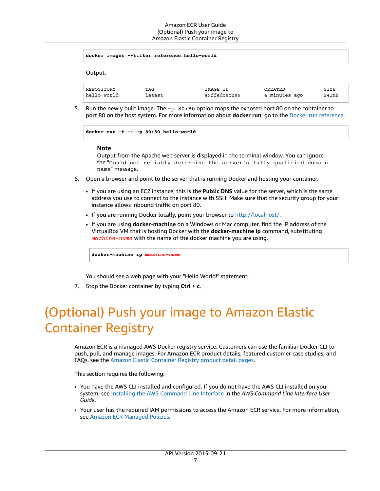```
docker images --filter reference=hello-world
```
Output:

| REPOSITORY  | TAG    | IMAGE ID     | CREATED       | SIZE  |
|-------------|--------|--------------|---------------|-------|
| hello-world | latest | e9ffedc8c286 | 4 minutes ago | 241MB |

5. Run the newly built image. The -p 80:80 option maps the exposed port 80 on the container to port 80 on the host system. For more information about **docker run**, go to the Docker run [reference](https://docs.docker.com/engine/reference/run/).

```
docker run -t -i -p 80:80 hello-world
```
### **Note**

Output from the Apache web server is displayed in the terminal window. You can ignore the "Could not reliably determine the server's fully qualified domain name" message.

- 6. Open a browser and point to the server that is running Docker and hosting your container.
	- If you are using an EC2 instance, this is the **Public DNS** value for the server, which is the same address you use to connect to the instance with SSH. Make sure that the security group for your instance allows inbound traffic on port 80.
	- If you are running Docker locally, point your browser to <http://localhost/>.
	- If you are using **docker-machine** on a Windows or Mac computer, find the IP address of the VirtualBox VM that is hosting Docker with the **docker-machine ip** command, substituting *machine-name* with the name of the docker machine you are using.

**docker-machine ip** *machine-name*

You should see a web page with your "Hello World!" statement.

7. Stop the Docker container by typing **Ctrl + c**.

# <span id="page-10-0"></span>(Optional) Push your image to Amazon Elastic Container Registry

Amazon ECR is a managed AWS Docker registry service. Customers can use the familiar Docker CLI to push, pull, and manage images. For Amazon ECR product details, featured customer case studies, and FAQs, see the Amazon Elastic [Container](http://aws.amazon.com/ecr) Registry product detail pages.

This section requires the following:

- You have the AWS CLI installed and configured. If you do not have the AWS CLI installed on your system, see Installing the AWS [Command](https://docs.aws.amazon.com/cli/latest/userguide/installing.html) Line Interface in the *AWS Command Line Interface User Guide*.
- Your user has the required IAM permissions to access the Amazon ECR service. For more information, see Amazon ECR [Managed](https://docs.aws.amazon.com/AmazonECR/latest/userguide/ecr_managed_policies.html) Policies.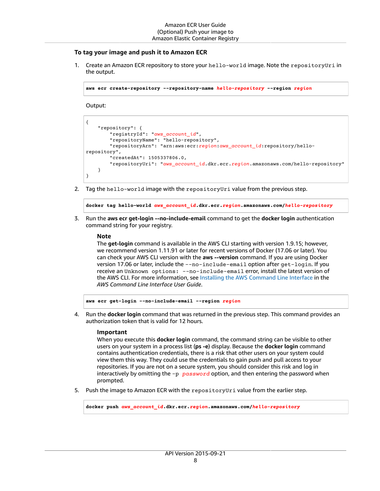### **To tag your image and push it to Amazon ECR**

1. Create an Amazon ECR repository to store your hello-world image. Note the repositoryUri in the output.

**aws ecr create-repository --repository-name** *hello-repository* **--region** *region*

Output:

```
{
     "repository": {
         "registryId": "aws_account_id",
         "repositoryName": "hello-repository",
         "repositoryArn": "arn:aws:ecr:region:aws_account_id:repository/hello-
repository",
         "createdAt": 1505337806.0,
         "repositoryUri": "aws_account_id.dkr.ecr.region.amazonaws.com/hello-repository"
    }
}
```
2. Tag the hello-world image with the repositoryUri value from the previous step.

**docker tag hello-world** *aws\_account\_id***.dkr.ecr.***region***.amazonaws.com/***hello-repository*

3. Run the **aws ecr get-login --no-include-email** command to get the **docker login** authentication command string for your registry.

#### **Note**

The **get-login** command is available in the AWS CLI starting with version 1.9.15; however, we recommend version 1.11.91 or later for recent versions of Docker (17.06 or later). You can check your AWS CLI version with the **aws --version** command. If you are using Docker version 17.06 or later, include the --no-include-email option after get-login. If you receive an Unknown options: --no-include-email error, install the latest version of the AWS CLI. For more information, see Installing the AWS [Command](https://docs.aws.amazon.com/cli/latest/userguide/installing.html) Line Interface in the *AWS Command Line Interface User Guide*.

**aws ecr get-login --no-include-email --region** *region*

4. Run the **docker login** command that was returned in the previous step. This command provides an authorization token that is valid for 12 hours.

### **Important**

When you execute this **docker login** command, the command string can be visible to other users on your system in a process list (**ps -e**) display. Because the **docker login** command contains authentication credentials, there is a risk that other users on your system could view them this way. They could use the credentials to gain push and pull access to your repositories. If you are not on a secure system, you should consider this risk and log in interactively by omitting the -p *password* option, and then entering the password when prompted.

5. Push the image to Amazon ECR with the repositoryUri value from the earlier step.

**docker push** *aws\_account\_id***.dkr.ecr.***region***.amazonaws.com/***hello-repository*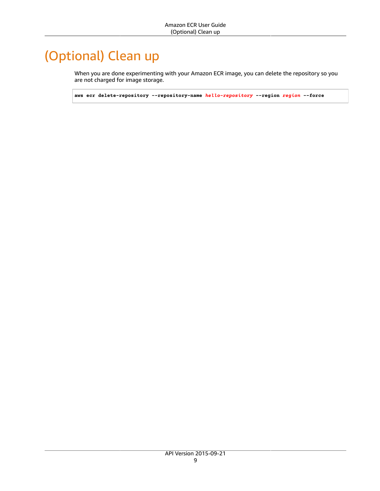# <span id="page-12-0"></span>(Optional) Clean up

When you are done experimenting with your Amazon ECR image, you can delete the repository so you are not charged for image storage.

**aws ecr delete-repository --repository-name** *hello-repository* **--region** *region* **--force**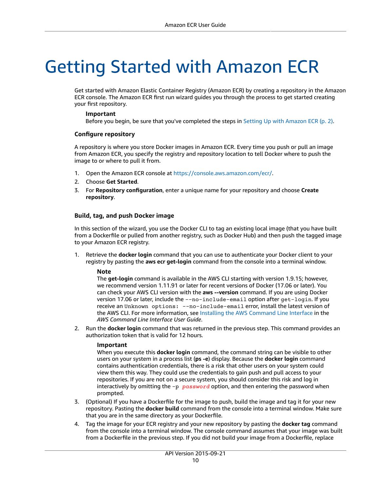# <span id="page-13-0"></span>Getting Started with Amazon ECR

Get started with Amazon Elastic Container Registry (Amazon ECR) by creating a repository in the Amazon ECR console. The Amazon ECR first run wizard guides you through the process to get started creating your first repository.

### **Important**

Before you begin, be sure that you've completed the steps in Setting Up with [Amazon](#page-5-0) ECR [\(p. 2\)](#page-5-0).

### **Configure repository**

A repository is where you store Docker images in Amazon ECR. Every time you push or pull an image from Amazon ECR, you specify the registry and repository location to tell Docker where to push the image to or where to pull it from.

- 1. Open the Amazon ECR console at <https://console.aws.amazon.com/ecr/>.
- 2. Choose **Get Started**.
- 3. For **Repository configuration**, enter a unique name for your repository and choose **Create repository**.

### **Build, tag, and push Docker image**

In this section of the wizard, you use the Docker CLI to tag an existing local image (that you have built from a Dockerfile or pulled from another registry, such as Docker Hub) and then push the tagged image to your Amazon ECR registry.

1. Retrieve the **docker login** command that you can use to authenticate your Docker client to your registry by pasting the **aws ecr get-login** command from the console into a terminal window.

### **Note**

The **get-login** command is available in the AWS CLI starting with version 1.9.15; however, we recommend version 1.11.91 or later for recent versions of Docker (17.06 or later). You can check your AWS CLI version with the **aws --version** command. If you are using Docker version 17.06 or later, include the --no-include-email option after get-login. If you receive an Unknown options: --no-include-email error, install the latest version of the AWS CLI. For more information, see Installing the AWS [Command](https://docs.aws.amazon.com/cli/latest/userguide/installing.html) Line Interface in the *AWS Command Line Interface User Guide*.

2. Run the **docker login** command that was returned in the previous step. This command provides an authorization token that is valid for 12 hours.

### **Important**

When you execute this **docker login** command, the command string can be visible to other users on your system in a process list (**ps -e**) display. Because the **docker login** command contains authentication credentials, there is a risk that other users on your system could view them this way. They could use the credentials to gain push and pull access to your repositories. If you are not on a secure system, you should consider this risk and log in interactively by omitting the -p *password* option, and then entering the password when prompted.

- 3. (Optional) If you have a Dockerfile for the image to push, build the image and tag it for your new repository. Pasting the **docker build** command from the console into a terminal window. Make sure that you are in the same directory as your Dockerfile.
- 4. Tag the image for your ECR registry and your new repository by pasting the **docker tag** command from the console into a terminal window. The console command assumes that your image was built from a Dockerfile in the previous step. If you did not build your image from a Dockerfile, replace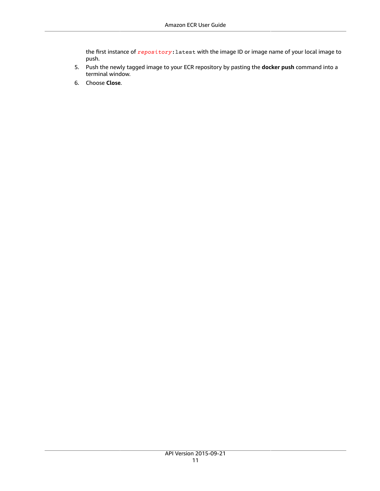the first instance of *repository*:latest with the image ID or image name of your local image to push.

- 5. Push the newly tagged image to your ECR repository by pasting the **docker push** command into a terminal window.
- 6. Choose **Close**.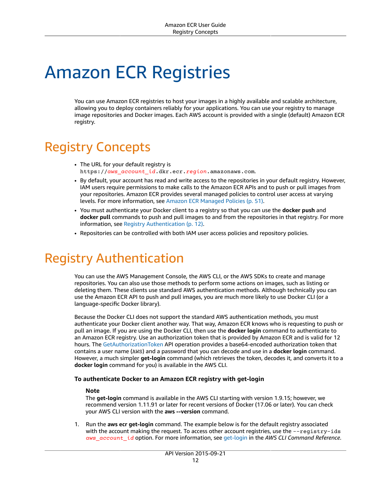# <span id="page-15-0"></span>Amazon ECR Registries

You can use Amazon ECR registries to host your images in a highly available and scalable architecture, allowing you to deploy containers reliably for your applications. You can use your registry to manage image repositories and Docker images. Each AWS account is provided with a single (default) Amazon ECR registry.

# <span id="page-15-1"></span>Registry Concepts

- The URL for your default registry is https://*aws\_account\_id*.dkr.ecr.*region*.amazonaws.com.
- By default, your account has read and write access to the repositories in your default registry. However, IAM users require permissions to make calls to the Amazon ECR APIs and to push or pull images from your repositories. Amazon ECR provides several managed policies to control user access at varying levels. For more information, see Amazon ECR [Managed](#page-54-0) Policies [\(p. 51\)](#page-54-0).
- You must authenticate your Docker client to a registry so that you can use the **docker push** and **docker pull** commands to push and pull images to and from the repositories in that registry. For more information, see Registry [Authentication \(p. 12\)](#page-15-2).
- Repositories can be controlled with both IAM user access policies and repository policies.

# <span id="page-15-2"></span>Registry Authentication

You can use the AWS Management Console, the AWS CLI, or the AWS SDKs to create and manage repositories. You can also use those methods to perform some actions on images, such as listing or deleting them. These clients use standard AWS authentication methods. Although technically you can use the Amazon ECR API to push and pull images, you are much more likely to use Docker CLI (or a language-specific Docker library).

Because the Docker CLI does not support the standard AWS authentication methods, you must authenticate your Docker client another way. That way, Amazon ECR knows who is requesting to push or pull an image. If you are using the Docker CLI, then use the **docker login** command to authenticate to an Amazon ECR registry. Use an authorization token that is provided by Amazon ECR and is valid for 12 hours. The [GetAuthorizationToken](https://docs.aws.amazon.com/AmazonECR/latest/APIReference/API_GetAuthorizationToken.html) API operation provides a base64-encoded authorization token that contains a user name (AWS) and a password that you can decode and use in a **docker login** command. However, a much simpler **get-login** command (which retrieves the token, decodes it, and converts it to a **docker login** command for you) is available in the AWS CLI.

### **To authenticate Docker to an Amazon ECR registry with get-login**

### **Note**

The **get-login** command is available in the AWS CLI starting with version 1.9.15; however, we recommend version 1.11.91 or later for recent versions of Docker (17.06 or later). You can check your AWS CLI version with the **aws --version** command.

1. Run the **aws ecr get-login** command. The example below is for the default registry associated with the account making the request. To access other account registries, use the --registry-ids *aws\_account\_id* option. For more information, see [get-login](https://docs.aws.amazon.com/cli/latest/reference/ecr/get-login.html) in the *AWS CLI Command Reference*.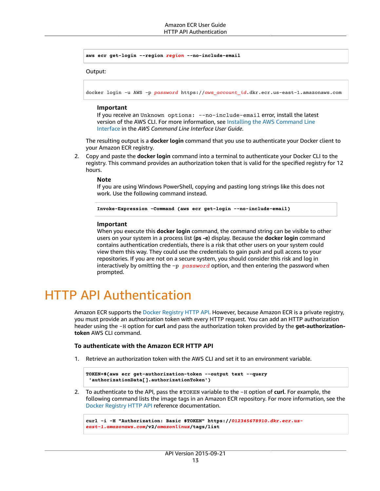```
aws ecr get-login --region region --no-include-email
```
Output:

docker login -u AWS -p *password* https://*aws\_account\_id*.dkr.ecr.us-east-1.amazonaws.com

### **Important**

If you receive an Unknown options: --no-include-email error, install the latest version of the AWS CLI. For more information, see Installing the AWS [Command](https://docs.aws.amazon.com/cli/latest/userguide/installing.html) Line [Interface](https://docs.aws.amazon.com/cli/latest/userguide/installing.html) in the *AWS Command Line Interface User Guide*.

The resulting output is a **docker login** command that you use to authenticate your Docker client to your Amazon ECR registry.

2. Copy and paste the **docker login** command into a terminal to authenticate your Docker CLI to the registry. This command provides an authorization token that is valid for the specified registry for 12 hours.

#### **Note**

If you are using Windows PowerShell, copying and pasting long strings like this does not work. Use the following command instead.

**Invoke-Expression -Command (aws ecr get-login --no-include-email)**

#### **Important**

When you execute this **docker login** command, the command string can be visible to other users on your system in a process list (**ps -e**) display. Because the **docker login** command contains authentication credentials, there is a risk that other users on your system could view them this way. They could use the credentials to gain push and pull access to your repositories. If you are not on a secure system, you should consider this risk and log in interactively by omitting the -p *password* option, and then entering the password when prompted.

# <span id="page-16-0"></span>HTTP API Authentication

Amazon ECR supports the Docker [Registry](https://docs.docker.com/registry/spec/api/) HTTP API. However, because Amazon ECR is a private registry, you must provide an authorization token with every HTTP request. You can add an HTTP authorization header using the -H option for **curl** and pass the authorization token provided by the **get-authorizationtoken** AWS CLI command.

### **To authenticate with the Amazon ECR HTTP API**

1. Retrieve an authorization token with the AWS CLI and set it to an environment variable.

```
TOKEN=$(aws ecr get-authorization-token --output text --query
  'authorizationData[].authorizationToken')
```
2. To authenticate to the API, pass the \$TOKEN variable to the -H option of **curl**. For example, the following command lists the image tags in an Amazon ECR repository. For more information, see the Docker [Registry](https://docs.docker.com/registry/spec/api/) HTTP API reference documentation.

```
curl -i -H "Authorization: Basic $TOKEN" https://012345678910.dkr.ecr.us-
east-1.amazonaws.com/v2/amazonlinux/tags/list
```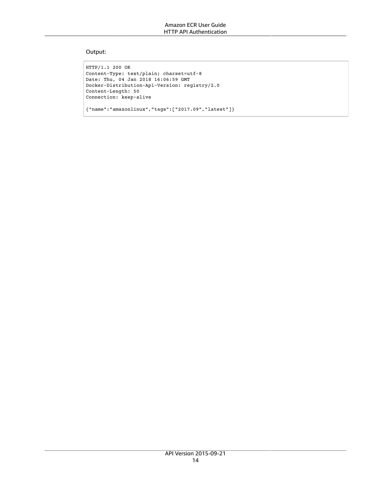### Output:

```
HTTP/1.1 200 OK
Content-Type: text/plain; charset=utf-8
Date: Thu, 04 Jan 2018 16:06:59 GMT
Docker-Distribution-Api-Version: registry/2.0
Content-Length: 50
Connection: keep-alive
```
{"name":"amazonlinux","tags":["2017.09","latest"]}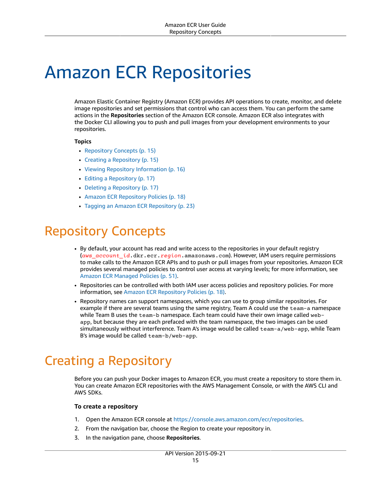# <span id="page-18-0"></span>Amazon ECR Repositories

Amazon Elastic Container Registry (Amazon ECR) provides API operations to create, monitor, and delete image repositories and set permissions that control who can access them. You can perform the same actions in the **Repositories** section of the Amazon ECR console. Amazon ECR also integrates with the Docker CLI allowing you to push and pull images from your development environments to your repositories.

### **Topics**

- Repository [Concepts \(p. 15\)](#page-18-1)
- Creating a [Repository \(p. 15\)](#page-18-2)
- Viewing Repository [Information \(p. 16\)](#page-19-0)
- Editing a [Repository \(p. 17\)](#page-20-0)
- Deleting a [Repository \(p. 17\)](#page-20-1)
- Amazon ECR Repository [Policies \(p. 18\)](#page-21-0)
- Tagging an Amazon ECR [Repository \(p. 23\)](#page-26-0)

# <span id="page-18-1"></span>Repository Concepts

- By default, your account has read and write access to the repositories in your default registry (*aws\_account\_id*.dkr.ecr.*region*.amazonaws.com). However, IAM users require permissions to make calls to the Amazon ECR APIs and to push or pull images from your repositories. Amazon ECR provides several managed policies to control user access at varying levels; for more information, see Amazon ECR [Managed](#page-54-0) Policie[s \(p. 51\)](#page-54-0).
- Repositories can be controlled with both IAM user access policies and repository policies. For more information, see Amazon ECR [Repository](#page-21-0) Policie[s \(p. 18\)](#page-21-0).
- Repository names can support namespaces, which you can use to group similar repositories. For example if there are several teams using the same registry, Team A could use the team-a namespace while Team B uses the team-b namespace. Each team could have their own image called webapp, but because they are each prefaced with the team namespace, the two images can be used simultaneously without interference. Team A's image would be called team-a/web-app, while Team B's image would be called team-b/web-app.

# <span id="page-18-2"></span>Creating a Repository

Before you can push your Docker images to Amazon ECR, you must create a repository to store them in. You can create Amazon ECR repositories with the AWS Management Console, or with the AWS CLI and AWS SDKs.

### **To create a repository**

- 1. Open the Amazon ECR console at <https://console.aws.amazon.com/ecr/repositories>.
- 2. From the navigation bar, choose the Region to create your repository in.
- 3. In the navigation pane, choose **Repositories**.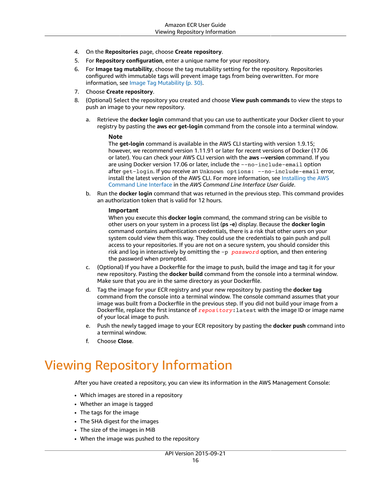- 4. On the **Repositories** page, choose **Create repository**.
- 5. For **Repository configuration**, enter a unique name for your repository.
- 6. For **Image tag mutability**, choose the tag mutability setting for the repository. Repositories configured with immutable tags will prevent image tags from being overwritten. For more information, see Image Tag [Mutability \(p. 30\)](#page-33-0).
- 7. Choose **Create repository**.
- 8. (Optional) Select the repository you created and choose **View push commands** to view the steps to push an image to your new repository.
	- a. Retrieve the **docker login** command that you can use to authenticate your Docker client to your registry by pasting the **aws ecr get-login** command from the console into a terminal window.

### **Note**

The **get-login** command is available in the AWS CLI starting with version 1.9.15; however, we recommend version 1.11.91 or later for recent versions of Docker (17.06 or later). You can check your AWS CLI version with the **aws --version** command. If you are using Docker version 17.06 or later, include the --no-include-email option after get-login. If you receive an Unknown options: --no-include-email error, install the latest version of the AWS CLI. For more information, see [Installing](https://docs.aws.amazon.com/cli/latest/userguide/installing.html) the AWS [Command](https://docs.aws.amazon.com/cli/latest/userguide/installing.html) Line Interface in the *AWS Command Line Interface User Guide*.

b. Run the **docker login** command that was returned in the previous step. This command provides an authorization token that is valid for 12 hours.

### **Important**

When you execute this **docker login** command, the command string can be visible to other users on your system in a process list (**ps -e**) display. Because the **docker login** command contains authentication credentials, there is a risk that other users on your system could view them this way. They could use the credentials to gain push and pull access to your repositories. If you are not on a secure system, you should consider this risk and log in interactively by omitting the -p *password* option, and then entering the password when prompted.

- c. (Optional) If you have a Dockerfile for the image to push, build the image and tag it for your new repository. Pasting the **docker build** command from the console into a terminal window. Make sure that you are in the same directory as your Dockerfile.
- d. Tag the image for your ECR registry and your new repository by pasting the **docker tag** command from the console into a terminal window. The console command assumes that your image was built from a Dockerfile in the previous step. If you did not build your image from a Dockerfile, replace the first instance of *repository*:latest with the image ID or image name of your local image to push.
- e. Push the newly tagged image to your ECR repository by pasting the **docker push** command into a terminal window.
- f. Choose **Close**.

# <span id="page-19-0"></span>Viewing Repository Information

After you have created a repository, you can view its information in the AWS Management Console:

- Which images are stored in a repository
- Whether an image is tagged
- The tags for the image
- The SHA digest for the images
- The size of the images in MiB
- When the image was pushed to the repository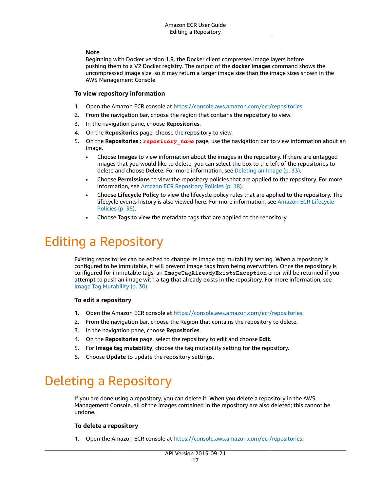### **Note**

Beginning with Docker version 1.9, the Docker client compresses image layers before pushing them to a V2 Docker registry. The output of the **docker images** command shows the uncompressed image size, so it may return a larger image size than the image sizes shown in the AWS Management Console.

### **To view repository information**

- 1. Open the Amazon ECR console at <https://console.aws.amazon.com/ecr/repositories>.
- 2. From the navigation bar, choose the region that contains the repository to view.
- 3. In the navigation pane, choose **Repositories**.
- 4. On the **Repositories** page, choose the repository to view.
- 5. On the **Repositories :** *repository\_name* page, use the navigation bar to view information about an image.
	- Choose **Images** to view information about the images in the repository. If there are untagged images that you would like to delete, you can select the box to the left of the repositories to delete and choose **Delete**. For more information, see [Deleting an Image \(p. 33\)](#page-36-0).
	- Choose **Permissions** to view the repository policies that are applied to the repository. For more information, see Amazon ECR [Repository](#page-21-0) Policies [\(p. 18\).](#page-21-0)
	- Choose **Lifecycle Policy** to view the lifecycle policy rules that are applied to the repository. The lifecycle events history is also viewed here. For more information, see Amazon ECR [Lifecycle](#page-38-0) [Policies \(p. 35\)](#page-38-0).
	- Choose **Tags** to view the metadata tags that are applied to the repository.

# <span id="page-20-0"></span>Editing a Repository

Existing repositories can be edited to change its image tag mutability setting. When a repository is configured to be immutable, it will prevent image tags from being overwritten. Once the repository is configured for immutable tags, an ImageTagAlreadyExistsException error will be returned if you attempt to push an image with a tag that already exists in the repository. For more information, see Image Tag [Mutability \(p. 30\)](#page-33-0).

### **To edit a repository**

- 1. Open the Amazon ECR console at <https://console.aws.amazon.com/ecr/repositories>.
- 2. From the navigation bar, choose the Region that contains the repository to delete.
- 3. In the navigation pane, choose **Repositories**.
- 4. On the **Repositories** page, select the repository to edit and choose **Edit**.
- 5. For **Image tag mutability**, choose the tag mutability setting for the repository.
- 6. Choose **Update** to update the repository settings.

# <span id="page-20-1"></span>Deleting a Repository

If you are done using a repository, you can delete it. When you delete a repository in the AWS Management Console, all of the images contained in the repository are also deleted; this cannot be undone.

### **To delete a repository**

1. Open the Amazon ECR console at <https://console.aws.amazon.com/ecr/repositories>.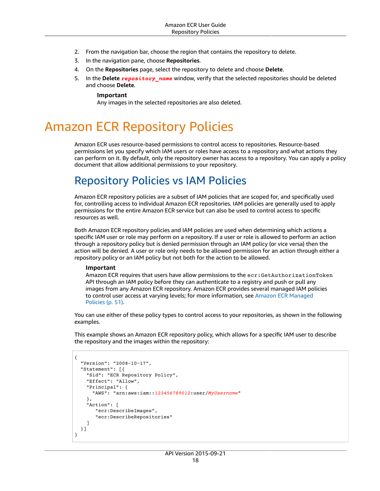- 2. From the navigation bar, choose the region that contains the repository to delete.
- 3. In the navigation pane, choose **Repositories**.
- 4. On the **Repositories** page, select the repository to delete and choose **Delete**.
- 5. In the **Delete** *repository\_name* window, verify that the selected repositories should be deleted and choose **Delete**.

### **Important**

Any images in the selected repositories are also deleted.

# <span id="page-21-0"></span>Amazon ECR Repository Policies

Amazon ECR uses resource-based permissions to control access to repositories. Resource-based permissions let you specify which IAM users or roles have access to a repository and what actions they can perform on it. By default, only the repository owner has access to a repository. You can apply a policy document that allow additional permissions to your repository.

### <span id="page-21-1"></span>Repository Policies vs IAM Policies

Amazon ECR repository policies are a subset of IAM policies that are scoped for, and specifically used for, controlling access to individual Amazon ECR repositories. IAM policies are generally used to apply permissions for the entire Amazon ECR service but can also be used to control access to specific resources as well.

Both Amazon ECR repository policies and IAM policies are used when determining which actions a specific IAM user or role may perform on a repository. If a user or role is allowed to perform an action through a repository policy but is denied permission through an IAM policy (or vice versa) then the action will be denied. A user or role only needs to be allowed permission for an action through either a repository policy or an IAM policy but not both for the action to be allowed.

### **Important**

Amazon ECR requires that users have allow permissions to the ecr: GetAuthorizationToken API through an IAM policy before they can authenticate to a registry and push or pull any images from any Amazon ECR repository. Amazon ECR provides several managed IAM policies to control user access at varying levels; for more information, see Amazon ECR [Managed](#page-54-0) [Policies \(p. 51\)](#page-54-0).

You can use either of these policy types to control access to your repositories, as shown in the following examples.

This example shows an Amazon ECR repository policy, which allows for a specific IAM user to describe the repository and the images within the repository:

```
{
   "Version": "2008-10-17",
   "Statement": [{
     "Sid": "ECR Repository Policy",
     "Effect": "Allow",
     "Principal": {
       "AWS": "arn:aws:iam::123456789012:user/MyUsername"
     },
     "Action": [
        "ecr:DescribeImages",
        "ecr:DescribeRepositories"
     ]
  }]
}
```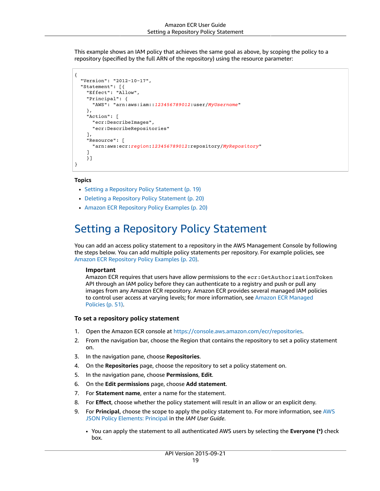This example shows an IAM policy that achieves the same goal as above, by scoping the policy to a repository (specified by the full ARN of the repository) using the resource parameter:

```
{
   "Version": "2012-10-17",
   "Statement": [{
     "Effect": "Allow",
     "Principal": {
       "AWS": "arn:aws:iam::123456789012:user/MyUsername"
     },
     "Action": [
       "ecr:DescribeImages",
       "ecr:DescribeRepositories"
     ],
     "Resource": [
       "arn:aws:ecr:region:123456789012:repository/MyRepository"
     ]
     }]
}
```
### **Topics**

- Setting a Repository Policy [Statement \(p. 19\)](#page-22-0)
- Deleting a Repository Policy [Statement \(p. 20\)](#page-23-0)
- Amazon ECR Repository Policy [Examples \(p. 20\)](#page-23-1)

### <span id="page-22-0"></span>Setting a Repository Policy Statement

You can add an access policy statement to a repository in the AWS Management Console by following the steps below. You can add multiple policy statements per repository. For example policies, see Amazon ECR [Repository](#page-23-1) Policy Examples [\(p. 20\)](#page-23-1).

### **Important**

Amazon ECR requires that users have allow permissions to the ecr: GetAuthorizationToken API through an IAM policy before they can authenticate to a registry and push or pull any images from any Amazon ECR repository. Amazon ECR provides several managed IAM policies to control user access at varying levels; for more information, see Amazon ECR [Managed](#page-54-0) [Policies \(p. 51\)](#page-54-0).

### **To set a repository policy statement**

- 1. Open the Amazon ECR console at <https://console.aws.amazon.com/ecr/repositories>.
- 2. From the navigation bar, choose the Region that contains the repository to set a policy statement on.
- 3. In the navigation pane, choose **Repositories**.
- 4. On the **Repositories** page, choose the repository to set a policy statement on.
- 5. In the navigation pane, choose **Permissions**, **Edit**.
- 6. On the **Edit permissions** page, choose **Add statement**.
- 7. For **Statement name**, enter a name for the statement.
- 8. For **Effect**, choose whether the policy statement will result in an allow or an explicit deny.
- 9. For **Principal**, choose the scope to apply the policy statement to. For more information, see [AWS](https://docs.aws.amazon.com/IAM/latest/UserGuide/reference_policies_elements_principal.html) JSON Policy [Elements:](https://docs.aws.amazon.com/IAM/latest/UserGuide/reference_policies_elements_principal.html) Principal in the *IAM User Guide*.
	- You can apply the statement to all authenticated AWS users by selecting the **Everyone (\*)** check box.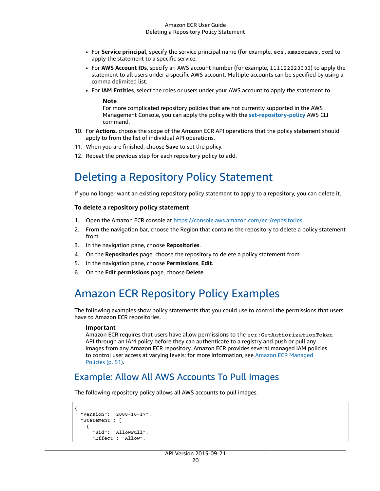- For **Service principal**, specify the service principal name (for example, ecs.amazonaws.com) to apply the statement to a specific service.
- For **AWS Account IDs**, specify an AWS account number (for example, 111122223333) to apply the statement to all users under a specific AWS account. Multiple accounts can be specified by using a comma delimited list.
- For **IAM Entities**, select the roles or users under your AWS account to apply the statement to.

#### **Note**

For more complicated repository policies that are not currently supported in the AWS Management Console, you can apply the policy with the **[set-repository-policy](https://docs.aws.amazon.com/cli/latest/reference/ecr/set-repository-policy.html)** AWS CLI command.

- 10. For **Actions**, choose the scope of the Amazon ECR API operations that the policy statement should apply to from the list of individual API operations.
- 11. When you are finished, choose **Save** to set the policy.
- 12. Repeat the previous step for each repository policy to add.

### <span id="page-23-0"></span>Deleting a Repository Policy Statement

If you no longer want an existing repository policy statement to apply to a repository, you can delete it.

### **To delete a repository policy statement**

- 1. Open the Amazon ECR console at <https://console.aws.amazon.com/ecr/repositories>.
- 2. From the navigation bar, choose the Region that contains the repository to delete a policy statement from.
- 3. In the navigation pane, choose **Repositories**.
- 4. On the **Repositories** page, choose the repository to delete a policy statement from.
- 5. In the navigation pane, choose **Permissions**, **Edit**.
- 6. On the **Edit permissions** page, choose **Delete**.

### <span id="page-23-1"></span>Amazon ECR Repository Policy Examples

The following examples show policy statements that you could use to control the permissions that users have to Amazon ECR repositories.

### **Important**

Amazon ECR requires that users have allow permissions to the ecr:GetAuthorizationToken API through an IAM policy before they can authenticate to a registry and push or pull any images from any Amazon ECR repository. Amazon ECR provides several managed IAM policies to control user access at varying levels; for more information, see Amazon ECR [Managed](#page-54-0) [Policies \(p. 51\)](#page-54-0).

### Example: Allow All AWS Accounts To Pull Images

The following repository policy allows all AWS accounts to pull images.

```
{
   "Version": "2008-10-17",
   "Statement": [
\overline{\mathcal{A}} "Sid": "AllowPull",
        "Effect": "Allow",
```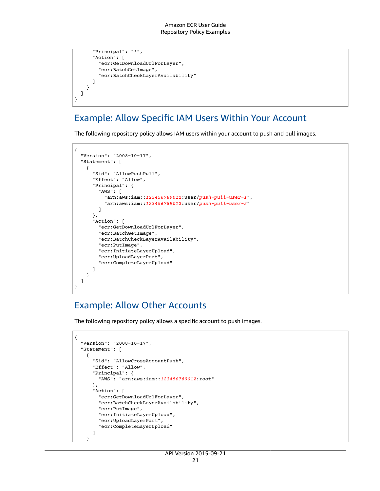```
 "Principal": "*",
       "Action": [
         "ecr:GetDownloadUrlForLayer",
         "ecr:BatchGetImage",
         "ecr:BatchCheckLayerAvailability"
       ]
     }
  ]
}
```
### Example: Allow Specific IAM Users Within Your Account

The following repository policy allows IAM users within your account to push and pull images.

```
{
   "Version": "2008-10-17",
   "Statement": [
     {
       "Sid": "AllowPushPull",
       "Effect": "Allow",
       "Principal": {
         "AWS": [
           "arn:aws:iam::123456789012:user/push-pull-user-1",
           "arn:aws:iam::123456789012:user/push-pull-user-2"
         ]
       },
       "Action": [
         "ecr:GetDownloadUrlForLayer",
         "ecr:BatchGetImage",
         "ecr:BatchCheckLayerAvailability",
         "ecr:PutImage",
         "ecr:InitiateLayerUpload",
         "ecr:UploadLayerPart",
         "ecr:CompleteLayerUpload"
       ]
     }
   ]
}
```
### Example: Allow Other Accounts

The following repository policy allows a specific account to push images.

```
{
   "Version": "2008-10-17",
   "Statement": [
     {
       "Sid": "AllowCrossAccountPush",
       "Effect": "Allow",
       "Principal": {
         "AWS": "arn:aws:iam::123456789012:root"
       },
       "Action": [
         "ecr:GetDownloadUrlForLayer",
         "ecr:BatchCheckLayerAvailability",
         "ecr:PutImage",
         "ecr:InitiateLayerUpload",
         "ecr:UploadLayerPart",
         "ecr:CompleteLayerUpload"
       ]
     }
```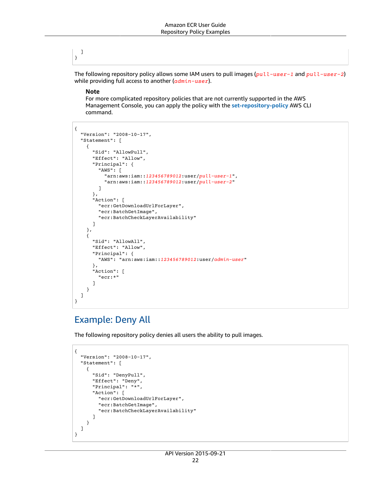#### ] }

The following repository policy allows some IAM users to pull images (*pull-user-1* and *pull-user-2*) while providing full access to another (*admin-user*).

### **Note**

For more complicated repository policies that are not currently supported in the AWS Management Console, you can apply the policy with the **[set-repository-policy](https://docs.aws.amazon.com/cli/latest/reference/ecr/set-repository-policy.html)** AWS CLI command.

```
{
   "Version": "2008-10-17",
   "Statement": [
     {
       "Sid": "AllowPull",
       "Effect": "Allow",
       "Principal": {
         "AWS": [
           "arn:aws:iam::123456789012:user/pull-user-1",
           "arn:aws:iam::123456789012:user/pull-user-2"
         ]
       },
       "Action": [
         "ecr:GetDownloadUrlForLayer",
         "ecr:BatchGetImage",
         "ecr:BatchCheckLayerAvailability"
       ]
     },
     {
       "Sid": "AllowAll",
       "Effect": "Allow",
       "Principal": {
         "AWS": "arn:aws:iam::123456789012:user/admin-user"
       },
       "Action": [
         "ecr:*"
       ]
     }
  ]
}
```
### Example: Deny All

The following repository policy denies all users the ability to pull images.

```
{
   "Version": "2008-10-17",
   "Statement": [
     {
       "Sid": "DenyPull",
       "Effect": "Deny",
       "Principal": "*",
       "Action": [
         "ecr:GetDownloadUrlForLayer",
         "ecr:BatchGetImage",
         "ecr:BatchCheckLayerAvailability"
       ]
     }
  ]
}
```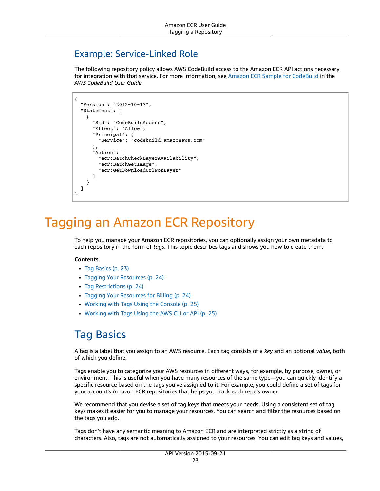### Example: Service-Linked Role

The following repository policy allows AWS CodeBuild access to the Amazon ECR API actions necessary for integration with that service. For more information, see Amazon ECR Sample for [CodeBuild](https://docs.aws.amazon.com/codebuild/latest/userguide/sample-ecr.html) in the *AWS CodeBuild User Guide*.

```
{
   "Version": "2012-10-17",
   "Statement": [
     {
       "Sid": "CodeBuildAccess",
       "Effect": "Allow",
       "Principal": {
         "Service": "codebuild.amazonaws.com"
       },
       "Action": [
         "ecr:BatchCheckLayerAvailability",
         "ecr:BatchGetImage",
          "ecr:GetDownloadUrlForLayer"
       ]
     }
   ]
}
```
# <span id="page-26-0"></span>Tagging an Amazon ECR Repository

To help you manage your Amazon ECR repositories, you can optionally assign your own metadata to each repository in the form of *tags*. This topic describes tags and shows you how to create them.

### **Contents**

- Tag [Basics \(p. 23\)](#page-26-1)
- Tagging Your [Resources \(p. 24\)](#page-27-0)
- Tag [Restrictions \(p. 24\)](#page-27-1)
- Tagging Your Resources for [Billing \(p. 24\)](#page-27-2)
- Working with Tags Using the [Console \(p. 25\)](#page-28-0)
- Working with Tags Using the AWS CLI or [API \(p. 25\)](#page-28-1)

## <span id="page-26-1"></span>Tag Basics

A tag is a label that you assign to an AWS resource. Each tag consists of a *key* and an optional *value*, both of which you define.

Tags enable you to categorize your AWS resources in different ways, for example, by purpose, owner, or environment. This is useful when you have many resources of the same type—you can quickly identify a specific resource based on the tags you've assigned to it. For example, you could define a set of tags for your account's Amazon ECR repositories that helps you track each repo's owner.

We recommend that you devise a set of tag keys that meets your needs. Using a consistent set of tag keys makes it easier for you to manage your resources. You can search and filter the resources based on the tags you add.

Tags don't have any semantic meaning to Amazon ECR and are interpreted strictly as a string of characters. Also, tags are not automatically assigned to your resources. You can edit tag keys and values,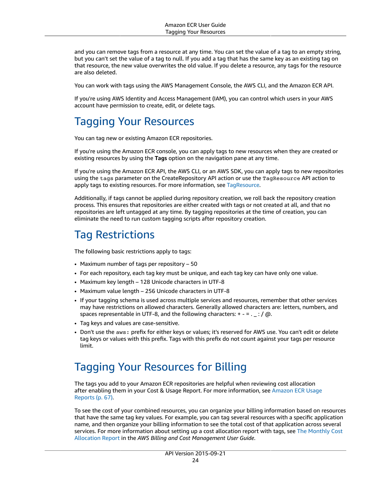and you can remove tags from a resource at any time. You can set the value of a tag to an empty string, but you can't set the value of a tag to null. If you add a tag that has the same key as an existing tag on that resource, the new value overwrites the old value. If you delete a resource, any tags for the resource are also deleted.

You can work with tags using the AWS Management Console, the AWS CLI, and the Amazon ECR API.

If you're using AWS Identity and Access Management (IAM), you can control which users in your AWS account have permission to create, edit, or delete tags.

## <span id="page-27-0"></span>Tagging Your Resources

You can tag new or existing Amazon ECR repositories.

If you're using the Amazon ECR console, you can apply tags to new resources when they are created or existing resources by using the **Tags** option on the navigation pane at any time.

If you're using the Amazon ECR API, the AWS CLI, or an AWS SDK, you can apply tags to new repositories using the tags parameter on the CreateRepository API action or use the TagResource API action to apply tags to existing resources. For more information, see [TagResource](https://docs.aws.amazon.com/AmazonECR/latest/APIReference/API_TagResource.html).

Additionally, if tags cannot be applied during repository creation, we roll back the repository creation process. This ensures that repositories are either created with tags or not created at all, and that no repositories are left untagged at any time. By tagging repositories at the time of creation, you can eliminate the need to run custom tagging scripts after repository creation.

### <span id="page-27-1"></span>Tag Restrictions

The following basic restrictions apply to tags:

- Maximum number of tags per repository 50
- For each repository, each tag key must be unique, and each tag key can have only one value.
- Maximum key length 128 Unicode characters in UTF-8
- Maximum value length 256 Unicode characters in UTF-8
- If your tagging schema is used across multiple services and resources, remember that other services may have restrictions on allowed characters. Generally allowed characters are: letters, numbers, and spaces representable in UTF-8, and the following characters:  $+ - =$ .  $\pm$ : /  $\omega$ .
- Tag keys and values are case-sensitive.
- Don't use the aws: prefix for either keys or values; it's reserved for AWS use. You can't edit or delete tag keys or values with this prefix. Tags with this prefix do not count against your tags per resource limit.

### <span id="page-27-2"></span>Tagging Your Resources for Billing

The tags you add to your Amazon ECR repositories are helpful when reviewing cost allocation after enabling them in your Cost & Usage Report. For more information, see [Amazon](#page-70-0) ECR Usage [Reports \(p. 67\)](#page-70-0).

To see the cost of your combined resources, you can organize your billing information based on resources that have the same tag key values. For example, you can tag several resources with a specific application name, and then organize your billing information to see the total cost of that application across several services. For more information about setting up a cost allocation report with tags, see [The Monthly Cost](https://docs.aws.amazon.com/awsaccountbilling/latest/aboutv2/configurecostallocreport.html) [Allocation](https://docs.aws.amazon.com/awsaccountbilling/latest/aboutv2/configurecostallocreport.html) Report in the *AWS Billing and Cost Management User Guide*.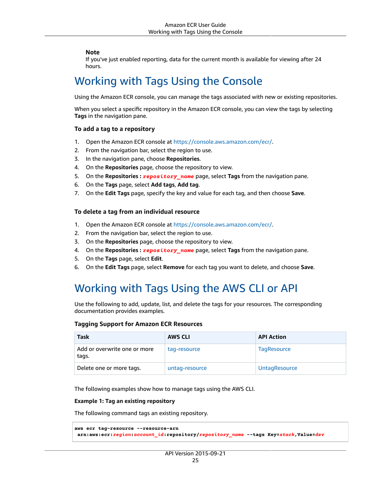### **Note**

If you've just enabled reporting, data for the current month is available for viewing after 24 hours.

### <span id="page-28-0"></span>Working with Tags Using the Console

Using the Amazon ECR console, you can manage the tags associated with new or existing repositories.

When you select a specific repository in the Amazon ECR console, you can view the tags by selecting **Tags** in the navigation pane.

### **To add a tag to a repository**

- 1. Open the Amazon ECR console at <https://console.aws.amazon.com/ecr/>.
- 2. From the navigation bar, select the region to use.
- 3. In the navigation pane, choose **Repositories**.
- 4. On the **Repositories** page, choose the repository to view.
- 5. On the **Repositories :** *repository\_name* page, select **Tags** from the navigation pane.
- 6. On the **Tags** page, select **Add tags**, **Add tag**.
- 7. On the **Edit Tags** page, specify the key and value for each tag, and then choose **Save**.

### **To delete a tag from an individual resource**

- 1. Open the Amazon ECR console at <https://console.aws.amazon.com/ecr/>.
- 2. From the navigation bar, select the region to use.
- 3. On the **Repositories** page, choose the repository to view.
- 4. On the **Repositories :** *repository\_name* page, select **Tags** from the navigation pane.
- 5. On the **Tags** page, select **Edit**.
- 6. On the **Edit Tags** page, select **Remove** for each tag you want to delete, and choose **Save**.

## <span id="page-28-1"></span>Working with Tags Using the AWS CLI or API

Use the following to add, update, list, and delete the tags for your resources. The corresponding documentation provides examples.

### **Tagging Support for Amazon ECR Resources**

| Task                                  | <b>AWS CLI</b> | <b>API Action</b>    |
|---------------------------------------|----------------|----------------------|
| Add or overwrite one or more<br>tags. | tag-resource   | <b>TagResource</b>   |
| Delete one or more tags.              | untag-resource | <b>UntagResource</b> |

The following examples show how to manage tags using the AWS CLI.

### **Example 1: Tag an existing repository**

The following command tags an existing repository.

```
aws ecr tag-resource --resource-arn
 arn:aws:ecr:region:account_id:repository/repository_name --tags Key=stack,Value=dev
```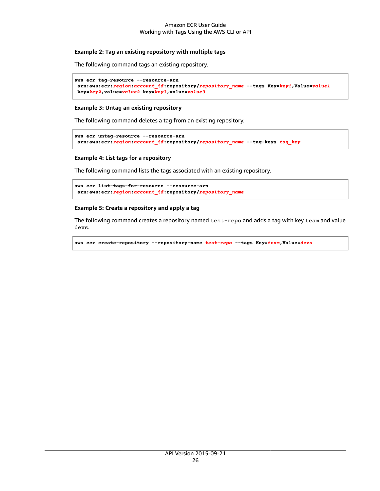### **Example 2: Tag an existing repository with multiple tags**

The following command tags an existing repository.

```
aws ecr tag-resource --resource-arn
 arn:aws:ecr:region:account_id:repository/repository_name --tags Key=key1,Value=value1
 key=key2,value=value2 key=key3,value=value3
```
### **Example 3: Untag an existing repository**

The following command deletes a tag from an existing repository.

```
aws ecr untag-resource --resource-arn
 arn:aws:ecr:region:account_id:repository/repository_name --tag-keys tag_key
```
### **Example 4: List tags for a repository**

The following command lists the tags associated with an existing repository.

```
aws ecr list-tags-for-resource --resource-arn
 arn:aws:ecr:region:account_id:repository/repository_name
```
### **Example 5: Create a repository and apply a tag**

The following command creates a repository named test-repo and adds a tag with key team and value devs.

```
aws ecr create-repository --repository-name test-repo --tags Key=team,Value=devs
```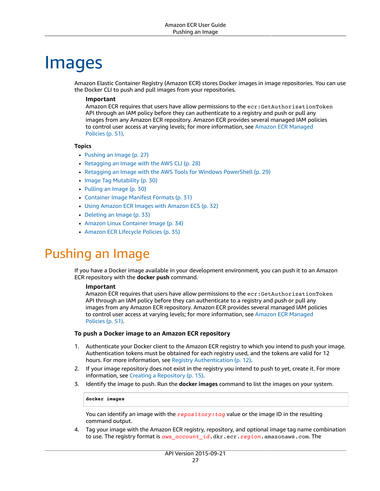# <span id="page-30-0"></span>Images

Amazon Elastic Container Registry (Amazon ECR) stores Docker images in image repositories. You can use the Docker CLI to push and pull images from your repositories.

### **Important**

Amazon ECR requires that users have allow permissions to the ecr: GetAuthorizationToken API through an IAM policy before they can authenticate to a registry and push or pull any images from any Amazon ECR repository. Amazon ECR provides several managed IAM policies to control user access at varying levels; for more information, see Amazon ECR [Managed](#page-54-0) [Policies \(p. 51\)](#page-54-0).

### **Topics**

- [Pushing an Image \(p. 27\)](#page-30-1)
- [Retagging](#page-31-0) an Image with the AWS CLI (p. 28)
- Retagging an Image with the AWS Tools for Windows [PowerShell \(p. 29\)](#page-32-0)
- Image Tag [Mutability \(p. 30\)](#page-33-0)
- [Pulling an Image \(p. 30\)](#page-33-1)
- Container Image Manifest [Formats \(p. 31\)](#page-34-0)
- Using Amazon ECR Images with Amazon [ECS \(p. 32\)](#page-35-0)
- [Deleting an Image \(p. 33\)](#page-36-0)
- Amazon Linux Container [Image \(p. 34\)](#page-37-0)
- Amazon ECR Lifecycle [Policies \(p. 35\)](#page-38-0)

## <span id="page-30-1"></span>Pushing an Image

If you have a Docker image available in your development environment, you can push it to an Amazon ECR repository with the **docker push** command.

### **Important**

Amazon ECR requires that users have allow permissions to the ecr:GetAuthorizationToken API through an IAM policy before they can authenticate to a registry and push or pull any images from any Amazon ECR repository. Amazon ECR provides several managed IAM policies to control user access at varying levels; for more information, see Amazon ECR [Managed](#page-54-0) [Policies \(p. 51\)](#page-54-0).

### **To push a Docker image to an Amazon ECR repository**

- 1. Authenticate your Docker client to the Amazon ECR registry to which you intend to push your image. Authentication tokens must be obtained for each registry used, and the tokens are valid for 12 hours. For more information, see Registry [Authentication \(p. 12\)](#page-15-2).
- 2. If your image repository does not exist in the registry you intend to push to yet, create it. For more information, see Creating a [Repository \(p. 15\).](#page-18-2)
- 3. Identify the image to push. Run the **docker images** command to list the images on your system.

#### **docker images**

You can identify an image with the *repository:tag* value or the image ID in the resulting command output.

<span id="page-30-2"></span>4. Tag your image with the Amazon ECR registry, repository, and optional image tag name combination to use. The registry format is *aws\_account\_id*.dkr.ecr.*region*.amazonaws.com. The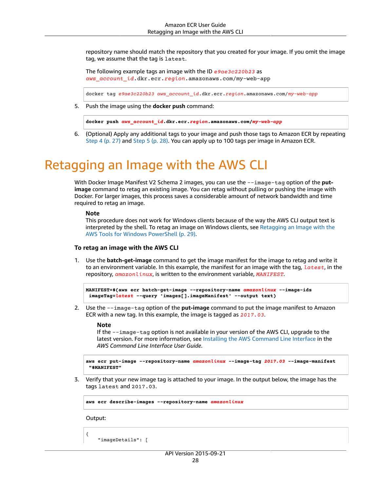repository name should match the repository that you created for your image. If you omit the image tag, we assume that the tag is latest.

The following example tags an image with the ID *e9ae3c220b23* as *aws\_account\_id*.dkr.ecr.*region*.amazonaws.com/my-web-app

docker tag *e9ae3c220b23 aws\_account\_id*.dkr.ecr.*region*.amazonaws.com/*my-web-app*

<span id="page-31-1"></span>5. Push the image using the **docker push** command:

**docker push** *aws\_account\_id***.dkr.ecr.***region***.amazonaws.com/***my-web-app*

6. (Optional) Apply any additional tags to your image and push those tags to Amazon ECR by repeating [Step 4 \(p. 27\)](#page-30-2) and [Step 5 \(p. 28\).](#page-31-1) You can apply up to 100 tags per image in Amazon ECR.

# <span id="page-31-0"></span>Retagging an Image with the AWS CLI

With Docker Image Manifest V2 Schema 2 images, you can use the --image-tag option of the put**image** command to retag an existing image. You can retag without pulling or pushing the image with Docker. For larger images, this process saves a considerable amount of network bandwidth and time required to retag an image.

#### **Note**

This procedure does not work for Windows clients because of the way the AWS CLI output text is interpreted by the shell. To retag an image on Windows clients, see [Retagging](#page-32-0) an Image with the AWS Tools for Windows [PowerShell \(p. 29\).](#page-32-0)

### **To retag an image with the AWS CLI**

1. Use the **batch-get-image** command to get the image manifest for the image to retag and write it to an environment variable. In this example, the manifest for an image with the tag, *latest*, in the repository, *amazonlinux*, is written to the environment variable, *MANIFEST*.

```
MANIFEST=$(aws ecr batch-get-image --repository-name amazonlinux --image-ids
 imageTag=latest --query 'images[].imageManifest' --output text)
```
2. Use the --image-tag option of the **put-image** command to put the image manifest to Amazon ECR with a new tag. In this example, the image is tagged as *2017.03*.

#### **Note**

If the --image-tag option is not available in your version of the AWS CLI, upgrade to the latest version. For more information, see Installing the AWS [Command](https://docs.aws.amazon.com/cli/latest/userguide/) Line Interface in the *AWS Command Line Interface User Guide*.

**aws ecr put-image --repository-name** *amazonlinux* **--image-tag** *2017.03* **--image-manifest "\$MANIFEST"**

3. Verify that your new image tag is attached to your image. In the output below, the image has the tags latest and 2017.03.

**aws ecr describe-images --repository-name** *amazonlinux*

Output:

{

"imageDetails": [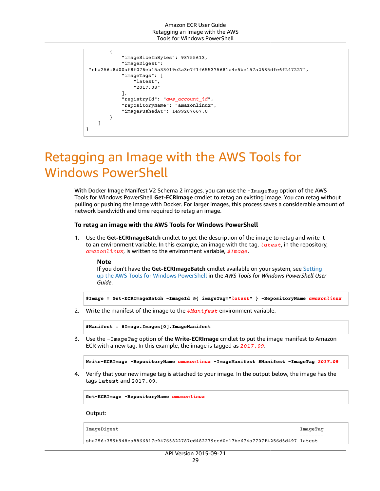```
 {
              "imageSizeInBytes": 98755613,
              "imageDigest":
  "sha256:8d00af8f076eb15a33019c2a3e7f1f655375681c4e5be157a2685dfe6f247227",
              "imageTags": [
                  "latest",
                  "2017.03"
              ],
              "registryId": "aws_account_id",
              "repositoryName": "amazonlinux",
              "imagePushedAt": 1499287667.0
         }
     ]
}
```
# <span id="page-32-0"></span>Retagging an Image with the AWS Tools for Windows PowerShell

With Docker Image Manifest V2 Schema 2 images, you can use the -ImageTag option of the AWS Tools for Windows PowerShell **Get-ECRImage** cmdlet to retag an existing image. You can retag without pulling or pushing the image with Docker. For larger images, this process saves a considerable amount of network bandwidth and time required to retag an image.

### **To retag an image with the AWS Tools for Windows PowerShell**

1. Use the **Get-ECRImageBatch** cmdlet to get the description of the image to retag and write it to an environment variable. In this example, an image with the tag, *latest*, in the repository, *amazonlinux*, is written to the environment variable, *\$Image*.

#### **Note**

If you don't have the **Get-ECRImageBatch** cmdlet available on your system, see [Setting](https://docs.aws.amazon.com/powershell/latest/userguide/pstools-getting-set-up.html) up the AWS Tools for Windows [PowerShell](https://docs.aws.amazon.com/powershell/latest/userguide/pstools-getting-set-up.html) in the *AWS Tools for Windows PowerShell User Guide*.

**\$Image = Get-ECRImageBatch -ImageId @{ imageTag="***latest***" } -RepositoryName** *amazonlinux*

2. Write the manifest of the image to the *\$Manifest* environment variable.

**\$Manifest = \$Image.Images[0].ImageManifest**

3. Use the -ImageTag option of the **Write-ECRImage** cmdlet to put the image manifest to Amazon ECR with a new tag. In this example, the image is tagged as *2017.09*.

```
Write-ECRImage -RepositoryName amazonlinux -ImageManifest $Manifest -ImageTag 2017.09
```
4. Verify that your new image tag is attached to your image. In the output below, the image has the tags latest and 2017.09.

**Get-ECRImage -RepositoryName** *amazonlinux*

Output:

```
ImageDigest ImageTag
----------- --------
sha256:359b948ea8866817e94765822787cd482279eed0c17bc674a7707f4256d5d497 latest
```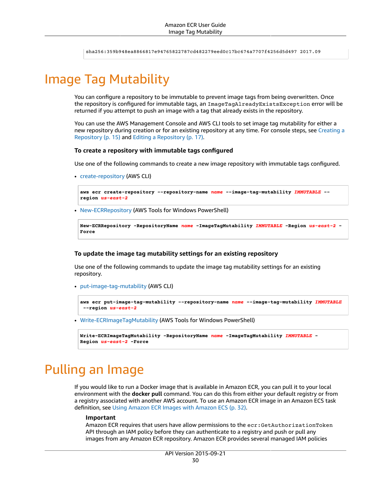sha256:359b948ea8866817e94765822787cd482279eed0c17bc674a7707f4256d5d497 2017.09

# <span id="page-33-0"></span>Image Tag Mutability

You can configure a repository to be immutable to prevent image tags from being overwritten. Once the repository is configured for immutable tags, an ImageTagAlreadyExistsException error will be returned if you attempt to push an image with a tag that already exists in the repository.

You can use the AWS Management Console and AWS CLI tools to set image tag mutability for either a new repository during creation or for an existing repository at any time. For console steps, see [Creating](#page-18-2) a [Repository \(p. 15\)](#page-18-2) and Editing a [Repository \(p. 17\)](#page-20-0).

### **To create a repository with immutable tags configured**

Use one of the following commands to create a new image repository with immutable tags configured.

• [create-repository](https://docs.aws.amazon.com/cli/latest/reference/ecr/create-repository.html) (AWS CLI)

```
aws ecr create-repository --repository-name name --image-tag-mutability IMMUTABLE --
region us-east-2
```
• [New-ECRRepository](https://docs.aws.amazon.com/powershell/latest/reference/items/New-ECRRepository.html) (AWS Tools for Windows PowerShell)

```
New-ECRRepository -RepositoryName name -ImageTagMutability IMMUTABLE -Region us-east-2 -
Force
```
### **To update the image tag mutability settings for an existing repository**

Use one of the following commands to update the image tag mutability settings for an existing repository.

• [put-image-tag-mutability](https://docs.aws.amazon.com/cli/latest/reference/ecr/put-image-tag-mutability.html) (AWS CLI)

```
aws ecr put-image-tag-mutability --repository-name name --image-tag-mutability IMMUTABLE
  --region us-east-2
```
• [Write-ECRImageTagMutability](https://docs.aws.amazon.com/powershell/latest/reference/items/Write-ECRImageTagMutability.html) (AWS Tools for Windows PowerShell)

```
Write-ECRImageTagMutability -RepositoryName name -ImageTagMutability IMMUTABLE -
Region us-east-2 -Force
```
# <span id="page-33-1"></span>Pulling an Image

If you would like to run a Docker image that is available in Amazon ECR, you can pull it to your local environment with the **docker pull** command. You can do this from either your default registry or from a registry associated with another AWS account. To use an Amazon ECR image in an Amazon ECS task definition, see Using Amazon ECR Images with [Amazon](#page-35-0) EC[S \(p. 32\)](#page-35-0).

### **Important**

Amazon ECR requires that users have allow permissions to the ecr: GetAuthorizationToken API through an IAM policy before they can authenticate to a registry and push or pull any images from any Amazon ECR repository. Amazon ECR provides several managed IAM policies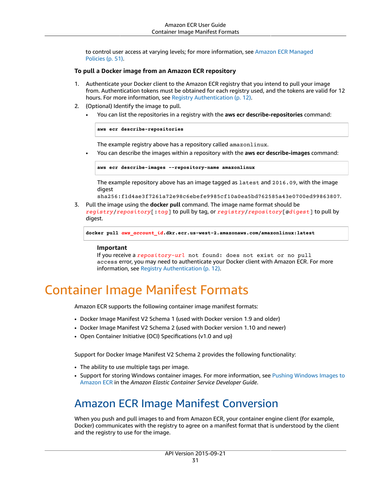to control user access at varying levels; for more information, see Amazon ECR [Managed](#page-54-0) [Policies \(p. 51\)](#page-54-0).

### **To pull a Docker image from an Amazon ECR repository**

- 1. Authenticate your Docker client to the Amazon ECR registry that you intend to pull your image from. Authentication tokens must be obtained for each registry used, and the tokens are valid for 12 hours. For more information, see Registry [Authentication \(p. 12\)](#page-15-2).
- 2. (Optional) Identify the image to pull.
	- You can list the repositories in a registry with the **aws ecr describe-repositories** command:

**aws ecr describe-repositories**

The example registry above has a repository called amazonlinux.

• You can describe the images within a repository with the **aws ecr describe-images** command:

**aws ecr describe-images --repository-name amazonlinux**

The example repository above has an image tagged as latest and 2016.09, with the image digest

sha256:f1d4ae3f7261a72e98c6ebefe9985cf10a0ea5bd762585a43e0700ed99863807.

3. Pull the image using the **docker pull** command. The image name format should be *registry*/*repository*[:*tag*] to pull by tag, or *registry*/*repository*[@*digest*] to pull by digest.

**docker pull** *aws\_account\_id***.dkr.ecr.us-west-2.amazonaws.com/amazonlinux:latest**

#### **Important**

If you receive a *repository-url* not found: does not exist or no pull access error, you may need to authenticate your Docker client with Amazon ECR. For more information, see Registry [Authentication \(p. 12\)](#page-15-2).

# <span id="page-34-0"></span>Container Image Manifest Formats

Amazon ECR supports the following container image manifest formats:

- Docker Image Manifest V2 Schema 1 (used with Docker version 1.9 and older)
- Docker Image Manifest V2 Schema 2 (used with Docker version 1.10 and newer)
- Open Container Initiative (OCI) Specifications (v1.0 and up)

Support for Docker Image Manifest V2 Schema 2 provides the following functionality:

- The ability to use multiple tags per image.
- Support for storing Windows container images. For more information, see Pushing [Windows](https://docs.aws.amazon.com/AmazonECS/latest/developerguide/windows_ecr.html) Images to [Amazon](https://docs.aws.amazon.com/AmazonECS/latest/developerguide/windows_ecr.html) ECR in the *Amazon Elastic Container Service Developer Guide*.

### <span id="page-34-1"></span>Amazon ECR Image Manifest Conversion

When you push and pull images to and from Amazon ECR, your container engine client (for example, Docker) communicates with the registry to agree on a manifest format that is understood by the client and the registry to use for the image.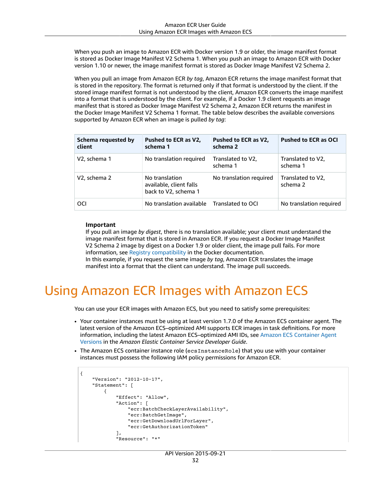When you push an image to Amazon ECR with Docker version 1.9 or older, the image manifest format is stored as Docker Image Manifest V2 Schema 1. When you push an image to Amazon ECR with Docker version 1.10 or newer, the image manifest format is stored as Docker Image Manifest V2 Schema 2.

When you pull an image from Amazon ECR *by tag*, Amazon ECR returns the image manifest format that is stored in the repository. The format is returned only if that format is understood by the client. If the stored image manifest format is not understood by the client, Amazon ECR converts the image manifest into a format that is understood by the client. For example, if a Docker 1.9 client requests an image manifest that is stored as Docker Image Manifest V2 Schema 2, Amazon ECR returns the manifest in the Docker Image Manifest V2 Schema 1 format. The table below describes the available conversions supported by Amazon ECR when an image is pulled *by tag*:

| Schema requested by<br>client | Pushed to ECR as V2,<br>schema 1                                  | Pushed to ECR as V2,<br>schema 2 | <b>Pushed to ECR as OCI</b>   |
|-------------------------------|-------------------------------------------------------------------|----------------------------------|-------------------------------|
| V <sub>2</sub> , schema 1     | No translation required                                           | Translated to V2,<br>schema 1    | Translated to V2,<br>schema 1 |
| V2, schema 2                  | No translation<br>available, client falls<br>back to V2, schema 1 | No translation required          | Translated to V2,<br>schema 2 |
| <b>OCI</b>                    | No translation available                                          | Translated to OCI                | No translation required       |

### **Important**

If you pull an image *by digest*, there is no translation available; your client must understand the image manifest format that is stored in Amazon ECR. If you request a Docker Image Manifest V2 Schema 2 image by digest on a Docker 1.9 or older client, the image pull fails. For more information, see Registry [compatibility](https://docs.docker.com/registry/compatibility/) in the Docker documentation.

In this example, if you request the same image *by tag*, Amazon ECR translates the image manifest into a format that the client can understand. The image pull succeeds.

# <span id="page-35-0"></span>Using Amazon ECR Images with Amazon ECS

You can use your ECR images with Amazon ECS, but you need to satisfy some prerequisites:

- Your container instances must be using at least version 1.7.0 of the Amazon ECS container agent. The latest version of the Amazon ECS–optimized AMI supports ECR images in task definitions. For more information, including the latest Amazon ECS–optimized AMI IDs, see Amazon ECS [Container](https://docs.aws.amazon.com/AmazonECS/latest/developerguide/container_agent_versions.html) Agent [Versions](https://docs.aws.amazon.com/AmazonECS/latest/developerguide/container_agent_versions.html) in the *Amazon Elastic Container Service Developer Guide*.
- The Amazon ECS container instance role (ecsInstanceRole) that you use with your container instances must possess the following IAM policy permissions for Amazon ECR.

```
{
     "Version": "2012-10-17",
     "Statement": [
\overline{\mathcal{L}} "Effect": "Allow",
               "Action": [
                   "ecr:BatchCheckLayerAvailability",
                   "ecr:BatchGetImage",
                   "ecr:GetDownloadUrlForLayer",
                   "ecr:GetAuthorizationToken"
               ],
               "Resource": "*"
```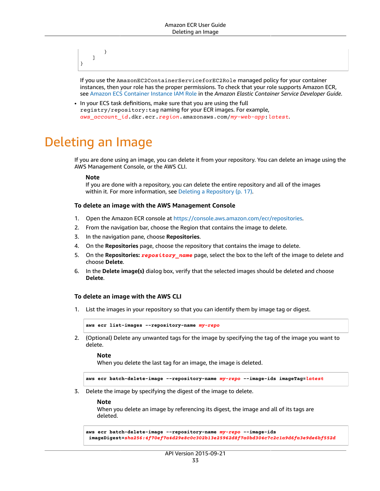} ] }

If you use the AmazonEC2ContainerServiceforEC2Role managed policy for your container instances, then your role has the proper permissions. To check that your role supports Amazon ECR, see Amazon ECS [Container](https://docs.aws.amazon.com/AmazonECS/latest/developerguide/instance_IAM_role.html) Instance IAM Role in the *Amazon Elastic Container Service Developer Guide*.

• In your ECS task definitions, make sure that you are using the full registry/repository:tag naming for your ECR images. For example, *aws\_account\_id*.dkr.ecr.*region*.amazonaws.com/*my-web-app*:*latest*.

### Deleting an Image

If you are done using an image, you can delete it from your repository. You can delete an image using the AWS Management Console, or the AWS CLI.

#### **Note**

If you are done with a repository, you can delete the entire repository and all of the images within it. For more information, see Deleting a [Repository \(p. 17\)](#page-20-0).

#### **To delete an image with the AWS Management Console**

- 1. Open the Amazon ECR console at <https://console.aws.amazon.com/ecr/repositories>.
- 2. From the navigation bar, choose the Region that contains the image to delete.
- 3. In the navigation pane, choose **Repositories**.
- 4. On the **Repositories** page, choose the repository that contains the image to delete.
- 5. On the **Repositories:** *repository\_name* page, select the box to the left of the image to delete and choose **Delete**.
- 6. In the **Delete image(s)** dialog box, verify that the selected images should be deleted and choose **Delete**.

### **To delete an image with the AWS CLI**

1. List the images in your repository so that you can identify them by image tag or digest.

```
aws ecr list-images --repository-name my-repo
```
2. (Optional) Delete any unwanted tags for the image by specifying the tag of the image you want to delete.

#### **Note**

When you delete the last tag for an image, the image is deleted.

```
aws ecr batch-delete-image --repository-name my-repo --image-ids imageTag=latest
```
3. Delete the image by specifying the digest of the image to delete.

**Note**

When you delete an image by referencing its digest, the image and all of its tags are deleted.

```
aws ecr batch-delete-image --repository-name my-repo --image-ids
 imageDigest=sha256:4f70ef7a4d29e8c0c302b13e25962d8f7a0bd304c7c2c1a9d6fa3e9de6bf552d
```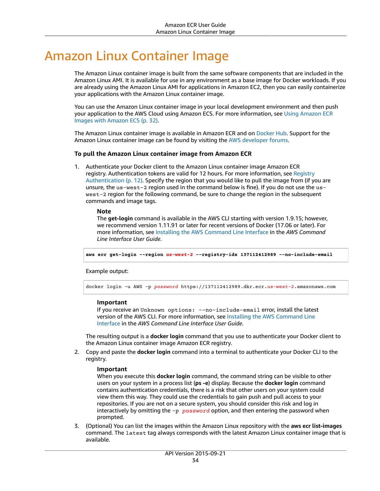# Amazon Linux Container Image

The Amazon Linux container image is built from the same software components that are included in the Amazon Linux AMI. It is available for use in any environment as a base image for Docker workloads. If you are already using the Amazon Linux AMI for applications in Amazon EC2, then you can easily containerize your applications with the Amazon Linux container image.

You can use the Amazon Linux container image in your local development environment and then push your application to the AWS Cloud using Amazon ECS. For more information, see Using [Amazon](#page-35-0) ECR Images with [Amazon](#page-35-0) EC[S \(p. 32\)](#page-35-0).

The Amazon Linux container image is available in Amazon ECR and on [Docker](https://hub.docker.com/_/amazonlinux/) Hub. Support for the Amazon Linux container image can be found by visiting the AWS [developer](https://forums.aws.amazon.com/forum.jspa?forumID=228) forums.

### **To pull the Amazon Linux container image from Amazon ECR**

1. Authenticate your Docker client to the Amazon Linux container image Amazon ECR registry. Authentication tokens are valid for 12 hours. For more information, see [Registry](#page-15-0) [Authentication \(p. 12\)](#page-15-0). Specify the region that you would like to pull the image from (if you are unsure, the us-west-2 region used in the command below is fine). If you do not use the uswest-2 region for the following command, be sure to change the region in the subsequent commands and image tags.

#### **Note**

The **get-login** command is available in the AWS CLI starting with version 1.9.15; however, we recommend version 1.11.91 or later for recent versions of Docker (17.06 or later). For more information, see Installing the AWS [Command](https://docs.aws.amazon.com/cli/latest/userguide/installing.html) Line Interface in the *AWS Command Line Interface User Guide*.

**aws ecr get-login --region** *us-west-2* **--registry-ids 137112412989 --no-include-email**

Example output:

docker login -u AWS -p *password* https://137112412989.dkr.ecr.*us-west-2*.amazonaws.com

#### **Important**

If you receive an Unknown options: --no-include-email error, install the latest version of the AWS CLI. For more information, see Installing the AWS [Command](https://docs.aws.amazon.com/cli/latest/userguide/installing.html) Line [Interface](https://docs.aws.amazon.com/cli/latest/userguide/installing.html) in the *AWS Command Line Interface User Guide*.

The resulting output is a **docker login** command that you use to authenticate your Docker client to the Amazon Linux container image Amazon ECR registry.

2. Copy and paste the **docker login** command into a terminal to authenticate your Docker CLI to the registry.

#### **Important**

When you execute this **docker login** command, the command string can be visible to other users on your system in a process list (**ps -e**) display. Because the **docker login** command contains authentication credentials, there is a risk that other users on your system could view them this way. They could use the credentials to gain push and pull access to your repositories. If you are not on a secure system, you should consider this risk and log in interactively by omitting the -p *password* option, and then entering the password when prompted.

3. (Optional) You can list the images within the Amazon Linux repository with the **aws ecr list-images** command. The latest tag always corresponds with the latest Amazon Linux container image that is available.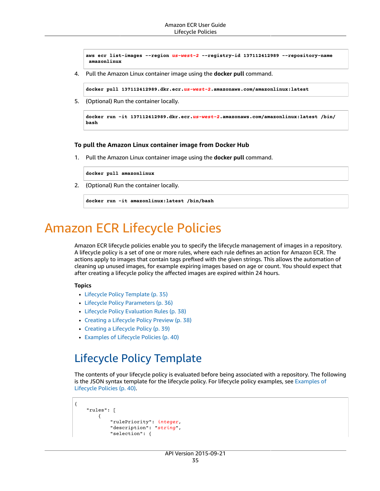```
aws ecr list-images --region us-west-2 --registry-id 137112412989 --repository-name
 amazonlinux
```
4. Pull the Amazon Linux container image using the **docker pull** command.

**docker pull 137112412989.dkr.ecr.***us-west-2***.amazonaws.com/amazonlinux:latest**

5. (Optional) Run the container locally.

```
docker run -it 137112412989.dkr.ecr.us-west-2.amazonaws.com/amazonlinux:latest /bin/
bash
```
#### **To pull the Amazon Linux container image from Docker Hub**

1. Pull the Amazon Linux container image using the **docker pull** command.

**docker pull amazonlinux**

2. (Optional) Run the container locally.

```
docker run -it amazonlinux:latest /bin/bash
```
# Amazon ECR Lifecycle Policies

Amazon ECR lifecycle policies enable you to specify the lifecycle management of images in a repository. A lifecycle policy is a set of one or more rules, where each rule defines an action for Amazon ECR. The actions apply to images that contain tags prefixed with the given strings. This allows the automation of cleaning up unused images, for example expiring images based on age or count. You should expect that after creating a lifecycle policy the affected images are expired within 24 hours.

#### **Topics**

- Lifecycle Policy [Template \(p. 35\)](#page-38-0)
- Lifecycle Policy [Parameters \(p. 36\)](#page-39-0)
- Lifecycle Policy Evaluation [Rules \(p. 38\)](#page-41-0)
- Creating a Lifecycle Policy [Preview \(p. 38\)](#page-41-1)
- Creating a Lifecycle [Policy \(p. 39\)](#page-42-0)
- Examples of Lifecycle [Policies \(p. 40\)](#page-43-0)

### <span id="page-38-0"></span>Lifecycle Policy Template

The contents of your lifecycle policy is evaluated before being associated with a repository. The following is the JSON syntax template for the lifecycle policy. For lifecycle policy examples, see [Examples of](#page-43-0) [Lifecycle](#page-43-0) Policies [\(p. 40\).](#page-43-0)

```
{
     "rules": [
         {
              "rulePriority": integer,
              "description": "string",
              "selection": {
```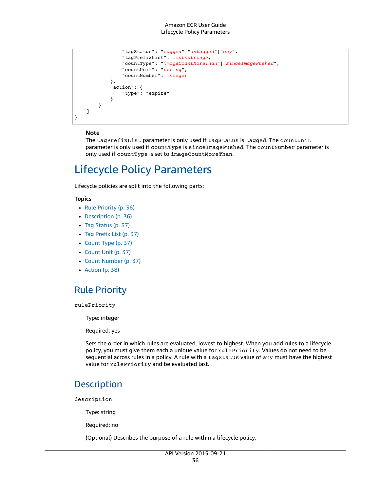```
 "tagStatus": "tagged"|"untagged"|"any",
                 "tagPrefixList": list<string>,
                 "countType": "imageCountMoreThan"|"sinceImagePushed",
                 "countUnit": "string",
                 "countNumber": integer
             },
             "action": {
                 "type": "expire"
 }
         }
    ]
}
```
### **Note**

The tagPrefixList parameter is only used if tagStatus is tagged. The countUnit parameter is only used if countType is sinceImagePushed. The countNumber parameter is only used if countType is set to imageCountMoreThan.

### <span id="page-39-0"></span>Lifecycle Policy Parameters

Lifecycle policies are split into the following parts:

#### **Topics**

- Rule [Priority \(p. 36\)](#page-39-1)
- [Description \(p. 36\)](#page-39-2)
- Tag [Status \(p. 37\)](#page-40-0)
- Tag Prefix [List \(p. 37\)](#page-40-1)
- Count [Type \(p. 37\)](#page-40-2)
- [Count Unit \(p. 37\)](#page-40-3)
- [Count Number \(p. 37\)](#page-40-4)
- [Action \(p. 38\)](#page-41-2)

### <span id="page-39-1"></span>Rule Priority

rulePriority

Type: integer

Required: yes

Sets the order in which rules are evaluated, lowest to highest. When you add rules to a lifecycle policy, you must give them each a unique value for rulePriority. Values do not need to be sequential across rules in a policy. A rule with a tagStatus value of any must have the highest value for rulePriority and be evaluated last.

### <span id="page-39-2"></span>**Description**

description

Type: string

Required: no

(Optional) Describes the purpose of a rule within a lifecycle policy.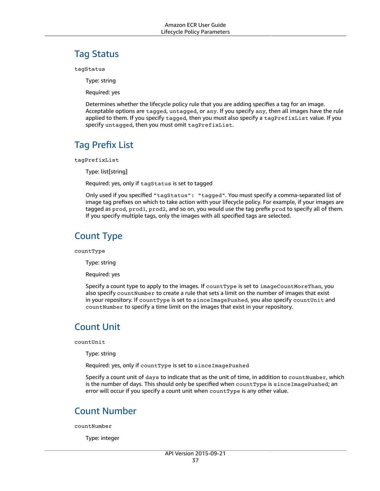### <span id="page-40-0"></span>Tag Status

tagStatus

Type: string

Required: yes

Determines whether the lifecycle policy rule that you are adding specifies a tag for an image. Acceptable options are tagged, untagged, or any. If you specify any, then all images have the rule applied to them. If you specify tagged, then you must also specify a tagPrefixList value. If you specify untagged, then you must omit tagPrefixList.

### <span id="page-40-1"></span>Tag Prefix List

tagPrefixList

Type: list[string]

Required: yes, only if tagStatus is set to tagged

Only used if you specified "tagStatus": "tagged". You must specify a comma-separated list of image tag prefixes on which to take action with your lifecycle policy. For example, if your images are tagged as prod, prod1, prod2, and so on, you would use the tag prefix prod to specify all of them. If you specify multiple tags, only the images with all specified tags are selected.

### <span id="page-40-2"></span>Count Type

countType

Type: string

Required: yes

Specify a count type to apply to the images. If countType is set to imageCountMoreThan, you also specify countNumber to create a rule that sets a limit on the number of images that exist in your repository. If countType is set to sinceImagePushed, you also specify countUnit and countNumber to specify a time limit on the images that exist in your repository.

### <span id="page-40-3"></span>Count Unit

countUnit

Type: string

Required: yes, only if countType is set to sinceImagePushed

Specify a count unit of days to indicate that as the unit of time, in addition to countNumber, which is the number of days. This should only be specified when countType is sinceImagePushed; an error will occur if you specify a count unit when countType is any other value.

### <span id="page-40-4"></span>Count Number

countNumber

Type: integer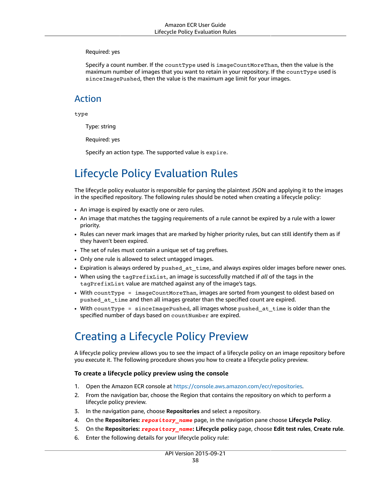### Required: yes

Specify a count number. If the countType used is imageCountMoreThan, then the value is the maximum number of images that you want to retain in your repository. If the countType used is sinceImagePushed, then the value is the maximum age limit for your images.

### <span id="page-41-2"></span>Action

type

Type: string

Required: yes

Specify an action type. The supported value is expire.

## <span id="page-41-0"></span>Lifecycle Policy Evaluation Rules

The lifecycle policy evaluator is responsible for parsing the plaintext JSON and applying it to the images in the specified repository. The following rules should be noted when creating a lifecycle policy:

- An image is expired by exactly one or zero rules.
- An image that matches the tagging requirements of a rule cannot be expired by a rule with a lower priority.
- Rules can never mark images that are marked by higher priority rules, but can still identify them as if they haven't been expired.
- The set of rules must contain a unique set of tag prefixes.
- Only one rule is allowed to select untagged images.
- Expiration is always ordered by pushed at time, and always expires older images before newer ones.
- When using the tagPrefixList, an image is successfully matched if *all* of the tags in the tagPrefixList value are matched against any of the image's tags.
- With countType = imageCountMoreThan, images are sorted from youngest to oldest based on pushed\_at\_time and then all images greater than the specified count are expired.
- With countType = sinceImagePushed, all images whose pushed at time is older than the specified number of days based on countNumber are expired.

### <span id="page-41-1"></span>Creating a Lifecycle Policy Preview

A lifecycle policy preview allows you to see the impact of a lifecycle policy on an image repository before you execute it. The following procedure shows you how to create a lifecycle policy preview.

### **To create a lifecycle policy preview using the console**

- 1. Open the Amazon ECR console at <https://console.aws.amazon.com/ecr/repositories>.
- 2. From the navigation bar, choose the Region that contains the repository on which to perform a lifecycle policy preview.
- 3. In the navigation pane, choose **Repositories** and select a repository.
- 4. On the **Repositories:** *repository\_name* page, in the navigation pane choose **Lifecycle Policy**.
- 5. On the **Repositories:** *repository\_name***: Lifecycle policy** page, choose **Edit test rules**, **Create rule**.
- 6. Enter the following details for your lifecycle policy rule: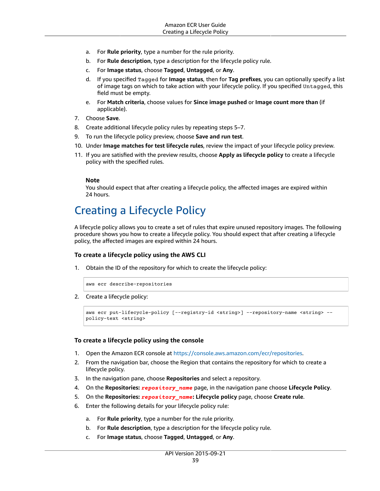- a. For **Rule priority**, type a number for the rule priority.
- b. For **Rule description**, type a description for the lifecycle policy rule.
- c. For **Image status**, choose **Tagged**, **Untagged**, or **Any**.
- d. If you specified Tagged for **Image status**, then for **Tag prefixes**, you can optionally specify a list of image tags on which to take action with your lifecycle policy. If you specified Untagged, this field must be empty.
- e. For **Match criteria**, choose values for **Since image pushed** or **Image count more than** (if applicable).
- 7. Choose **Save**.
- 8. Create additional lifecycle policy rules by repeating steps 5–7.
- 9. To run the lifecycle policy preview, choose **Save and run test**.
- 10. Under **Image matches for test lifecycle rules**, review the impact of your lifecycle policy preview.
- 11. If you are satisfied with the preview results, choose **Apply as lifecycle policy** to create a lifecycle policy with the specified rules.

### **Note**

You should expect that after creating a lifecycle policy, the affected images are expired within 24 hours.

### <span id="page-42-0"></span>Creating a Lifecycle Policy

A lifecycle policy allows you to create a set of rules that expire unused repository images. The following procedure shows you how to create a lifecycle policy. You should expect that after creating a lifecycle policy, the affected images are expired within 24 hours.

### **To create a lifecycle policy using the AWS CLI**

1. Obtain the ID of the repository for which to create the lifecycle policy:

aws ecr describe-repositories

2. Create a lifecycle policy:

```
aws ecr put-lifecycle-policy [--registry-id <string>] --repository-name <string> --
policy-text <string>
```
### **To create a lifecycle policy using the console**

- 1. Open the Amazon ECR console at <https://console.aws.amazon.com/ecr/repositories>.
- 2. From the navigation bar, choose the Region that contains the repository for which to create a lifecycle policy.
- 3. In the navigation pane, choose **Repositories** and select a repository.
- 4. On the **Repositories:** *repository\_name* page, in the navigation pane choose **Lifecycle Policy**.
- 5. On the **Repositories:** *repository\_name***: Lifecycle policy** page, choose **Create rule**.
- 6. Enter the following details for your lifecycle policy rule:
	- a. For **Rule priority**, type a number for the rule priority.
	- b. For **Rule description**, type a description for the lifecycle policy rule.
	- c. For **Image status**, choose **Tagged**, **Untagged**, or **Any**.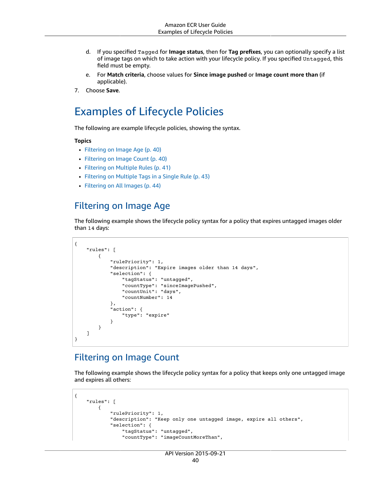- d. If you specified Tagged for **Image status**, then for **Tag prefixes**, you can optionally specify a list of image tags on which to take action with your lifecycle policy. If you specified Untagged, this field must be empty.
- e. For **Match criteria**, choose values for **Since image pushed** or **Image count more than** (if applicable).
- 7. Choose **Save**.

### <span id="page-43-0"></span>Examples of Lifecycle Policies

The following are example lifecycle policies, showing the syntax.

#### **Topics**

- Filtering on Image [Age \(p. 40\)](#page-43-1)
- [Filtering on Image Count \(p. 40\)](#page-43-2)
- [Filtering on Multiple Rules \(p. 41\)](#page-44-0)
- Filtering on Multiple Tags in a Single [Rule \(p. 43\)](#page-46-0)
- [Filtering on All Images \(p. 44\)](#page-47-0)

### <span id="page-43-1"></span>Filtering on Image Age

The following example shows the lifecycle policy syntax for a policy that expires untagged images older than 14 days:

```
{
     "rules": [
         {
             "rulePriority": 1,
             "description": "Expire images older than 14 days",
             "selection": {
                 "tagStatus": "untagged",
                 "countType": "sinceImagePushed",
                 "countUnit": "days",
                 "countNumber": 14
             },
             "action": {
                 "type": "expire"
 }
         }
    ]
}
```
### <span id="page-43-2"></span>Filtering on Image Count

The following example shows the lifecycle policy syntax for a policy that keeps only one untagged image and expires all others:

```
{
     "rules": [
         {
             "rulePriority": 1,
             "description": "Keep only one untagged image, expire all others",
             "selection": {
                 "tagStatus": "untagged",
                 "countType": "imageCountMoreThan",
```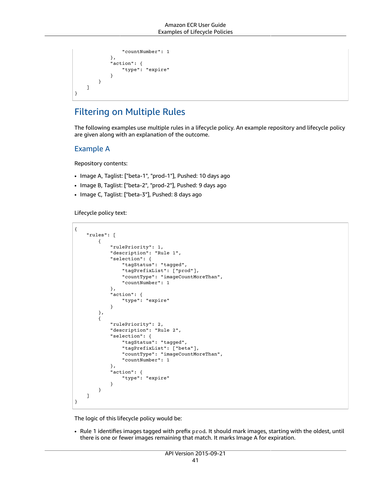```
 "countNumber": 1
            },
            "action": {
            "type": "expire"
 }
        }
    ]
}
```
### <span id="page-44-0"></span>Filtering on Multiple Rules

The following examples use multiple rules in a lifecycle policy. An example repository and lifecycle policy are given along with an explanation of the outcome.

### Example A

Repository contents:

- Image A, Taglist: ["beta-1", "prod-1"], Pushed: 10 days ago
- Image B, Taglist: ["beta-2", "prod-2"], Pushed: 9 days ago
- Image C, Taglist: ["beta-3"], Pushed: 8 days ago

Lifecycle policy text:

```
{
     "rules": [
         {
             "rulePriority": 1,
             "description": "Rule 1",
             "selection": {
                 "tagStatus": "tagged",
                 "tagPrefixList": ["prod"],
                 "countType": "imageCountMoreThan",
                 "countNumber": 1
             },
             "action": {
                 "type": "expire"
 }
         },
         {
             "rulePriority": 2,
             "description": "Rule 2",
             "selection": {
                 "tagStatus": "tagged",
                 "tagPrefixList": ["beta"],
                 "countType": "imageCountMoreThan",
                 "countNumber": 1
             },
             "action": {
                 "type": "expire"
 }
         }
    ]
}
```
The logic of this lifecycle policy would be:

• Rule 1 identifies images tagged with prefix prod. It should mark images, starting with the oldest, until there is one or fewer images remaining that match. It marks Image A for expiration.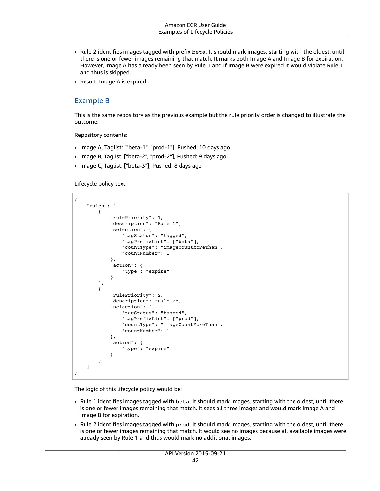- Rule 2 identifies images tagged with prefix beta. It should mark images, starting with the oldest, until there is one or fewer images remaining that match. It marks both Image A and Image B for expiration. However, Image A has already been seen by Rule 1 and if Image B were expired it would violate Rule 1 and thus is skipped.
- Result: Image A is expired.

### Example B

This is the same repository as the previous example but the rule priority order is changed to illustrate the outcome.

Repository contents:

- Image A, Taglist: ["beta-1", "prod-1"], Pushed: 10 days ago
- Image B, Taglist: ["beta-2", "prod-2"], Pushed: 9 days ago
- Image C, Taglist: ["beta-3"], Pushed: 8 days ago

Lifecycle policy text:

```
{
     "rules": [
         {
             "rulePriority": 1,
             "description": "Rule 1",
             "selection": {
                 "tagStatus": "tagged",
                 "tagPrefixList": ["beta"],
                 "countType": "imageCountMoreThan",
                 "countNumber": 1
             },
             "action": {
             "type": "expire"
 }
         },
         {
             "rulePriority": 2,
             "description": "Rule 2",
             "selection": {
                 "tagStatus": "tagged",
                 "tagPrefixList": ["prod"],
                 "countType": "imageCountMoreThan",
                 "countNumber": 1
             },
             "action": {
                 "type": "expire"
 }
         }
     ]
}
```
The logic of this lifecycle policy would be:

- Rule 1 identifies images tagged with beta. It should mark images, starting with the oldest, until there is one or fewer images remaining that match. It sees all three images and would mark Image A and Image B for expiration.
- Rule 2 identifies images tagged with prod. It should mark images, starting with the oldest, until there is one or fewer images remaining that match. It would see no images because all available images were already seen by Rule 1 and thus would mark no additional images.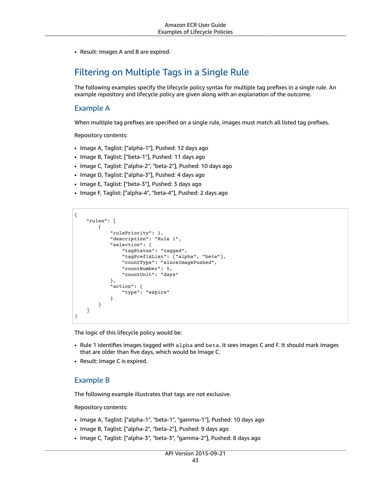• Result: Images A and B are expired.

### <span id="page-46-0"></span>Filtering on Multiple Tags in a Single Rule

The following examples specify the lifecycle policy syntax for multiple tag prefixes in a single rule. An example repository and lifecycle policy are given along with an explanation of the outcome.

### Example A

When multiple tag prefixes are specified on a single rule, images must match all listed tag prefixes.

Repository contents:

- Image A, Taglist: ["alpha-1"], Pushed: 12 days ago
- Image B, Taglist: ["beta-1"], Pushed: 11 days ago
- Image C, Taglist: ["alpha-2", "beta-2"], Pushed: 10 days ago
- Image D, Taglist: ["alpha-3"], Pushed: 4 days ago
- Image E, Taglist: ["beta-3"], Pushed: 3 days ago
- Image F, Taglist: ["alpha-4", "beta-4"], Pushed: 2 days ago

```
{
     "rules": [
\overline{\mathcal{A}} "rulePriority": 1,
              "description": "Rule 1",
              "selection": {
                  "tagStatus": "tagged",
                  "tagPrefixList": ["alpha", "beta"],
                  "countType": "sinceImagePushed",
                  "countNumber": 5,
                  "countUnit": "days"
              },
              "action": {
                  "type": "expire"
 }
         }
     ]
}
```
The logic of this lifecycle policy would be:

- Rule 1 identifies images tagged with alpha and beta. It sees images C and F. It should mark images that are older than five days, which would be Image C.
- Result: Image C is expired.

### Example B

The following example illustrates that tags are not exclusive.

Repository contents:

- Image A, Taglist: ["alpha-1", "beta-1", "gamma-1"], Pushed: 10 days ago
- Image B, Taglist: ["alpha-2", "beta-2"], Pushed: 9 days ago
- Image C, Taglist: ["alpha-3", "beta-3", "gamma-2"], Pushed: 8 days ago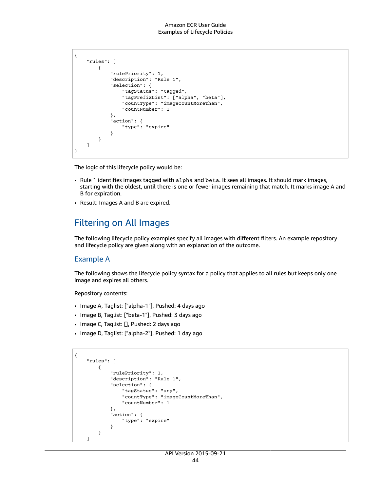```
{
     "rules": [
         {
             "rulePriority": 1,
             "description": "Rule 1",
             "selection": {
                 "tagStatus": "tagged",
                 "tagPrefixList": ["alpha", "beta"],
                 "countType": "imageCountMoreThan",
                 "countNumber": 1
             },
             "action": {
             "type": "expire"
 }
         }
     ]
}
```
The logic of this lifecycle policy would be:

- Rule 1 identifies images tagged with alpha and beta. It sees all images. It should mark images, starting with the oldest, until there is one or fewer images remaining that match. It marks image A and B for expiration.
- Result: Images A and B are expired.

### <span id="page-47-0"></span>Filtering on All Images

The following lifecycle policy examples specify all images with different filters. An example repository and lifecycle policy are given along with an explanation of the outcome.

### Example A

The following shows the lifecycle policy syntax for a policy that applies to all rules but keeps only one image and expires all others.

Repository contents:

- Image A, Taglist: ["alpha-1"], Pushed: 4 days ago
- Image B, Taglist: ["beta-1"], Pushed: 3 days ago
- Image C, Taglist: [], Pushed: 2 days ago
- Image D, Taglist: ["alpha-2"], Pushed: 1 day ago

```
{
     "rules": [
         {
             "rulePriority": 1,
             "description": "Rule 1",
             "selection": {
                 "tagStatus": "any",
                 "countType": "imageCountMoreThan",
                  "countNumber": 1
             },
             "action": {
                  "type": "expire"
 }
         }
     ]
```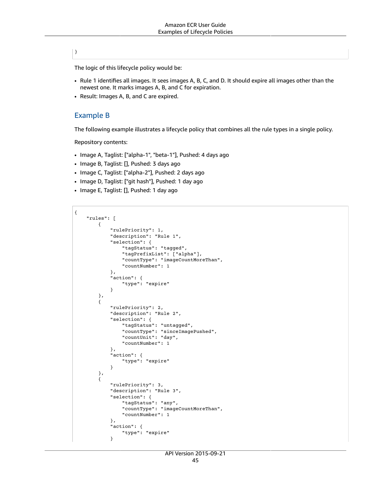### }

{

The logic of this lifecycle policy would be:

- Rule 1 identifies all images. It sees images A, B, C, and D. It should expire all images other than the newest one. It marks images A, B, and C for expiration.
- Result: Images A, B, and C are expired.

### Example B

The following example illustrates a lifecycle policy that combines all the rule types in a single policy.

Repository contents:

- Image A, Taglist: ["alpha-1", "beta-1"], Pushed: 4 days ago
- Image B, Taglist: [], Pushed: 3 days ago
- Image C, Taglist: ["alpha-2"], Pushed: 2 days ago
- Image D, Taglist: ["git hash"], Pushed: 1 day ago
- Image E, Taglist: [], Pushed: 1 day ago

```
 "rules": [
         {
             "rulePriority": 1,
             "description": "Rule 1",
             "selection": {
                 "tagStatus": "tagged",
                 "tagPrefixList": ["alpha"],
                 "countType": "imageCountMoreThan",
                 "countNumber": 1
             },
             "action": {
             "type": "expire"
 }
         },
         {
             "rulePriority": 2,
             "description": "Rule 2",
             "selection": {
                 "tagStatus": "untagged",
                 "countType": "sinceImagePushed",
                 "countUnit": "day",
                 "countNumber": 1
             },
             "action": {
                 "type": "expire"
 }
 },
\overline{\mathcal{A}} "rulePriority": 3,
             "description": "Rule 3",
             "selection": {
                 "tagStatus": "any",
                 "countType": "imageCountMoreThan",
                 "countNumber": 1
             },
             "action": {
                 "type": "expire"
 }
```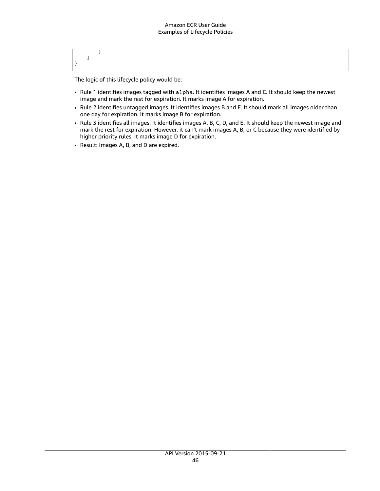} ] }

The logic of this lifecycle policy would be:

- Rule 1 identifies images tagged with alpha. It identifies images A and C. It should keep the newest image and mark the rest for expiration. It marks image A for expiration.
- Rule 2 identifies untagged images. It identifies images B and E. It should mark all images older than one day for expiration. It marks image B for expiration.
- Rule 3 identifies all images. It identifies images A, B, C, D, and E. It should keep the newest image and mark the rest for expiration. However, it can't mark images A, B, or C because they were identified by higher priority rules. It marks image D for expiration.
- Result: Images A, B, and D are expired.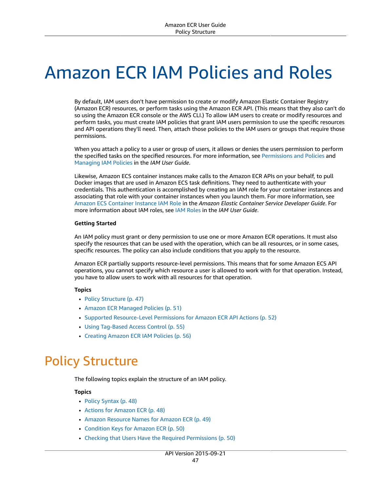# Amazon ECR IAM Policies and Roles

By default, IAM users don't have permission to create or modify Amazon Elastic Container Registry (Amazon ECR) resources, or perform tasks using the Amazon ECR API. (This means that they also can't do so using the Amazon ECR console or the AWS CLI.) To allow IAM users to create or modify resources and perform tasks, you must create IAM policies that grant IAM users permission to use the specific resources and API operations they'll need. Then, attach those policies to the IAM users or groups that require those permissions.

When you attach a policy to a user or group of users, it allows or denies the users permission to perform the specified tasks on the specified resources. For more information, see [Permissions](https://docs.aws.amazon.com/IAM/latest/UserGuide/PermissionsAndPolicies.html) and Policies and [Managing](https://docs.aws.amazon.com/IAM/latest/UserGuide/ManagingPolicies.html) IAM Policies in the *IAM User Guide*.

Likewise, Amazon ECS container instances make calls to the Amazon ECR APIs on your behalf, to pull Docker images that are used in Amazon ECS task definitions. They need to authenticate with your credentials. This authentication is accomplished by creating an IAM role for your container instances and associating that role with your container instances when you launch them. For more information, see Amazon ECS [Container](https://docs.aws.amazon.com/AmazonECS/latest/developerguide/instance_IAM_role.html) Instance IAM Role in the *Amazon Elastic Container Service Developer Guide*. For more information about IAM roles, see IAM [Roles](https://docs.aws.amazon.com/IAM/latest/UserGuide/roles-toplevel.html) in the *IAM User Guide*.

#### **Getting Started**

An IAM policy must grant or deny permission to use one or more Amazon ECR operations. It must also specify the resources that can be used with the operation, which can be all resources, or in some cases, specific resources. The policy can also include conditions that you apply to the resource.

Amazon ECR partially supports resource-level permissions. This means that for some Amazon ECS API operations, you cannot specify which resource a user is allowed to work with for that operation. Instead, you have to allow users to work with all resources for that operation.

### **Topics**

- Policy [Structure \(p. 47\)](#page-50-0)
- Amazon ECR Managed [Policies \(p. 51\)](#page-54-0)
- Supported [Resource-Level](#page-55-0) Permissions for Amazon ECR API Actions (p. 52)
- Using Tag-Based Access [Control \(p. 55\)](#page-58-0)
- Creating Amazon ECR IAM [Policies \(p. 56\)](#page-59-0)

# <span id="page-50-0"></span>Policy Structure

The following topics explain the structure of an IAM policy.

### **Topics**

- Policy [Syntax \(p. 48\)](#page-51-0)
- Actions for Amazon [ECR \(p. 48\)](#page-51-1)
- Amazon Resource Names for Amazon [ECR \(p. 49\)](#page-52-0)
- Condition Keys for Amazon [ECR \(p. 50\)](#page-53-0)
- Checking that Users Have the Required [Permissions \(p. 50\)](#page-53-1)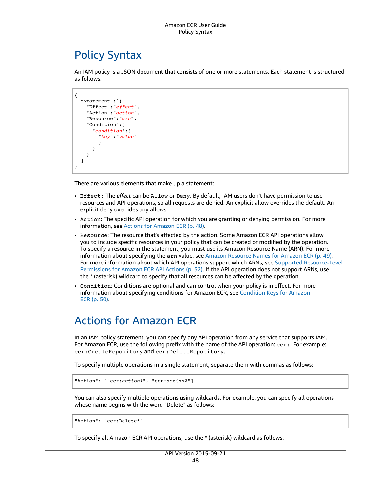### <span id="page-51-0"></span>Policy Syntax

An IAM policy is a JSON document that consists of one or more statements. Each statement is structured as follows:

```
{
   "Statement":[{
     "Effect":"effect",
     "Action":"action",
     "Resource":"arn",
     "Condition":{
        "condition":{
          "key":"value"
          }
        }
     }
   ]
}
```
There are various elements that make up a statement:

- Effect: The *effect* can be Allow or Deny. By default, IAM users don't have permission to use resources and API operations, so all requests are denied. An explicit allow overrides the default. An explicit deny overrides any allows.
- Action: The specific API operation for which you are granting or denying permission. For more information, see Actions for [Amazon](#page-51-1) EC[R \(p. 48\)](#page-51-1).
- Resource: The resource that's affected by the action. Some Amazon ECR API operations allow you to include specific resources in your policy that can be created or modified by the operation. To specify a resource in the statement, you must use its Amazon Resource Name (ARN). For more information about specifying the arn value, see Amazon [Resource](#page-52-0) Names for Amazon EC[R \(p. 49\)](#page-52-0). For more information about which API operations support which ARNs, see Supported [Resource-Level](#page-55-0) [Permissions](#page-55-0) for Amazon ECR API Actions [\(p. 52\).](#page-55-0) If the API operation does not support ARNs, use the \* (asterisk) wildcard to specify that all resources can be affected by the operation.
- Condition: Conditions are optional and can control when your policy is in effect. For more information about specifying conditions for Amazon ECR, see [Condition](#page-53-0) Keys for Amazon [ECR \(p. 50\)](#page-53-0).

### <span id="page-51-1"></span>Actions for Amazon ECR

In an IAM policy statement, you can specify any API operation from any service that supports IAM. For Amazon ECR, use the following prefix with the name of the API operation: ecr:. For example: ecr:CreateRepository and ecr:DeleteRepository.

To specify multiple operations in a single statement, separate them with commas as follows:

```
"Action": ["ecr:action1", "ecr:action2"]
```
You can also specify multiple operations using wildcards. For example, you can specify all operations whose name begins with the word "Delete" as follows:

```
"Action": "ecr:Delete*"
```
To specify all Amazon ECR API operations, use the \* (asterisk) wildcard as follows: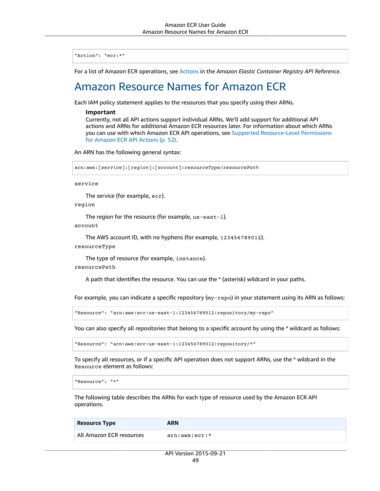"Action": "ecr:\*"

<span id="page-52-0"></span>For a list of Amazon ECR operations, see [Actions](https://docs.aws.amazon.com/AmazonECR/latest/APIReference/API_Operations.html) in the *Amazon Elastic Container Registry API Reference*.

### Amazon Resource Names for Amazon ECR

Each IAM policy statement applies to the resources that you specify using their ARNs.

#### **Important**

Currently, not all API actions support individual ARNs. We'll add support for additional API actions and ARNs for additional Amazon ECR resources later. For information about which ARNs you can use with which Amazon ECR API operations, see Supported [Resource-Level](#page-55-0) Permissions for [Amazon](#page-55-0) ECR API Actions [\(p. 52\).](#page-55-0)

An ARN has the following general syntax:

```
arn:aws:[service]:[region]:[account]:resourceType/resourcePath
```
service

The service (for example, ecr).

region

The region for the resource (for example, us-east-1).

account

```
The AWS account ID, with no hyphens (for example, 123456789012).
```
resourceType

The type of resource (for example, instance).

resourcePath

A path that identifies the resource. You can use the \* (asterisk) wildcard in your paths.

For example, you can indicate a specific repository (my-repo) in your statement using its ARN as follows:

"Resource": "arn:aws:ecr:us-east-1:123456789012:repository/my-repo"

You can also specify all repositories that belong to a specific account by using the \* wildcard as follows:

"Resource": "arn:aws:ecr:us-east-1:123456789012:repository/\*"

To specify all resources, or if a specific API operation does not support ARNs, use the \* wildcard in the Resource element as follows:

```
"Resource": "*"
```
The following table describes the ARNs for each type of resource used by the Amazon ECR API operations.

| <b>Resource Type</b>     | ARN           |
|--------------------------|---------------|
| All Amazon ECR resources | arn:aws:ecr:* |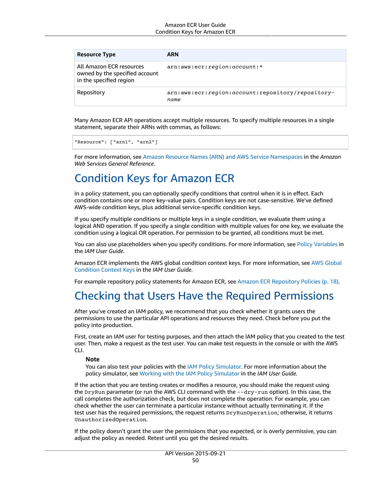#### Amazon ECR User Guide Condition Keys for Amazon ECR

| <b>Resource Type</b>                                                                  | <b>ARN</b>                                                |
|---------------------------------------------------------------------------------------|-----------------------------------------------------------|
| All Amazon ECR resources<br>owned by the specified account<br>in the specified region | arn: aws: ecr: region: account: *                         |
| Repository                                                                            | arn:aws:ecr:region:account:repository/repository-<br>name |

Many Amazon ECR API operations accept multiple resources. To specify multiple resources in a single statement, separate their ARNs with commas, as follows:

```
"Resource": ["arn1", "arn2"]
```
For more information, see Amazon Resource Names (ARN) and AWS Service [Namespaces](https://docs.aws.amazon.com/general/latest/gr/aws-arns-and-namespaces.html) in the *Amazon Web Services General Reference*.

### <span id="page-53-0"></span>Condition Keys for Amazon ECR

In a policy statement, you can optionally specify conditions that control when it is in effect. Each condition contains one or more key-value pairs. Condition keys are not case-sensitive. We've defined AWS-wide condition keys, plus additional service-specific condition keys.

If you specify multiple conditions or multiple keys in a single condition, we evaluate them using a logical AND operation. If you specify a single condition with multiple values for one key, we evaluate the condition using a logical OR operation. For permission to be granted, all conditions must be met.

You can also use placeholders when you specify conditions. For more information, see Policy [Variables](https://docs.aws.amazon.com/IAM/latest/UserGuide/PolicyVariables.html) in the *IAM User Guide*.

Amazon ECR implements the AWS global condition context keys. For more information, see AWS [Global](https://docs.aws.amazon.com/IAM/latest/UserGuide/reference_policies_condition-keys.html) [Condition](https://docs.aws.amazon.com/IAM/latest/UserGuide/reference_policies_condition-keys.html) Context Keys in the *IAM User Guide*.

For example repository policy statements for Amazon ECR, see Amazon ECR [Repository](#page-21-0) Policies [\(p. 18\).](#page-21-0)

### <span id="page-53-1"></span>Checking that Users Have the Required Permissions

After you've created an IAM policy, we recommend that you check whether it grants users the permissions to use the particular API operations and resources they need. Check before you put the policy into production.

First, create an IAM user for testing purposes, and then attach the IAM policy that you created to the test user. Then, make a request as the test user. You can make test requests in the console or with the AWS CLI.

### **Note**

You can also test your policies with the IAM Policy [Simulator.](https://policysim.aws.amazon.com/home/index.jsp?#) For more information about the policy simulator, see Working with the IAM Policy [Simulator](https://docs.aws.amazon.com/IAM/latest/UserGuide/policies_testing-policies.html) in the *IAM User Guide*.

If the action that you are testing creates or modifies a resource, you should make the request using the DryRun parameter (or run the AWS CLI command with the --dry-run option). In this case, the call completes the authorization check, but does not complete the operation. For example, you can check whether the user can terminate a particular instance without actually terminating it. If the test user has the required permissions, the request returns DryRunOperation; otherwise, it returns UnauthorizedOperation.

If the policy doesn't grant the user the permissions that you expected, or is overly permissive, you can adjust the policy as needed. Retest until you get the desired results.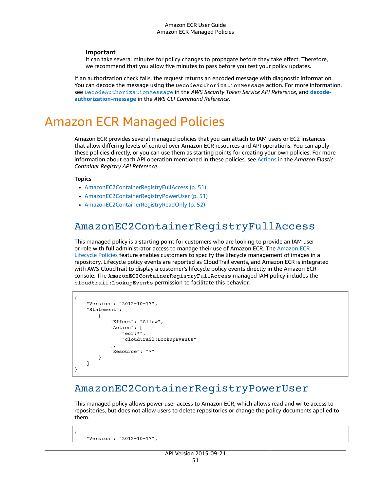#### **Important**

It can take several minutes for policy changes to propagate before they take effect. Therefore, we recommend that you allow five minutes to pass before you test your policy updates.

If an authorization check fails, the request returns an encoded message with diagnostic information. You can decode the message using the DecodeAuthorizationMessage action. For more information, see [DecodeAuthorizationMessage](https://docs.aws.amazon.com/STS/latest/APIReference/API_DecodeAuthorizationMessage.html) in the *AWS Security Token Service API Reference*, and **[decode](https://docs.aws.amazon.com/cli/latest/reference/sts/decode-authorization-message.html)[authorization-message](https://docs.aws.amazon.com/cli/latest/reference/sts/decode-authorization-message.html)** in the *AWS CLI Command Reference*.

# <span id="page-54-0"></span>Amazon ECR Managed Policies

Amazon ECR provides several managed policies that you can attach to IAM users or EC2 instances that allow differing levels of control over Amazon ECR resources and API operations. You can apply these policies directly, or you can use them as starting points for creating your own policies. For more information about each API operation mentioned in these policies, see [Actions](https://docs.aws.amazon.com/AmazonECR/latest/APIReference/API_Operations.html) in the *Amazon Elastic Container Registry API Reference*.

#### **Topics**

- [AmazonEC2ContainerRegistryFullAccess \(p. 51\)](#page-54-1)
- [AmazonEC2ContainerRegistryPowerUser \(p. 51\)](#page-54-2)
- [AmazonEC2ContainerRegistryReadOnly \(p. 52\)](#page-55-1)

### <span id="page-54-1"></span>AmazonEC2ContainerRegistryFullAccess

This managed policy is a starting point for customers who are looking to provide an IAM user or role with full administrator access to manage their use of [Amazon](https://docs.aws.amazon.com/AmazonECR/latest/userguide/LifecyclePolicies.html) ECR. The Amazon ECR [Lifecycle](https://docs.aws.amazon.com/AmazonECR/latest/userguide/LifecyclePolicies.html) Policies feature enables customers to specify the lifecycle management of images in a repository. Lifecycle policy events are reported as CloudTrail events, and Amazon ECR is integrated with AWS CloudTrail to display a customer's lifecycle policy events directly in the Amazon ECR console. The AmazonEC2ContainerRegistryFullAccess managed IAM policy includes the cloudtrail:LookupEvents permission to facilitate this behavior.

```
{
     "Version": "2012-10-17",
     "Statement": [
\overline{\mathcal{A}} "Effect": "Allow",
                "Action": [
                     "ecr:*",
                     "cloudtrail:LookupEvents"
               ],
                "Resource": "*"
           }
     ]
}
```
### <span id="page-54-2"></span>AmazonEC2ContainerRegistryPowerUser

This managed policy allows power user access to Amazon ECR, which allows read and write access to repositories, but does not allow users to delete repositories or change the policy documents applied to them.

"Version": "2012-10-17",

{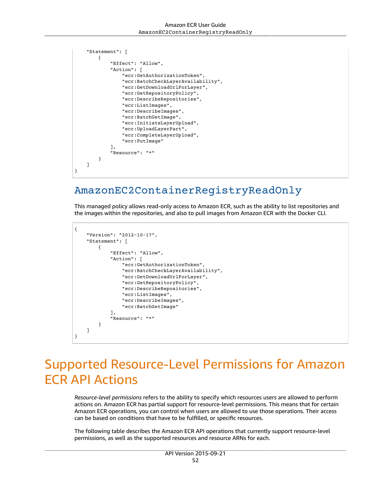```
 "Statement": [
\overline{\mathcal{L}} "Effect": "Allow",
              "Action": [
                   "ecr:GetAuthorizationToken",
                   "ecr:BatchCheckLayerAvailability",
                   "ecr:GetDownloadUrlForLayer",
                   "ecr:GetRepositoryPolicy",
                   "ecr:DescribeRepositories",
                   "ecr:ListImages",
                   "ecr:DescribeImages",
                   "ecr:BatchGetImage",
                   "ecr:InitiateLayerUpload",
                   "ecr:UploadLayerPart",
                   "ecr:CompleteLayerUpload",
                   "ecr:PutImage"
              ],
              "Resource": "*"
         }
     ]
}
```
### <span id="page-55-1"></span>AmazonEC2ContainerRegistryReadOnly

This managed policy allows read-only access to Amazon ECR, such as the ability to list repositories and the images within the repositories, and also to pull images from Amazon ECR with the Docker CLI.

```
{
     "Version": "2012-10-17",
     "Statement": [
          {
               "Effect": "Allow",
               "Action": [
                   "ecr:GetAuthorizationToken",
                   "ecr:BatchCheckLayerAvailability",
                   "ecr:GetDownloadUrlForLayer",
                   "ecr:GetRepositoryPolicy",
                   "ecr:DescribeRepositories",
                   "ecr:ListImages",
                   "ecr:DescribeImages",
                   "ecr:BatchGetImage"
\sim \sim \sim \sim \sim \sim \sim "Resource": "*"
          }
     ]
}
```
# <span id="page-55-0"></span>Supported Resource-Level Permissions for Amazon ECR API Actions

*Resource-level permissions* refers to the ability to specify which resources users are allowed to perform actions on. Amazon ECR has partial support for resource-level permissions. This means that for certain Amazon ECR operations, you can control when users are allowed to use those operations. Their access can be based on conditions that have to be fulfilled, or specific resources.

The following table describes the Amazon ECR API operations that currently support resource-level permissions, as well as the supported resources and resource ARNs for each.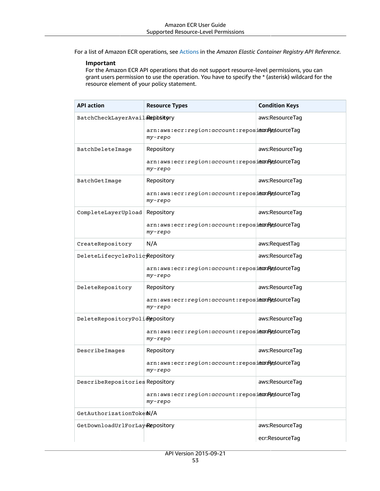For a list of Amazon ECR operations, see [Actions](https://docs.aws.amazon.com/AmazonECR/latest/APIReference/API_Operations.html) in the *Amazon Elastic Container Registry API Reference*.

### **Important**

For the Amazon ECR API operations that do not support resource-level permissions, you can grant users permission to use the operation. You have to specify the \* (asterisk) wildcard for the resource element of your policy statement.

| <b>API</b> action               | <b>Resource Types</b>                                       | <b>Condition Keys</b> |
|---------------------------------|-------------------------------------------------------------|-----------------------|
| BatchCheckLayerAvail&epbitory   |                                                             | aws:ResourceTag       |
|                                 | arn:aws:ecr:region:account:reposiecorrectag<br>my-repo      |                       |
| BatchDeleteImage                | Repository                                                  | aws:ResourceTag       |
|                                 | arn:aws:ecr:region:account:reposiecorrectag<br>my-repo      |                       |
| BatchGetImage                   | Repository                                                  | aws:ResourceTag       |
|                                 | arn:aws:ecr:region:account:reposiecorResourceTag<br>my-repo |                       |
| CompleteLayerUpload Repository  |                                                             | aws:ResourceTag       |
|                                 | arn:aws:ecr:region:account:reposidoxyesourceTag<br>my-repo  |                       |
| CreateRepository                | N/A                                                         | aws:RequestTag        |
| DeleteLifecyclePolicyRepository |                                                             | aws:ResourceTag       |
|                                 | arn:aws:ecr:region:account:repositorResourceTag<br>my-repo  |                       |
| DeleteRepository                | Repository                                                  | aws:ResourceTag       |
|                                 | arn:aws:ecr:region:account:reposidoxyesourceTag<br>my-repo  |                       |
| DeleteRepositoryPolidepository  |                                                             | aws:ResourceTag       |
|                                 | arn:aws:ecr:region:account:reposietoregourceTag<br>my-repo  |                       |
| DescribeImages                  | Repository                                                  | aws:ResourceTag       |
|                                 | arn:aws:ecr:region:account:reposietoregourceTag<br>my-repo  |                       |
| DescribeRepositories Repository |                                                             | aws:ResourceTag       |
|                                 | arn:aws:ecr:region:account:reposiecorResourceTag<br>my-repo |                       |
| GetAuthorizationTokem/A         |                                                             |                       |
| GetDownloadUrlForLay&epository  |                                                             | aws:ResourceTag       |
|                                 |                                                             | ecr:ResourceTag       |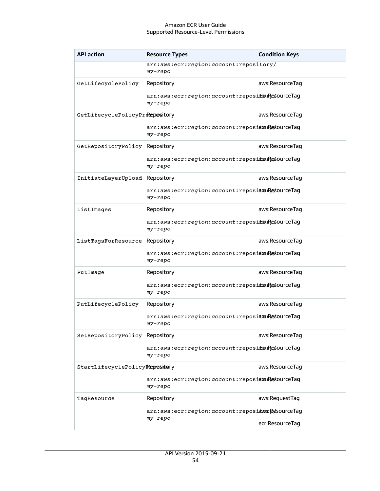| <b>API action</b>              | <b>Resource Types</b>                                              | <b>Condition Keys</b> |
|--------------------------------|--------------------------------------------------------------------|-----------------------|
|                                | arn:aws:ecr:region:account:repository/<br>my-repo                  |                       |
| GetLifecyclePolicy             | Repository                                                         | aws:ResourceTag       |
|                                | arn:aws:ecr:region:account:reposiecorrectag<br>my-repo             |                       |
| GetLifecyclePolicyPreepowitory |                                                                    | aws:ResourceTag       |
|                                | arn:aws:ecr:region:account:reposidoxyesourceTag<br>my-repo         |                       |
| GetRepositoryPolicy Repository |                                                                    | aws:ResourceTag       |
|                                | arn:aws:ecr:region:account:reposidoxyesourceTag<br>$my$ - $rep$ o  |                       |
| InitiateLayerUpload Repository |                                                                    | aws:ResourceTag       |
|                                | arn:aws:ecr:region:account:reposiecorrectag<br>my-repo             |                       |
| ListImages                     | Repository                                                         | aws:ResourceTag       |
|                                | arn:aws:ecr:region:account:reposiecorResourceTag<br>my-repo        |                       |
| ListTagsForResource            | Repository                                                         | aws:ResourceTag       |
|                                | arn:aws:ecr:region:account:reposiecorrectag<br>my-repo             |                       |
| PutImage                       | Repository                                                         | aws:ResourceTag       |
|                                | arn:aws:ecr:region:account:reposiecorrectag<br>$my$ -repo          |                       |
| PutLifecyclePolicy             | Repository                                                         | aws:ResourceTag       |
|                                | arn:aws:ecr:region:account:reposiecorrectag<br>my-repo             |                       |
| SetRepositoryPolicy Repository |                                                                    | aws:ResourceTag       |
|                                | arn:aws:ecr:region:account:reposiecorResourceTag<br>$my$ - $rep$ o |                       |
| StartLifecyclePolicyRepository |                                                                    | aws:ResourceTag       |
|                                | arn:aws:ecr:region:account:reposiecorrectag<br>my-repo             |                       |
| TagResource                    | Repository                                                         | aws:RequestTag        |
|                                | arn:aws:ecr:region:account:reposiawsxResourceTag<br>my-repo        |                       |
|                                |                                                                    | ecr:ResourceTag       |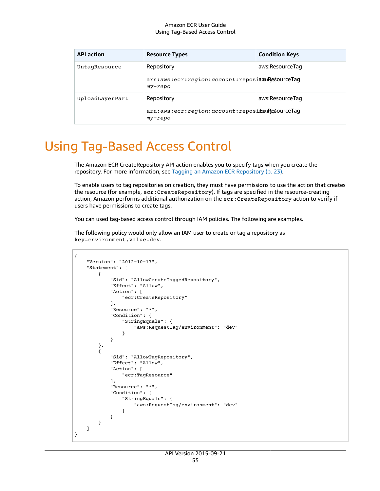| <b>API action</b> | <b>Resource Types</b>                                                | <b>Condition Keys</b> |
|-------------------|----------------------------------------------------------------------|-----------------------|
| UntagResource     | Repository<br>arn:aws:ecr:region:account:reposiecorrectag<br>my-repo | aws:ResourceTag       |
| UploadLayerPart   | Repository<br>arn:aws:ecr:region:account:reposiecorrectag<br>my-repo | aws:ResourceTag       |

# <span id="page-58-0"></span>Using Tag-Based Access Control

The Amazon ECR CreateRepository API action enables you to specify tags when you create the repository. For more information, see Tagging an Amazon ECR [Repository \(p. 23\).](#page-26-0)

To enable users to tag repositories on creation, they must have permissions to use the action that creates the resource (for example, ecr:CreateRepository). If tags are specified in the resource-creating action, Amazon performs additional authorization on the ecr:CreateRepository action to verify if users have permissions to create tags.

You can used tag-based access control through IAM policies. The following are examples.

The following policy would only allow an IAM user to create or tag a repository as key=environment,value=dev.

```
{
    "Version": "2012-10-17",
    "Statement": [
        {
            "Sid": "AllowCreateTaggedRepository",
            "Effect": "Allow",
            "Action": [
                "ecr:CreateRepository"
            ],
            "Resource": "*",
            "Condition": {
                "StringEquals": {
                    "aws:RequestTag/environment": "dev"
 }
 }
        },
        {
            "Sid": "AllowTagRepository",
            "Effect": "Allow",
            "Action": [
                "ecr:TagResource"
            ],
            "Resource": "*",
            "Condition": {
                "StringEquals": {
                    "aws:RequestTag/environment": "dev"
 }
 }
        }
    ]
}
```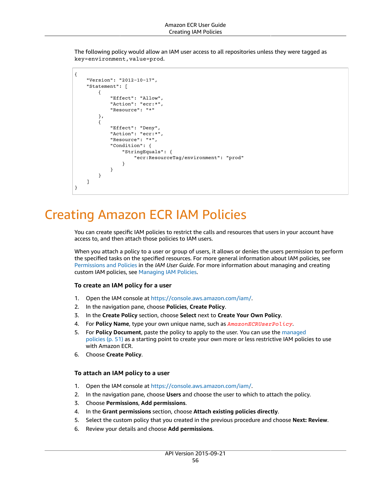The following policy would allow an IAM user access to all repositories unless they were tagged as key=environment,value=prod.

```
{
    "Version": "2012-10-17",
    "Statement": [
        {
             "Effect": "Allow",
             "Action": "ecr:*",
             "Resource": "*"
        },
         {
             "Effect": "Deny",
             "Action": "ecr:*",
             "Resource": "*",
             "Condition": {
                "StringEquals": {
                     "ecr:ResourceTag/environment": "prod"
 }
 }
        }
    ]
}
```
# <span id="page-59-0"></span>Creating Amazon ECR IAM Policies

You can create specific IAM policies to restrict the calls and resources that users in your account have access to, and then attach those policies to IAM users.

When you attach a policy to a user or group of users, it allows or denies the users permission to perform the specified tasks on the specified resources. For more general information about IAM policies, see [Permissions](https://docs.aws.amazon.com/IAM/latest/UserGuide/PermissionsAndPolicies.html) and Policies in the *IAM User Guide*. For more information about managing and creating custom IAM policies, see [Managing](https://docs.aws.amazon.com/IAM/latest/UserGuide/ManagingPolicies.html) IAM Policies.

### **To create an IAM policy for a user**

- 1. Open the IAM console at <https://console.aws.amazon.com/iam/>.
- 2. In the navigation pane, choose **Policies**, **Create Policy**.
- 3. In the **Create Policy** section, choose **Select** next to **Create Your Own Policy**.
- 4. For **Policy Name**, type your own unique name, such as *AmazonECRUserPolicy*.
- 5. For **Policy Document**, paste the policy to apply to the user. You can use the [managed](#page-54-0) [policies \(p. 51\)](#page-54-0) as a starting point to create your own more or less restrictive IAM policies to use with Amazon ECR.
- 6. Choose **Create Policy**.

### **To attach an IAM policy to a user**

- 1. Open the IAM console at <https://console.aws.amazon.com/iam/>.
- 2. In the navigation pane, choose **Users** and choose the user to which to attach the policy.
- 3. Choose **Permissions**, **Add permissions**.
- 4. In the **Grant permissions** section, choose **Attach existing policies directly**.
- 5. Select the custom policy that you created in the previous procedure and choose **Next: Review**.
- 6. Review your details and choose **Add permissions**.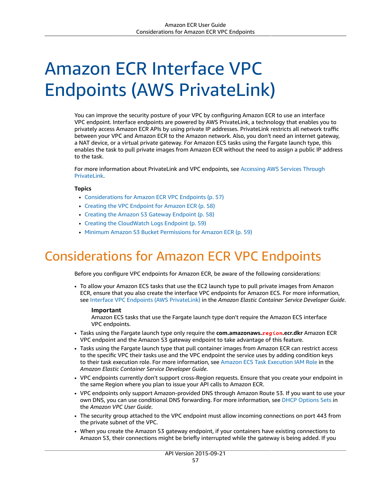# Amazon ECR Interface VPC Endpoints (AWS PrivateLink)

You can improve the security posture of your VPC by configuring Amazon ECR to use an interface VPC endpoint. Interface endpoints are powered by AWS PrivateLink, a technology that enables you to privately access Amazon ECR APIs by using private IP addresses. PrivateLink restricts all network traffic between your VPC and Amazon ECR to the Amazon network. Also, you don't need an internet gateway, a NAT device, or a virtual private gateway. For Amazon ECS tasks using the Fargate launch type, this enables the task to pull private images from Amazon ECR without the need to assign a public IP address to the task.

For more information about PrivateLink and VPC endpoints, see [Accessing](https://docs.aws.amazon.com/vpc/latest/userguide/VPC_Introduction.html#what-is-privatelink) AWS Services Through [PrivateLink.](https://docs.aws.amazon.com/vpc/latest/userguide/VPC_Introduction.html#what-is-privatelink)

### **Topics**

- Considerations for Amazon ECR VPC [Endpoints \(p. 57\)](#page-60-0)
- Creating the VPC Endpoint for Amazon [ECR \(p. 58\)](#page-61-0)
- Creating the Amazon S3 Gateway [Endpoint \(p. 58\)](#page-61-1)
- Creating the CloudWatch Logs [Endpoint \(p. 59\)](#page-62-0)
- Minimum Amazon S3 Bucket [Permissions](#page-62-1) for Amazon ECR (p. 59)

# <span id="page-60-0"></span>Considerations for Amazon ECR VPC Endpoints

Before you configure VPC endpoints for Amazon ECR, be aware of the following considerations:

• To allow your Amazon ECS tasks that use the EC2 launch type to pull private images from Amazon ECR, ensure that you also create the interface VPC endpoints for Amazon ECS. For more information, see Interface VPC Endpoints (AWS [PrivateLink\)](https://docs.aws.amazon.com/AmazonECS/latest/developerguide/vpc-endpoints.html) in the *Amazon Elastic Container Service Developer Guide*.

### **Important**

Amazon ECS tasks that use the Fargate launch type don't require the Amazon ECS interface VPC endpoints.

- Tasks using the Fargate launch type only require the **com.amazonaws.***region***.ecr.dkr** Amazon ECR VPC endpoint and the Amazon S3 gateway endpoint to take advantage of this feature.
- Tasks using the Fargate launch type that pull container images from Amazon ECR can restrict access to the specific VPC their tasks use and the VPC endpoint the service uses by adding condition keys to their task execution role. For more information, see Amazon ECS Task [Execution](https://docs.aws.amazon.com/AmazonECS/latest/developerguide/task_execution_IAM_role.html) IAM Role in the *Amazon Elastic Container Service Developer Guide*.
- VPC endpoints currently don't support cross-Region requests. Ensure that you create your endpoint in the same Region where you plan to issue your API calls to Amazon ECR.
- VPC endpoints only support Amazon-provided DNS through Amazon Route 53. If you want to use your own DNS, you can use conditional DNS forwarding. For more information, see [DHCP Options Sets](https://docs.aws.amazon.com/vpc/latest/userguide/VPC_DHCP_Options.html) in the *Amazon VPC User Guide*.
- The security group attached to the VPC endpoint must allow incoming connections on port 443 from the private subnet of the VPC.
- When you create the Amazon S3 gateway endpoint, if your containers have existing connections to Amazon S3, their connections might be briefly interrupted while the gateway is being added. If you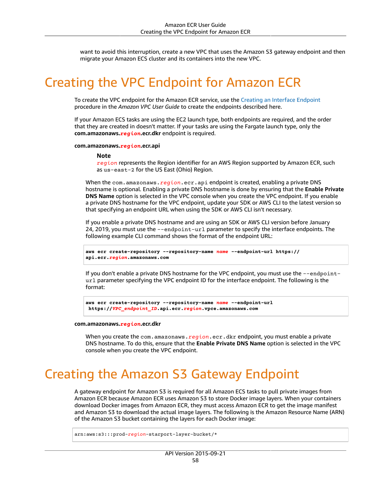want to avoid this interruption, create a new VPC that uses the Amazon S3 gateway endpoint and then migrate your Amazon ECS cluster and its containers into the new VPC.

# <span id="page-61-0"></span>Creating the VPC Endpoint for Amazon ECR

To create the VPC endpoint for the Amazon ECR service, use the Creating an Interface [Endpoint](https://docs.aws.amazon.com/vpc/latest/userguide/vpce-interface.html#create-interface-endpoint) procedure in the *Amazon VPC User Guide* to create the endpoints described here.

If your Amazon ECS tasks are using the EC2 launch type, both endpoints are required, and the order that they are created in doesn't matter. If your tasks are using the Fargate launch type, only the **com.amazonaws.***region***.ecr.dkr** endpoint is required.

#### **com.amazonaws.***region***.ecr.api**

#### **Note**

*region* represents the Region identifier for an AWS Region supported by Amazon ECR, such as us-east-2 for the US East (Ohio) Region.

When the com.amazonaws.*region*.ecr.api endpoint is created, enabling a private DNS hostname is optional. Enabling a private DNS hostname is done by ensuring that the **Enable Private DNS Name** option is selected in the VPC console when you create the VPC endpoint. If you enable a private DNS hostname for the VPC endpoint, update your SDK or AWS CLI to the latest version so that specifying an endpoint URL when using the SDK or AWS CLI isn't necessary.

If you enable a private DNS hostname and are using an SDK or AWS CLI version before January 24, 2019, you must use the --endpoint-url parameter to specify the interface endpoints. The following example CLI command shows the format of the endpoint URL:

```
aws ecr create-repository --repository-name name --endpoint-url https://
api.ecr.region.amazonaws.com
```
If you don't enable a private DNS hostname for the VPC endpoint, you must use the --endpointurl parameter specifying the VPC endpoint ID for the interface endpoint. The following is the format:

```
aws ecr create-repository --repository-name name --endpoint-url
 https://VPC_endpoint_ID.api.ecr.region.vpce.amazonaws.com
```
#### **com.amazonaws.***region***.ecr.dkr**

When you create the com. amazonaws. *region*. ecr.dkr endpoint, you must enable a private DNS hostname. To do this, ensure that the **Enable Private DNS Name** option is selected in the VPC console when you create the VPC endpoint.

# <span id="page-61-1"></span>Creating the Amazon S3 Gateway Endpoint

A gateway endpoint for Amazon S3 is required for all Amazon ECS tasks to pull private images from Amazon ECR because Amazon ECR uses Amazon S3 to store Docker image layers. When your containers download Docker images from Amazon ECR, they must access Amazon ECR to get the image manifest and Amazon S3 to download the actual image layers. The following is the Amazon Resource Name (ARN) of the Amazon S3 bucket containing the layers for each Docker image:

arn:aws:s3:::prod-*region*-starport-layer-bucket/\*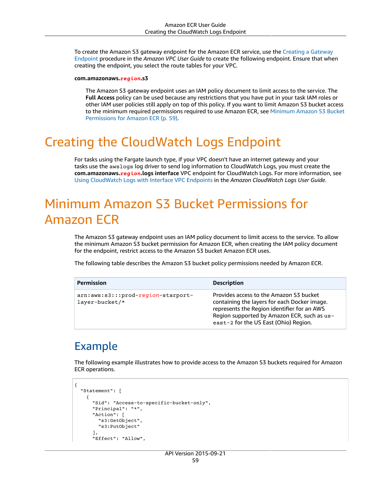To create the Amazon S3 gateway endpoint for the Amazon ECR service, use the Creating a [Gateway](https://docs.aws.amazon.com/vpc/latest/userguide/vpce-gateway.html#create-gateway-endpoint) [Endpoint](https://docs.aws.amazon.com/vpc/latest/userguide/vpce-gateway.html#create-gateway-endpoint) procedure in the *Amazon VPC User Guide* to create the following endpoint. Ensure that when creating the endpoint, you select the route tables for your VPC.

#### **com.amazonaws.***region***.s3**

The Amazon S3 gateway endpoint uses an IAM policy document to limit access to the service. The **Full Access** policy can be used because any restrictions that you have put in your task IAM roles or other IAM user policies still apply on top of this policy. If you want to limit Amazon S3 bucket access to the minimum required permissions required to use Amazon ECR, see [Minimum](#page-62-1) Amazon S3 Bucket [Permissions](#page-62-1) for Amazon ECR [\(p. 59\).](#page-62-1)

# <span id="page-62-0"></span>Creating the CloudWatch Logs Endpoint

For tasks using the Fargate launch type, if your VPC doesn't have an internet gateway and your tasks use the awslogs log driver to send log information to CloudWatch Logs, you must create the **com.amazonaws.***region***.logs interface** VPC endpoint for CloudWatch Logs. For more information, see Using [CloudWatch](https://docs.aws.amazon.com/AmazonCloudWatch/latest/logs/cloudwatch-logs-and-interface-VPC.html) Logs with Interface VPC Endpoints in the *Amazon CloudWatch Logs User Guide*.

# <span id="page-62-1"></span>Minimum Amazon S3 Bucket Permissions for Amazon ECR

The Amazon S3 gateway endpoint uses an IAM policy document to limit access to the service. To allow the minimum Amazon S3 bucket permission for Amazon ECR, when creating the IAM policy document for the endpoint, restrict access to the Amazon S3 bucket Amazon ECR uses.

The following table describes the Amazon S3 bucket policy permissions needed by Amazon ECR.

| Permission                                             | <b>Description</b>                                                                                                                                                                                                             |
|--------------------------------------------------------|--------------------------------------------------------------------------------------------------------------------------------------------------------------------------------------------------------------------------------|
| arn:aws:s3:::prod-region-starport-<br>$layer-bucket/*$ | Provides access to the Amazon S3 bucket<br>containing the layers for each Docker image.<br>represents the Region identifier for an AWS<br>Region supported by Amazon ECR, such as us-<br>east-2 for the US East (Ohio) Region. |

### Example

The following example illustrates how to provide access to the Amazon S3 buckets required for Amazon ECR operations.

```
{
   "Statement": [
     {
       "Sid": "Access-to-specific-bucket-only",
       "Principal": "*",
       "Action": [
          "s3:GetObject",
         "s3:PutObject"
       ],
       "Effect": "Allow",
```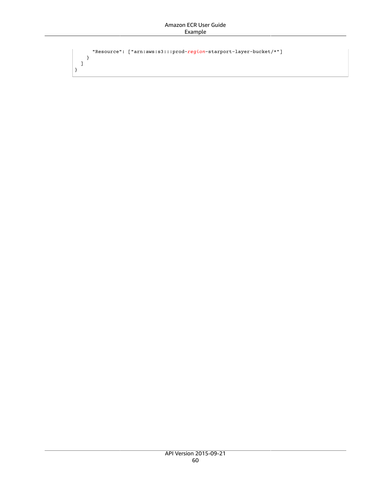```
 "Resource": ["arn:aws:s3:::prod-region-starport-layer-bucket/*"]
     }
  ]
}
```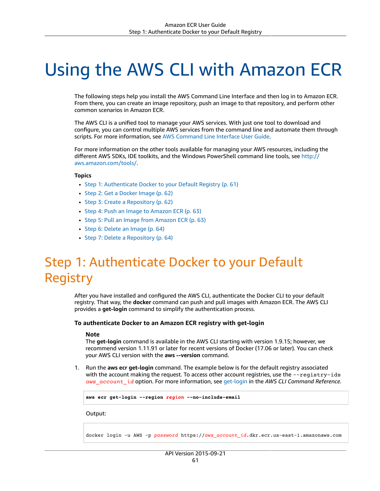# Using the AWS CLI with Amazon ECR

The following steps help you install the AWS Command Line Interface and then log in to Amazon ECR. From there, you can create an image repository, push an image to that repository, and perform other common scenarios in Amazon ECR.

The AWS CLI is a unified tool to manage your AWS services. With just one tool to download and configure, you can control multiple AWS services from the command line and automate them through scripts. For more information, see AWS [Command](https://docs.aws.amazon.com/cli/latest/userguide/) Line Interface User Guide.

For more information on the other tools available for managing your AWS resources, including the different AWS SDKs, IDE toolkits, and the Windows PowerShell command line tools, see [http://](http://aws.amazon.com/tools/) [aws.amazon.com/tools/](http://aws.amazon.com/tools/).

#### **Topics**

- Step 1: Authenticate Docker to your Default [Registry \(p. 61\)](#page-64-0)
- Step 2: Get a Docker [Image \(p. 62\)](#page-65-0)
- Step 3: Create a [Repository \(p. 62\)](#page-65-1)
- Step 4: Push an Image to Amazon [ECR \(p. 63\)](#page-66-0)
- Step 5: Pull an Image from Amazon [ECR \(p. 63\)](#page-66-1)
- [Step 6: Delete an Image \(p. 64\)](#page-67-0)
- Step 7: Delete a [Repository \(p. 64\)](#page-67-1)

# <span id="page-64-0"></span>Step 1: Authenticate Docker to your Default Registry

After you have installed and configured the AWS CLI, authenticate the Docker CLI to your default registry. That way, the **docker** command can push and pull images with Amazon ECR. The AWS CLI provides a **get-login** command to simplify the authentication process.

#### **To authenticate Docker to an Amazon ECR registry with get-login**

#### **Note**

The **get-login** command is available in the AWS CLI starting with version 1.9.15; however, we recommend version 1.11.91 or later for recent versions of Docker (17.06 or later). You can check your AWS CLI version with the **aws --version** command.

1. Run the **aws ecr get-login** command. The example below is for the default registry associated with the account making the request. To access other account registries, use the --registry-ids *aws\_account\_id* option. For more information, see [get-login](https://docs.aws.amazon.com/cli/latest/reference/ecr/get-login.html) in the *AWS CLI Command Reference*.

**aws ecr get-login --region** *region* **--no-include-email**

Output:

docker login -u AWS -p *password* https://*aws\_account\_id*.dkr.ecr.us-east-1.amazonaws.com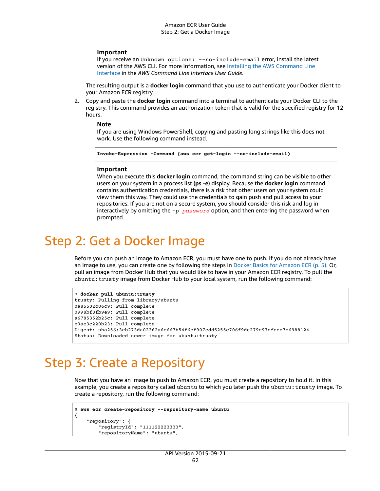#### **Important**

If you receive an Unknown options: --no-include-email error, install the latest version of the AWS CLI. For more information, see Installing the AWS [Command](https://docs.aws.amazon.com/cli/latest/userguide/installing.html) Line [Interface](https://docs.aws.amazon.com/cli/latest/userguide/installing.html) in the *AWS Command Line Interface User Guide*.

The resulting output is a **docker login** command that you use to authenticate your Docker client to your Amazon ECR registry.

2. Copy and paste the **docker login** command into a terminal to authenticate your Docker CLI to the registry. This command provides an authorization token that is valid for the specified registry for 12 hours.

#### **Note**

If you are using Windows PowerShell, copying and pasting long strings like this does not work. Use the following command instead.

```
Invoke-Expression -Command (aws ecr get-login --no-include-email)
```
#### **Important**

When you execute this **docker login** command, the command string can be visible to other users on your system in a process list (**ps -e**) display. Because the **docker login** command contains authentication credentials, there is a risk that other users on your system could view them this way. They could use the credentials to gain push and pull access to your repositories. If you are not on a secure system, you should consider this risk and log in interactively by omitting the -p *password* option, and then entering the password when prompted.

# <span id="page-65-0"></span>Step 2: Get a Docker Image

Before you can push an image to Amazon ECR, you must have one to push. If you do not already have an image to use, you can create one by following the steps in Docker Basics for [Amazon](#page-8-0) EC[R \(p. 5\).](#page-8-0) Or, pull an image from Docker Hub that you would like to have in your Amazon ECR registry. To pull the ubuntu:trusty image from Docker Hub to your local system, run the following command:

```
$ docker pull ubuntu:trusty
trusty: Pulling from library/ubuntu
0a85502c06c9: Pull complete
0998bf8fb9e9: Pull complete
a6785352b25c: Pull complete
e9ae3c220b23: Pull complete
Digest: sha256:3cb273da02362a6e667b54f6cf907edd5255c706f9de279c97cfccc7c6988124
Status: Downloaded newer image for ubuntu:trusty
```
# <span id="page-65-1"></span>Step 3: Create a Repository

Now that you have an image to push to Amazon ECR, you must create a repository to hold it. In this example, you create a repository called ubuntu to which you later push the ubuntu:trusty image. To create a repository, run the following command:

```
$ aws ecr create-repository --repository-name ubuntu
{
     "repository": {
         "registryId": "111122223333",
         "repositoryName": "ubuntu",
```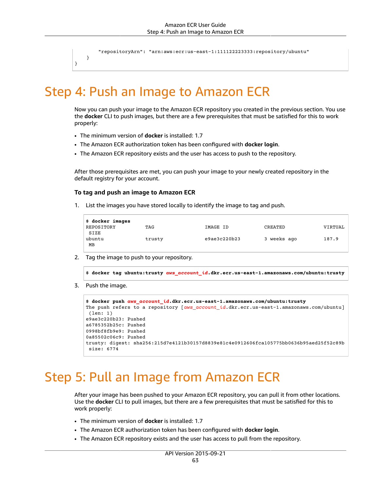"repositoryArn": "arn:aws:ecr:us-east-1:111122223333:repository/ubuntu"

 } }

# <span id="page-66-0"></span>Step 4: Push an Image to Amazon ECR

Now you can push your image to the Amazon ECR repository you created in the previous section. You use the **docker** CLI to push images, but there are a few prerequisites that must be satisfied for this to work properly:

- The minimum version of **docker** is installed: 1.7
- The Amazon ECR authorization token has been configured with **docker login**.
- The Amazon ECR repository exists and the user has access to push to the repository.

After those prerequisites are met, you can push your image to your newly created repository in the default registry for your account.

#### **To tag and push an image to Amazon ECR**

1. List the images you have stored locally to identify the image to tag and push.

| \$ docker images |        |              |             |         |
|------------------|--------|--------------|-------------|---------|
| REPOSITORY       | TAG    | IMAGE ID     | CREATED     | VIRTUAL |
| SIZE<br>ubuntu   | trusty | e9ae3c220b23 | 3 weeks ago | 187.9   |
| МB               |        |              |             |         |

2. Tag the image to push to your repository.

\$ **docker tag ubuntu:trusty** *aws\_account\_id***.dkr.ecr.us-east-1.amazonaws.com/ubuntu:trusty**

3. Push the image.

```
$ docker push aws_account_id.dkr.ecr.us-east-1.amazonaws.com/ubuntu:trusty
The push refers to a repository [aws_account_id.dkr.ecr.us-east-1.amazonaws.com/ubuntu]
 (len: 1)
e9ae3c220b23: Pushed
a6785352b25c: Pushed
0998bf8fb9e9: Pushed
0a85502c06c9: Pushed
trusty: digest: sha256:215d7e4121b30157d8839e81c4e0912606fca105775bb0636b95aed25f52c89b
 size: 6774
```
# <span id="page-66-1"></span>Step 5: Pull an Image from Amazon ECR

After your image has been pushed to your Amazon ECR repository, you can pull it from other locations. Use the **docker** CLI to pull images, but there are a few prerequisites that must be satisfied for this to work properly:

- The minimum version of **docker** is installed: 1.7
- The Amazon ECR authorization token has been configured with **docker login**.
- The Amazon ECR repository exists and the user has access to pull from the repository.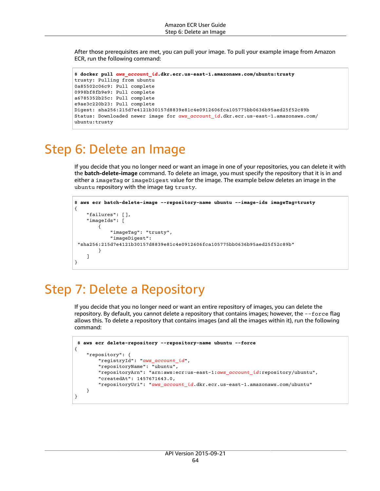After those prerequisites are met, you can pull your image. To pull your example image from Amazon ECR, run the following command:

```
$ docker pull aws_account_id.dkr.ecr.us-east-1.amazonaws.com/ubuntu:trusty
trusty: Pulling from ubuntu
0a85502c06c9: Pull complete
0998bf8fb9e9: Pull complete
a6785352b25c: Pull complete
e9ae3c220b23: Pull complete
Digest: sha256:215d7e4121b30157d8839e81c4e0912606fca105775bb0636b95aed25f52c89b
Status: Downloaded newer image for aws_account_id.dkr.ecr.us-east-1.amazonaws.com/
ubuntu:trusty
```
## <span id="page-67-0"></span>Step 6: Delete an Image

If you decide that you no longer need or want an image in one of your repositories, you can delete it with the **batch-delete-image** command. To delete an image, you must specify the repository that it is in and either a imageTag or imageDigest value for the image. The example below deletes an image in the ubuntu repository with the image tag trusty.

```
$ aws ecr batch-delete-image --repository-name ubuntu --image-ids imageTag=trusty
{
     "failures": [],
     "imageIds": [
\overline{\mathcal{A}} "imageTag": "trusty",
             "imageDigest":
  "sha256:215d7e4121b30157d8839e81c4e0912606fca105775bb0636b95aed25f52c89b"
 }
     ]
}
```
# <span id="page-67-1"></span>Step 7: Delete a Repository

If you decide that you no longer need or want an entire repository of images, you can delete the repository. By default, you cannot delete a repository that contains images; however, the --force flag allows this. To delete a repository that contains images (and all the images within it), run the following command:

```
 $ aws ecr delete-repository --repository-name ubuntu --force
{
     "repository": {
         "registryId": "aws_account_id",
         "repositoryName": "ubuntu",
         "repositoryArn": "arn:aws:ecr:us-east-1:aws_account_id:repository/ubuntu",
         "createdAt": 1457671643.0,
         "repositoryUri": "aws_account_id.dkr.ecr.us-east-1.amazonaws.com/ubuntu"
     }
}
```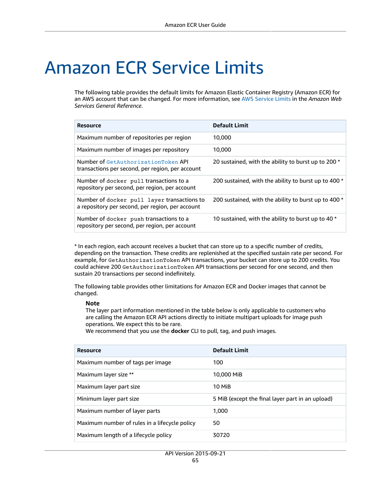# Amazon ECR Service Limits

The following table provides the default limits for Amazon Elastic Container Registry (Amazon ECR) for an AWS account that can be changed. For more information, see AWS [Service](https://docs.aws.amazon.com/general/latest/gr/aws_service_limits.html) Limits in the *Amazon Web Services General Reference*.

| <b>Resource</b>                                                                                 | <b>Default Limit</b>                                 |
|-------------------------------------------------------------------------------------------------|------------------------------------------------------|
| Maximum number of repositories per region                                                       | 10.000                                               |
| Maximum number of images per repository                                                         | 10,000                                               |
| Number of GetAuthorizationToken API<br>transactions per second, per region, per account         | 20 sustained, with the ability to burst up to 200 *  |
| Number of docker pull transactions to a<br>repository per second, per region, per account       | 200 sustained, with the ability to burst up to 400 * |
| Number of docker pull layer transactions to<br>a repository per second, per region, per account | 200 sustained, with the ability to burst up to 400 * |
| Number of docker push transactions to a<br>repository per second, per region, per account       | 10 sustained, with the ability to burst up to 40 *   |

\* In each region, each account receives a bucket that can store up to a specific number of credits, depending on the transaction. These credits are replenished at the specified sustain rate per second. For example, for GetAuthorizationToken API transactions, your bucket can store up to 200 credits. You could achieve 200 GetAuthorizationToken API transactions per second for one second, and then sustain 20 transactions per second indefinitely.

The following table provides other limitations for Amazon ECR and Docker images that cannot be changed.

#### **Note**

The layer part information mentioned in the table below is only applicable to customers who are calling the Amazon ECR API actions directly to initiate multipart uploads for image push operations. We expect this to be rare.

We recommend that you use the **docker** CLI to pull, tag, and push images.

| <b>Resource</b>                               | <b>Default Limit</b>                             |
|-----------------------------------------------|--------------------------------------------------|
| Maximum number of tags per image              | 100                                              |
| Maximum layer size **                         | 10,000 MiB                                       |
| Maximum layer part size                       | <b>10 MiB</b>                                    |
| Minimum layer part size                       | 5 MiB (except the final layer part in an upload) |
| Maximum number of layer parts                 | 1.000                                            |
| Maximum number of rules in a lifecycle policy | 50                                               |
| Maximum length of a lifecycle policy          | 30720                                            |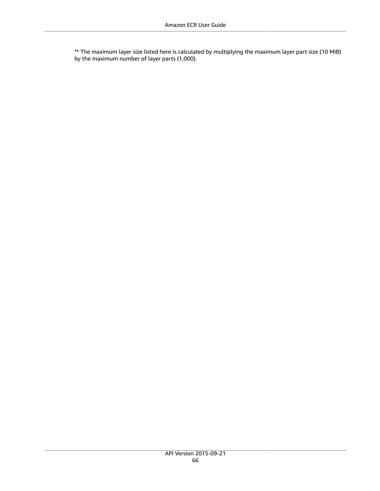\*\* The maximum layer size listed here is calculated by multiplying the maximum layer part size (10 MiB) by the maximum number of layer parts (1,000).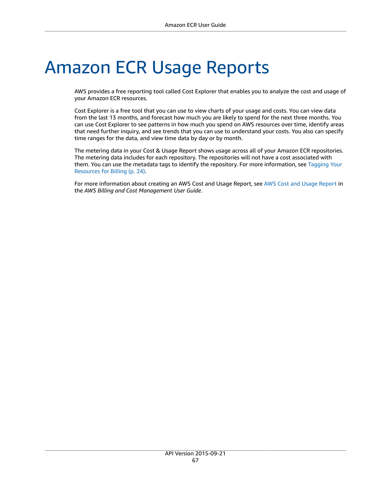# Amazon ECR Usage Reports

AWS provides a free reporting tool called Cost Explorer that enables you to analyze the cost and usage of your Amazon ECR resources.

Cost Explorer is a free tool that you can use to view charts of your usage and costs. You can view data from the last 13 months, and forecast how much you are likely to spend for the next three months. You can use Cost Explorer to see patterns in how much you spend on AWS resources over time, identify areas that need further inquiry, and see trends that you can use to understand your costs. You also can specify time ranges for the data, and view time data by day or by month.

The metering data in your Cost & Usage Report shows usage across all of your Amazon ECR repositories. The metering data includes for each repository. The repositories will not have a cost associated with them. You can use the metadata tags to identify the repository. For more information, see [Tagging](#page-27-0) Your [Resources](#page-27-0) for Billing [\(p. 24\).](#page-27-0)

For more information about creating an AWS Cost and Usage Report, see AWS Cost and Usage [Report](https://docs.aws.amazon.com/awsaccountbilling/latest/aboutv2/billing-reports-costusage.html) in the *AWS Billing and Cost Management User Guide*.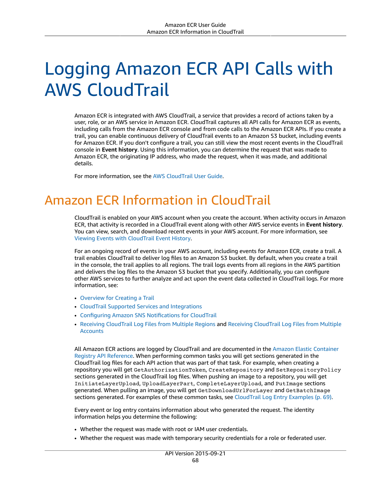# Logging Amazon ECR API Calls with AWS CloudTrail

Amazon ECR is integrated with AWS CloudTrail, a service that provides a record of actions taken by a user, role, or an AWS service in Amazon ECR. CloudTrail captures all API calls for Amazon ECR as events, including calls from the Amazon ECR console and from code calls to the Amazon ECR APIs. If you create a trail, you can enable continuous delivery of CloudTrail events to an Amazon S3 bucket, including events for Amazon ECR. If you don't configure a trail, you can still view the most recent events in the CloudTrail console in **Event history**. Using this information, you can determine the request that was made to Amazon ECR, the originating IP address, who made the request, when it was made, and additional details.

For more information, see the AWS [CloudTrail](https://docs.aws.amazon.com/awscloudtrail/latest/userguide/) User Guide.

# Amazon ECR Information in CloudTrail

CloudTrail is enabled on your AWS account when you create the account. When activity occurs in Amazon ECR, that activity is recorded in a CloudTrail event along with other AWS service events in **Event history**. You can view, search, and download recent events in your AWS account. For more information, see Viewing Events with [CloudTrail](https://docs.aws.amazon.com/awscloudtrail/latest/userguide/view-cloudtrail-events.html) Event History.

For an ongoing record of events in your AWS account, including events for Amazon ECR, create a trail. A trail enables CloudTrail to deliver log files to an Amazon S3 bucket. By default, when you create a trail in the console, the trail applies to all regions. The trail logs events from all regions in the AWS partition and delivers the log files to the Amazon S3 bucket that you specify. Additionally, you can configure other AWS services to further analyze and act upon the event data collected in CloudTrail logs. For more information, see:

- [Overview](https://docs.aws.amazon.com/awscloudtrail/latest/userguide/cloudtrail-create-and-update-a-trail.html) for Creating a Trail
- CloudTrail Supported Services and [Integrations](https://docs.aws.amazon.com/awscloudtrail/latest/userguide/cloudtrail-aws-service-specific-topics.html#cloudtrail-aws-service-specific-topics-integrations)
- Configuring Amazon SNS [Notifications](https://docs.aws.amazon.com/awscloudtrail/latest/userguide/getting_notifications_top_level.html) for CloudTrail
- Receiving [CloudTrail](https://docs.aws.amazon.com/awscloudtrail/latest/userguide/receive-cloudtrail-log-files-from-multiple-regions.html) Log Files from Multiple Regions and Receiving [CloudTrail](https://docs.aws.amazon.com/awscloudtrail/latest/userguide/cloudtrail-receive-logs-from-multiple-accounts.html) Log Files from Multiple **[Accounts](https://docs.aws.amazon.com/awscloudtrail/latest/userguide/cloudtrail-receive-logs-from-multiple-accounts.html)**

All Amazon ECR actions are logged by CloudTrail and are documented in the Amazon Elastic [Container](https://docs.aws.amazon.com/AmazonECR/latest/APIReference/) Registry API [Reference](https://docs.aws.amazon.com/AmazonECR/latest/APIReference/). When performing common tasks you will get sections generated in the CloudTrail log files for each API action that was part of that task. For example, when creating a repository you will get GetAuthorizationToken, CreateRepository and SetRepositoryPolicy sections generated in the CloudTrail log files. When pushing an image to a repository, you will get InitiateLayerUpload, UploadLayerPart, CompleteLayerUpload, and PutImage sections generated. When pulling an image, you will get GetDownloadUrlForLayer and GetBatchImage sections generated. For examples of these common tasks, see [CloudTrail](#page-72-0) Log Entry Example[s \(p. 69\)](#page-72-0).

Every event or log entry contains information about who generated the request. The identity information helps you determine the following:

- Whether the request was made with root or IAM user credentials.
- Whether the request was made with temporary security credentials for a role or federated user.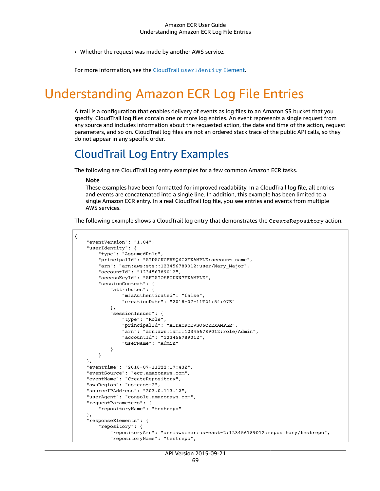• Whether the request was made by another AWS service.

For more information, see the CloudTrail [userIdentity](https://docs.aws.amazon.com/awscloudtrail/latest/userguide/cloudtrail-event-reference-user-identity.html) Element.

# Understanding Amazon ECR Log File Entries

A trail is a configuration that enables delivery of events as log files to an Amazon S3 bucket that you specify. CloudTrail log files contain one or more log entries. An event represents a single request from any source and includes information about the requested action, the date and time of the action, request parameters, and so on. CloudTrail log files are not an ordered stack trace of the public API calls, so they do not appear in any specific order.

### CloudTrail Log Entry Examples

The following are CloudTrail log entry examples for a few common Amazon ECR tasks.

#### **Note**

These examples have been formatted for improved readability. In a CloudTrail log file, all entries and events are concatenated into a single line. In addition, this example has been limited to a single Amazon ECR entry. In a real CloudTrail log file, you see entries and events from multiple AWS services.

The following example shows a CloudTrail log entry that demonstrates the CreateRepository action.

```
{
     "eventVersion": "1.04",
     "userIdentity": {
         "type": "AssumedRole",
         "principalId": "AIDACKCEVSQ6C2EXAMPLE:account_name",
         "arn": "arn:aws:sts::123456789012:user/Mary_Major",
         "accountId": "123456789012",
         "accessKeyId": "AKIAIOSFODNN7EXAMPLE",
         "sessionContext": {
             "attributes": {
                 "mfaAuthenticated": "false",
                 "creationDate": "2018-07-11T21:54:07Z"
             },
             "sessionIssuer": {
                 "type": "Role",
                 "principalId": "AIDACKCEVSQ6C2EXAMPLE",
                 "arn": "arn:aws:iam::123456789012:role/Admin",
                 "accountId": "123456789012",
                 "userName": "Admin"
 }
         }
     },
     "eventTime": "2018-07-11T22:17:43Z",
     "eventSource": "ecr.amazonaws.com",
     "eventName": "CreateRepository",
     "awsRegion": "us-east-2",
     "sourceIPAddress": "203.0.113.12",
     "userAgent": "console.amazonaws.com",
     "requestParameters": {
         "repositoryName": "testrepo"
     },
     "responseElements": {
         "repository": {
             "repositoryArn": "arn:aws:ecr:us-east-2:123456789012:repository/testrepo",
             "repositoryName": "testrepo",
```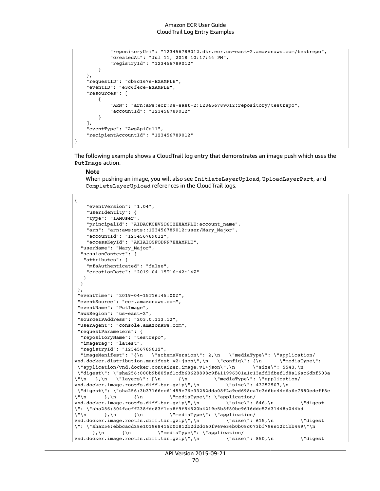```
 "repositoryUri": "123456789012.dkr.ecr.us-east-2.amazonaws.com/testrepo",
             "createdAt": "Jul 11, 2018 10:17:44 PM",
             "registryId": "123456789012"
         }
     },
     "requestID": "cb8c167e-EXAMPLE",
     "eventID": "e3c6f4ce-EXAMPLE",
     "resources": [
         {
             "ARN": "arn:aws:ecr:us-east-2:123456789012:repository/testrepo",
             "accountId": "123456789012"
         }
     ],
     "eventType": "AwsApiCall",
     "recipientAccountId": "123456789012"
}
```
The following example shows a CloudTrail log entry that demonstrates an image push which uses the PutImage action.

#### **Note**

When pushing an image, you will also see InitiateLayerUpload, UploadLayerPart, and CompleteLayerUpload references in the CloudTrail logs.

```
{
      "eventVersion": "1.04",
      "userIdentity": {
      "type": "IAMUser",
      "principalId": "AIDACKCEVSQ6C2EXAMPLE:account_name",
      "arn": "arn:aws:sts::123456789012:user/Mary_Major",
      "accountId": "123456789012",
      "accessKeyId": "AKIAIOSFODNN7EXAMPLE",
   "userName": "Mary_Major",
   "sessionContext": {
     "attributes": {
      "mfaAuthenticated": "false",
      "creationDate": "2019-04-15T16:42:14Z"
    }
   }
  },
  "eventTime": "2019-04-15T16:45:00Z",
  "eventSource": "ecr.amazonaws.com",
  "eventName": "PutImage",
  "awsRegion": "us-east-2",
  "sourceIPAddress": "203.0.113.12",
  "userAgent": "console.amazonaws.com",
  "requestParameters": {
   "repositoryName": "testrepo",
   "imageTag": "latest",
   "registryId": "123456789012",
   "imageManifest": "{\n \"schemaVersion\": 2,\n \"mediaType\": \"application/
vnd.docker.distribution.manifest.v2+json\",\n \"config\": {\n \"mediaType\":
  \"application/vnd.docker.container.image.v1+json\",\n \"size\": 5543,\n 
  \"digest\": \"sha256:000b9b805af1cdb60628898c9f411996301a1c13afd3dbef1d8a16ac6dbf503a
\lceil \cdot \rceil,\n \"layers\": [\n {\n \"mediaType\": \"application/<br>vnd.docker.imaqe.rootfs.diff.tar.qzip\",\n \"size\": 43252507,\n
vnd.dockey.inage.rootfs.diff.tar.qzip\\", \n\\n \"digest\": \"sha256:3b37166ec61459e76e33282dda08f2a9cd698ca7e3d6bc44e6a6e7580cdeff8e
\lceil \cdot \rceil,\n {\n \"mediaType\": \"application/<br>vnd.docker.image.rootfs.diff.tar.gzip\",\n \"size\": 846,\n
vnd.docker.image.rootfs.diff.tar.gzip\",\n \"size\": 846,\n \"digest
\": \"sha256:504facff238fde83f1ca8f9f54520b4219c5b8f80be9616ddc52d31448a044bd
\verb|\\" \verb|n| + \verb|N|+ \verb|N|+ \verb|N|+ \verb|N|+ \verb|N|+ \verb|N|+ \verb|N|+ \verb|N|+ \verb|N|+ \verb|N|+ \verb|N|+ \verb|N|+ \verb|N|+ \verb|N|+ \verb|N|+ \verb|N|+ \verb|N|+ \verb|N|+ \verb|N|+ \verb|N|+ \verb|N|+ \verb|N|+ \verb|N|+ \verb|N|+ \verb|N|+ \verb|N|+ \verb|N|+ \verb|N|+ \verb|N|+ \verb|N|+ \verb|N|+ \verb|N|+ \verb|N|+ \verb|N|+ \verb|N|vnd.docker.image.rootfs.diff.tar.gzip\",\n \"size\": 615,\n \"digest
\": \"sha256:ebbcacd28e101968415b0c812b2d2dc60f969e36b0b08c073bf796e12b1bb449\"\n<br>},\n {\n \"mediaType\": \"application/
                                   \backslash"mediaType\backslash": \backslash"application/
vnd.docker.image.rootfs.diff.tar.gzip\",\n \"size\": 850,\n \"digest
```
API Version 2015-09-21 70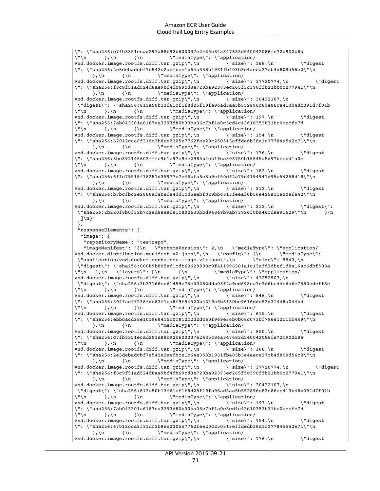vnd.docker.image.rootfs.diff.tar.gzip\",\n \"size\": 176,\n \"digest

```
\": \"sha256:c7fb3351ecad291a88b92b600037e2435c84a347683d540042086fe72c902b8a
\langle \nabla \cdot \mathbf{r} \rangle, \n {\n \"mediaType\": \"application/
vnd.docker.image.rootfs.diff.tar.gzip\",\n \"size\": 168,\n \"digest
\": \"sha256:2e3debadcbf7e542e2aefbce1b64a358b1931fb403b3e4aeca27cb4d809d56c2\"\n<br>},\n {\n \"mediaType\": \"application/
                             \"mediaType\":\"application/<br>f.tar.gzip\",\n \"size\": 37720774,\n
vnd.docker.image.rootfs.diff.tar.gzip\",\n \"size\": 37720774,\n \"digest
\": \"sha256:f8c9f51ad524d8ae9bf4db69cd3e720ba92373ec265f5c390ffb21bb0c277941\"\n
      \},\n {\n \"mediaType\": \"application/
vnd.docker.image.rootfs.diff.tar.gzip\",\n \"size\": 30432107,\n
 \"digest\": \"sha256:813a50b13f61cf1f8d25f19fa96ad3aa5b552896c83e86ce413b48b091d7f01b
\langle \nabla \cdot \mathbf{h} \rangle, \n {\n \'mediaType\": \"application/
vnd.docker.image.rootfs.diff.tar.gzip\",\n \"size\": 197,\n \"digest
\": \"sha256:7ab043301a6187ea3293d80b30ba06c7bf1a0c3cd4c43d10353b31bc0cecfe7d
\"\n },\n {\n \"mediaType\": \"application/<br>vnd.docker.image.rootfs.diff.tar.gzip\",\n \"size\": 154,\n
vnd.docker.image.rootfs.diff.tar.gzip\",\n \"size\": 154,\n \"digest
\": \"sha256:67012cca8f31dc3b8ee2305e7762fee20c250513effdedb38a1c37784a5a2e71\"\n<br>},\n {\n \"mediaType\": \"application/
                             \"mediaType\":\"application/<br>f.tar.gzip\",\n \"size\": 176,\n
vnd.docker.image.rootfs.diff.tar.gzip\",\n \"size\": 176,\n \"digest
\": \"sha256:3bc892145603fffc9b1c97c94e2985b4cb19ca508750b15845a5d97becbd1a0e
\langle \nabla \cdot \mathbf{h} \rangle, \n {\n \"mediaType\": \"application/
vnd.docker.image.rootfs.diff.tar.gzip\",\n \"size\": 183,\n \"digest
\": \"sha256:6f1c79518f18251d35977e7e46bfa6c6b9cf50df2a79d4194941d95c54258d18\"\n
     \},\n {\n \"mediaType\": \"application/
vnd.docker.image.rootfs.diff.tar.gzip\",\n \"size\": 212,\n \"digest
\": \"sha256:b7bcfbc2e2888afebede4dd1cd5eebf029bb6315feeaf0b56e425e11a50afe42\"\n
      \},\n\ {\n \{\n\ \"mediaType\": \"application/
vnd.docker.image.rootfs.diff.tar.qzip\",\n \"size\": 212,\n \"digest\":
  \"sha256:2b220f8b0f32b7c2ed8eaafe1c802633bbd94849b9ab73926f0ba46cdae91629\"\n }\n 
  ]\n\"
  },
  "responseElements": {
   "image": {
    "repositoryName": "testrepo",
    "imageManifest": "{\n \"schemaVersion\": 2,\n \"mediaType\": \"application/
vnd.docker.distribution.manifest.v2+json\",\n \"config\": {\n \"mediaType\":
 \"application/vnd.docker.container.image.v1+json\",\n \"size\": 5543,\n
  \"digest\": \"sha256:000b9b805af1cdb60628898c9f411996301a1c13afd3dbef1d8a16ac6dbf503a
\"\n },\n \"layers\": [\n {\n \"mediaType\": \"application/
vnd.docker.image.rootfs.diff.tar.gzip\",\n \"size\": 43252507,\n 
  \"digest\": \"sha256:3b37166ec61459e76e33282dda08f2a9cd698ca7e3d6bc44e6a6e7580cdeff8e
\"\n },\n {\n \"mediaType\": \"application/
vnd.docker.image.rootfs.diff.tar.gzip\",\n \"size\": 846,\n \"digest
\": \"sha256:504facff238fde83f1ca8f9f54520b4219c5b8f80be9616ddc52d31448a044bd
\langle \nabla \cdot \mathbf{h} \rangle, \n {\n \"mediaType\": \"application/
vnd.docker.image.rootfs.diff.tar.gzip\",\n \"size\": 615,\n \"digest
\": \"sha256:ebbcacd28e101968415b0c812b2d2dc60f969e36b0b08c073bf796e12b1bb449\"\n
     },\n {\n \"mediaType\": \"application/<br>ocker.image.rootfs.diff.tar.gzip\",\n \"size\": 850,\n
vnd.docker.image.rootfs.diff.tar.gzip\",\n \"size\": 850,\n \"digest
\": \"sha256:c7fb3351ecad291a88b92b600037e2435c84a347683d540042086fe72c902b8a
\"\n },\n {\n \"mediaType\": \"application/<br>vnd.docker.image.rootfs.diff.tar.gzip\",\n \"size\": 168.\n
vnd.docker.image.rootfs.diff.tar.gzip\",\n \"size\": 168,\n \"digest
\": \"sha256:2e3debadcbf7e542e2aefbce1b64a358b1931fb403b3e4aeca27cb4d809d56c2\"\n
     \},\n {\n \"mediaType\": \"application/
vnd.docker.image.rootfs.diff.tar.gzip\",\n \"size\": 37720774,\n \"digest
\": \"sha256:f8c9f51ad524d8ae9bf4db69cd3e720ba92373ec265f5c390ffb21bb0c277941\"\n
      \},\n \ {\n \"mediaType\": \"application/
vnd.docker.image.rootfs.diff.tar.gzip\",\n  \"size\": 30432107,\n
\"digest\": \"sha256:813a50b13f61cf1f8d25f19fa96ad3aa5b552896c83e86ce413b48b091d7f01b<br>\"\n },\n {\n \"mediaType\": \"application/
                            \"\n },\n {\n \"mediaType\": \"application/
vnd.docker.image.rootfs.diff.tar.gzip\",\n \"size\": 197,\n \"digest
\": \"sha256:7ab043301a6187ea3293d80b30ba06c7bf1a0c3cd4c43d10353b31bc0cecfe7d
\verb|\\" \verb|n| + \verb|N|+ \verb|N|+ \verb|N|+ \verb|N|+ \verb|N|+ \verb|N|+ \verb|N|+ \verb|N|+ \verb|N|+ \verb|N|+ \verb|N|+ \verb|N|+ \verb|N|+ \verb|N|+ \verb|N|+ \verb|N|+ \verb|N|+ \verb|N|+ \verb|N|+ \verb|N|+ \verb|N|+ \verb|N|+ \verb|N|+ \verb|N|+ \verb|N|+ \verb|N|+ \verb|N|+ \verb|N|+ \verb|N|+ \verb|N|+ \verb|N|+ \verb|N|+ \verb|N|+ \verb|N|+ \verb|N|vnd.docker.image.rootfs.diff.tar.qzip\",\n \"size\": 154,\n \"digest
\": \"sha256:67012cca8f31dc3b8ee2305e7762fee20c250513effdedb38a1c37784a5a2e71\"\n
      }, \n {\n} {\n} {\n \"mediaType\": \"application/
```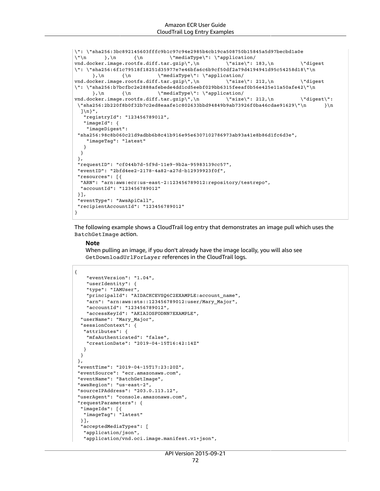```
\": \"sha256:3bc892145603fffc9b1c97c94e2985b4cb19ca508750b15845a5d97becbd1a0e<br>\"\n },\n {\n \"mediaType\": \"application/
                               \"mediaType\": \"application/<br>
\ar . qzip\",\n \"size\": 183,\n
vnd.docker.image.rootfs.diff.tar.gzip\",\n \"size\": 183,\n \"digest
\": \"sha256:6f1c79518f18251d35977e7e46bfa6c6b9cf50df2a79d4194941d95c54258d18\"\n
      \},\n {\n \"mediaType\": \"application/<br>cker.image.rootfs.diff.tar.gzip\",\n \"size\": 212,\n
vnd.docker.image.rootfs.diff.tar.gzip\",\n \"size\": 212,\n \"digest
\": \"sha256:b7bcfbc2e2888afebede4dd1cd5eebf029bb6315feeaf0b56e425e11a50afe42\"\n
      \},\n {\n \"mediaType\": \"application/
vnd.docker.image.rootfs.diff.tar.gzip\",\n \"size\": 212,\n \"digest\":
  \"sha256:2b220f8b0f32b7c2ed8eaafe1c802633bbd94849b9ab73926f0ba46cdae91629\"\n }\n 
  1\n}".
    "registryId": "123456789012",
    "imageId": {
     "imageDigest":
  "sha256:98c8b060c21d9adbb6b8c41b916e95e6307102786973ab93a41e8b86d1fc6d3e",
     "imageTag": "latest"
    }
  }
  },
  "requestID": "cf044b7d-5f9d-11e9-9b2a-95983139cc57",
  "eventID": "2bfd4ee2-2178-4a82-a27d-b12939923f0f",
  "resources": [{
   "ARN": "arn:aws:ecr:us-east-2:123456789012:repository/testrepo",
   "accountId": "123456789012"
  }],
  "eventType": "AwsApiCall",
  "recipientAccountId": "123456789012"
}
```
The following example shows a CloudTrail log entry that demonstrates an image pull which uses the BatchGetImage action.

#### **Note**

When pulling an image, if you don't already have the image locally, you will also see GetDownloadUrlForLayer references in the CloudTrail logs.

```
{
     "eventVersion": "1.04",
     "userIdentity": {
     "type": "IAMUser",
     "principalId": "AIDACKCEVSQ6C2EXAMPLE:account_name",
     "arn": "arn:aws:sts::123456789012:user/Mary_Major",
     "accountId": "123456789012",
     "accessKeyId": "AKIAIOSFODNN7EXAMPLE",
   "userName": "Mary_Major",
   "sessionContext": {
    "attributes": {
     "mfaAuthenticated": "false",
     "creationDate": "2019-04-15T16:42:14Z"
   }
  }
  },
  "eventTime": "2019-04-15T17:23:20Z",
  "eventSource": "ecr.amazonaws.com",
  "eventName": "BatchGetImage",
  "awsRegion": "us-east-2",
  "sourceIPAddress": "203.0.113.12",
  "userAgent": "console.amazonaws.com",
  "requestParameters": {
   "imageIds": [{
   "imageTag": "latest"
  }],
   "acceptedMediaTypes": [
    "application/json",
    "application/vnd.oci.image.manifest.v1+json",
```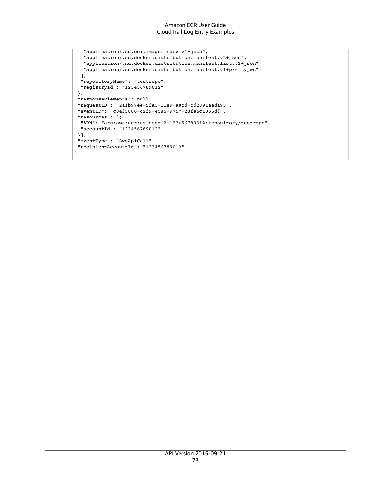```
 "application/vnd.oci.image.index.v1+json",
    "application/vnd.docker.distribution.manifest.v2+json",
    "application/vnd.docker.distribution.manifest.list.v2+json",
   "application/vnd.docker.distribution.manifest.v1+prettyjws"
  ],
  "repositoryName": "testrepo",
  "registryId": "123456789012"
 },
 "responseElements": null,
 "requestID": "2a1b97ee-5fa3-11e9-a8cd-cd2391aeda93",
 "eventID": "c84f5880-c2f9-4585-9757-28fa5c1065df",
 "resources": [{
  "ARN": "arn:aws:ecr:us-east-2:123456789012:repository/testrepo",
  "accountId": "123456789012"
 }],
 "eventType": "AwsApiCall",
 "recipientAccountId": "123456789012"
}
```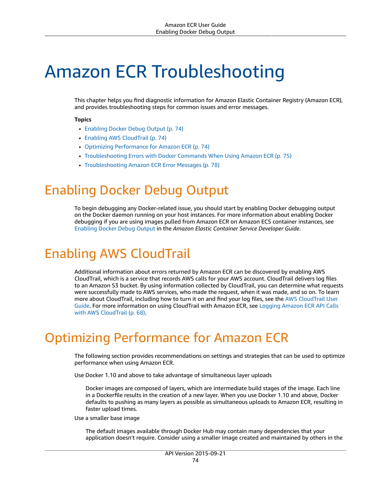# Amazon ECR Troubleshooting

This chapter helps you find diagnostic information for Amazon Elastic Container Registry (Amazon ECR), and provides troubleshooting steps for common issues and error messages.

#### **Topics**

- Enabling Docker Debug [Output \(p. 74\)](#page-77-0)
- Enabling AWS [CloudTrail \(p. 74\)](#page-77-1)
- Optimizing [Performance](#page-77-2) for Amazon ECR (p. 74)
- [Troubleshooting](#page-78-0) Errors with Docker Commands When Using Amazon ECR (p. 75)
- Troubleshooting Amazon ECR Error [Messages \(p. 78\)](#page-81-0)

# <span id="page-77-0"></span>Enabling Docker Debug Output

To begin debugging any Docker-related issue, you should start by enabling Docker debugging output on the Docker daemon running on your host instances. For more information about enabling Docker debugging if you are using images pulled from Amazon ECR on Amazon ECS container instances, see [Enabling](https://docs.aws.amazon.com/AmazonECS/latest/developerguide/troubleshooting.html#docker-debug-mode) Docker Debug Output in the *Amazon Elastic Container Service Developer Guide*.

# <span id="page-77-1"></span>Enabling AWS CloudTrail

Additional information about errors returned by Amazon ECR can be discovered by enabling AWS CloudTrail, which is a service that records AWS calls for your AWS account. CloudTrail delivers log files to an Amazon S3 bucket. By using information collected by CloudTrail, you can determine what requests were successfully made to AWS services, who made the request, when it was made, and so on. To learn more about CloudTrail, including how to turn it on and find your log files, see the AWS [CloudTrail](https://docs.aws.amazon.com/awscloudtrail/latest/userguide/) User [Guide](https://docs.aws.amazon.com/awscloudtrail/latest/userguide/). For more information on using CloudTrail with Amazon ECR, see Logging [Amazon](#page-71-0) ECR API Calls with AWS [CloudTrail \(p. 68\).](#page-71-0)

# <span id="page-77-2"></span>Optimizing Performance for Amazon ECR

The following section provides recommendations on settings and strategies that can be used to optimize performance when using Amazon ECR.

Use Docker 1.10 and above to take advantage of simultaneous layer uploads

Docker images are composed of layers, which are intermediate build stages of the image. Each line in a Dockerfile results in the creation of a new layer. When you use Docker 1.10 and above, Docker defaults to pushing as many layers as possible as simultaneous uploads to Amazon ECR, resulting in faster upload times.

Use a smaller base image

The default images available through Docker Hub may contain many dependencies that your application doesn't require. Consider using a smaller image created and maintained by others in the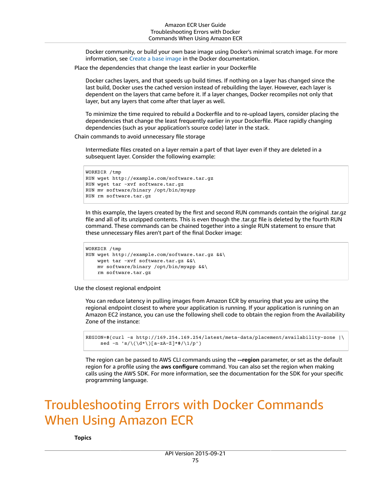Docker community, or build your own base image using Docker's minimal scratch image. For more information, see [Create](https://docs.docker.com/engine/userguide/eng-image/baseimages/) a base image in the Docker documentation.

Place the dependencies that change the least earlier in your Dockerfile

Docker caches layers, and that speeds up build times. If nothing on a layer has changed since the last build, Docker uses the cached version instead of rebuilding the layer. However, each layer is dependent on the layers that came before it. If a layer changes, Docker recompiles not only that layer, but any layers that come after that layer as well.

To minimize the time required to rebuild a Dockerfile and to re-upload layers, consider placing the dependencies that change the least frequently earlier in your Dockerfile. Place rapidly changing dependencies (such as your application's source code) later in the stack.

Chain commands to avoid unnecessary file storage

Intermediate files created on a layer remain a part of that layer even if they are deleted in a subsequent layer. Consider the following example:

```
WORKDIR /tmp
RUN wget http://example.com/software.tar.gz 
RUN wget tar -xvf software.tar.gz 
RUN mv software/binary /opt/bin/myapp
RUN rm software.tar.gz
```
In this example, the layers created by the first and second RUN commands contain the original .tar.gz file and all of its unzipped contents. This is even though the .tar.gz file is deleted by the fourth RUN command. These commands can be chained together into a single RUN statement to ensure that these unnecessary files aren't part of the final Docker image:

```
WORKDIR /tmp
RUN wget http://example.com/software.tar.gz &&\
    wget tar -xvf software.tar.gz &&\
     mv software/binary /opt/bin/myapp &&\
     rm software.tar.gz
```
Use the closest regional endpoint

You can reduce latency in pulling images from Amazon ECR by ensuring that you are using the regional endpoint closest to where your application is running. If your application is running on an Amazon EC2 instance, you can use the following shell code to obtain the region from the Availability Zone of the instance:

```
REGION=$(curl -s http://169.254.169.254/latest/meta-data/placement/availability-zone |\
     sed -n 's/\(\dagger\dagger\dagger\)[a-zA-Z]*$/\1/p')
```
The region can be passed to AWS CLI commands using the **--region** parameter, or set as the default region for a profile using the **aws configure** command. You can also set the region when making calls using the AWS SDK. For more information, see the documentation for the SDK for your specific programming language.

# <span id="page-78-0"></span>Troubleshooting Errors with Docker Commands When Using Amazon ECR

**Topics**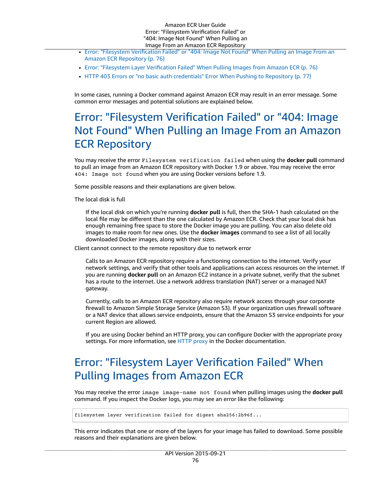#### Amazon ECR User Guide Error: "Filesystem Verification Failed" or "404: Image Not Found" When Pulling an Image From an Amazon ECR Repository

- Error: "Filesystem [Verification](#page-79-0) Failed" or "404: Image Not Found" When Pulling an Image From an Amazon ECR [Repository \(p. 76\)](#page-79-0)
- Error: "Filesystem Layer [Verification](#page-79-1) Failed" When Pulling Images from Amazon ECR (p. 76)
- HTTP 403 Errors or "no basic auth credentials" Error When Pushing to [Repository \(p. 77\)](#page-80-0)

In some cases, running a Docker command against Amazon ECR may result in an error message. Some common error messages and potential solutions are explained below.

### <span id="page-79-0"></span>Error: "Filesystem Verification Failed" or "404: Image Not Found" When Pulling an Image From an Amazon ECR Repository

You may receive the error Filesystem verification failed when using the **docker pull** command to pull an image from an Amazon ECR repository with Docker 1.9 or above. You may receive the error 404: Image not found when you are using Docker versions before 1.9.

Some possible reasons and their explanations are given below.

The local disk is full

If the local disk on which you're running **docker pull** is full, then the SHA-1 hash calculated on the local file may be different than the one calculated by Amazon ECR. Check that your local disk has enough remaining free space to store the Docker image you are pulling. You can also delete old images to make room for new ones. Use the **docker images** command to see a list of all locally downloaded Docker images, along with their sizes.

Client cannot connect to the remote repository due to network error

Calls to an Amazon ECR repository require a functioning connection to the internet. Verify your network settings, and verify that other tools and applications can access resources on the internet. If you are running **docker pull** on an Amazon EC2 instance in a private subnet, verify that the subnet has a route to the internet. Use a network address translation (NAT) server or a managed NAT gateway.

Currently, calls to an Amazon ECR repository also require network access through your corporate firewall to Amazon Simple Storage Service (Amazon S3). If your organization uses firewall software or a NAT device that allows service endpoints, ensure that the Amazon S3 service endpoints for your current Region are allowed.

If you are using Docker behind an HTTP proxy, you can configure Docker with the appropriate proxy settings. For more information, see HTTP [proxy](https://docs.docker.com/engine/admin/systemd/#/http-proxy) in the Docker documentation.

### <span id="page-79-1"></span>Error: "Filesystem Layer Verification Failed" When Pulling Images from Amazon ECR

You may receive the error image image-name not found when pulling images using the **docker pull** command. If you inspect the Docker logs, you may see an error like the following:

filesystem layer verification failed for digest sha256:2b96f...

This error indicates that one or more of the layers for your image has failed to download. Some possible reasons and their explanations are given below.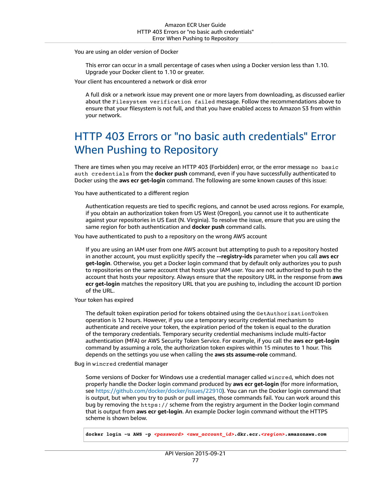You are using an older version of Docker

This error can occur in a small percentage of cases when using a Docker version less than 1.10. Upgrade your Docker client to 1.10 or greater.

Your client has encountered a network or disk error

A full disk or a network issue may prevent one or more layers from downloading, as discussed earlier about the Filesystem verification failed message. Follow the recommendations above to ensure that your filesystem is not full, and that you have enabled access to Amazon S3 from within your network.

### <span id="page-80-0"></span>HTTP 403 Errors or "no basic auth credentials" Error When Pushing to Repository

There are times when you may receive an HTTP 403 (Forbidden) error, or the error message no basic auth credentials from the **docker push** command, even if you have successfully authenticated to Docker using the **aws ecr get-login** command. The following are some known causes of this issue:

You have authenticated to a different region

Authentication requests are tied to specific regions, and cannot be used across regions. For example, if you obtain an authorization token from US West (Oregon), you cannot use it to authenticate against your repositories in US East (N. Virginia). To resolve the issue, ensure that you are using the same region for both authentication and **docker push** command calls.

You have authenticated to push to a repository on the wrong AWS account

If you are using an IAM user from one AWS account but attempting to push to a repository hosted in another account, you must explicitly specify the **--registry-ids** parameter when you call **aws ecr get-login**. Otherwise, you get a Docker login command that by default only authorizes you to push to repositories on the same account that hosts your IAM user. You are not authorized to push to the account that hosts your repository. Always ensure that the repository URL in the response from **aws ecr get-login** matches the repository URL that you are pushing to, including the account ID portion of the URL.

Your token has expired

The default token expiration period for tokens obtained using the GetAuthorizationToken operation is 12 hours. However, if you use a temporary security credential mechanism to authenticate and receive your token, the expiration period of the token is equal to the duration of the temporary credentials. Temporary security credential mechanisms include multi-factor authentication (MFA) or AWS Security Token Service. For example, if you call the **aws ecr get-login** command by assuming a role, the authorization token expires within 15 minutes to 1 hour. This depends on the settings you use when calling the **aws sts assume-role** command.

Bug in wincred credential manager

Some versions of Docker for Windows use a credential manager called wincred, which does not properly handle the Docker login command produced by **aws ecr get-login** (for more information, see<https://github.com/docker/docker/issues/22910>). You can run the Docker login command that is output, but when you try to push or pull images, those commands fail. You can work around this bug by removing the https:// scheme from the registry argument in the Docker login command that is output from **aws ecr get-login**. An example Docker login command without the HTTPS scheme is shown below.

**docker login -u AWS -p** *<password> <aws\_account\_id>***.dkr.ecr.***<region>***.amazonaws.com**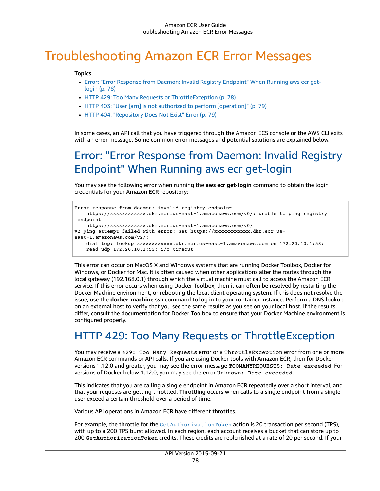# <span id="page-81-0"></span>Troubleshooting Amazon ECR Error Messages

#### **Topics**

- Error: "Error Response from Daemon: Invalid Registry [Endpoint"](#page-81-1) When Running aws ecr get[login \(p. 78\)](#page-81-1)
- HTTP 429: Too Many Requests or [ThrottleException \(p. 78\)](#page-81-2)
- HTTP 403: "User [arn] is not authorized to perform [\[operation\]" \(p. 79\)](#page-82-0)
- HTTP 404: "Repository Does Not Exist" [Error \(p. 79\)](#page-82-1)

In some cases, an API call that you have triggered through the Amazon ECS console or the AWS CLI exits with an error message. Some common error messages and potential solutions are explained below.

### <span id="page-81-1"></span>Error: "Error Response from Daemon: Invalid Registry Endpoint" When Running aws ecr get-login

You may see the following error when running the **aws ecr get-login** command to obtain the login credentials for your Amazon ECR repository:

```
Error response from daemon: invalid registry endpoint 
    https://xxxxxxxxxxxx.dkr.ecr.us-east-1.amazonaws.com/v0/: unable to ping registry
 endpoint 
    https://xxxxxxxxxxxx.dkr.ecr.us-east-1.amazonaws.com/v0/
v2 ping attempt failed with error: Get https://xxxxxxxxxxxx.dkr.ecr.us-
east-1.amazonaws.com/v2/: 
     dial tcp: lookup xxxxxxxxxxxx.dkr.ecr.us-east-1.amazonaws.com on 172.20.10.1:53: 
     read udp 172.20.10.1:53: i/o timeout
```
This error can occur on MacOS X and Windows systems that are running Docker Toolbox, Docker for Windows, or Docker for Mac. It is often caused when other applications alter the routes through the local gateway (192.168.0.1) through which the virtual machine must call to access the Amazon ECR service. If this error occurs when using Docker Toolbox, then it can often be resolved by restarting the Docker Machine environment, or rebooting the local client operating system. If this does not resolve the issue, use the **docker-machine ssh** command to log in to your container instance. Perform a DNS lookup on an external host to verify that you see the same results as you see on your local host. If the results differ, consult the documentation for Docker Toolbox to ensure that your Docker Machine environment is configured properly.

### <span id="page-81-2"></span>HTTP 429: Too Many Requests or ThrottleException

You may receive a 429: Too Many Requests error or a ThrottleException error from one or more Amazon ECR commands or API calls. If you are using Docker tools with Amazon ECR, then for Docker versions 1.12.0 and greater, you may see the error message TOOMANYREQUESTS: Rate exceeded. For versions of Docker below 1.12.0, you may see the error Unknown: Rate exceeded.

This indicates that you are calling a single endpoint in Amazon ECR repeatedly over a short interval, and that your requests are getting throttled. Throttling occurs when calls to a single endpoint from a single user exceed a certain threshold over a period of time.

Various API operations in Amazon ECR have different throttles.

For example, the throttle for the [GetAuthorizationToken](https://docs.aws.amazon.com/AmazonECR/latest/APIReference/API_GetAuthorizationToken.html) action is 20 transaction per second (TPS), with up to a 200 TPS burst allowed. In each region, each account receives a bucket that can store up to 200 GetAuthorizationToken credits. These credits are replenished at a rate of 20 per second. If your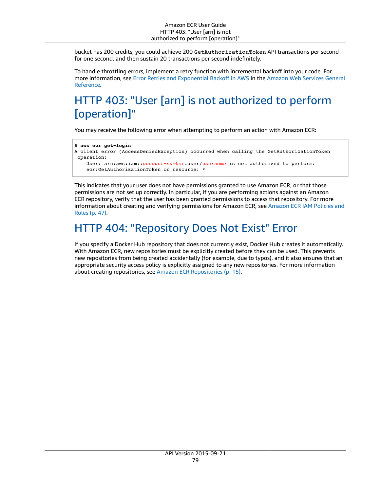bucket has 200 credits, you could achieve 200 GetAuthorizationToken API transactions per second for one second, and then sustain 20 transactions per second indefinitely.

To handle throttling errors, implement a retry function with incremental backoff into your code. For more information, see Error Retries and [Exponential](https://docs.aws.amazon.com/general/latest/gr/api-retries.html) Backoff in AWS in the [Amazon](https://docs.aws.amazon.com/general/latest/gr/) Web Services General [Reference](https://docs.aws.amazon.com/general/latest/gr/).

## <span id="page-82-0"></span>HTTP 403: "User [arn] is not authorized to perform [operation]"

You may receive the following error when attempting to perform an action with Amazon ECR:

```
$ aws ecr get-login
A client error (AccessDeniedException) occurred when calling the GetAuthorizationToken
 operation: 
     User: arn:aws:iam::account-number:user/username is not authorized to perform: 
     ecr:GetAuthorizationToken on resource: *
```
This indicates that your user does not have permissions granted to use Amazon ECR, or that those permissions are not set up correctly. In particular, if you are performing actions against an Amazon ECR repository, verify that the user has been granted permissions to access that repository. For more information about creating and verifying permissions for Amazon ECR, see [Amazon](#page-50-0) ECR IAM Policies and [Roles \(p. 47\)](#page-50-0).

### <span id="page-82-1"></span>HTTP 404: "Repository Does Not Exist" Error

If you specify a Docker Hub repository that does not currently exist, Docker Hub creates it automatically. With Amazon ECR, new repositories must be explicitly created before they can be used. This prevents new repositories from being created accidentally (for example, due to typos), and it also ensures that an appropriate security access policy is explicitly assigned to any new repositories. For more information about creating repositories, see Amazon ECR [Repositories \(p. 15\).](#page-18-0)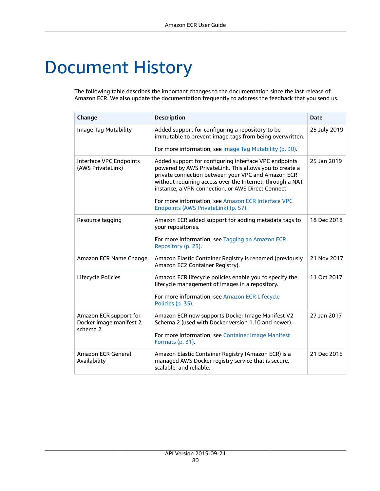# Document History

The following table describes the important changes to the documentation since the last release of Amazon ECR. We also update the documentation frequently to address the feedback that you send us.

| Change                                                         | <b>Description</b>                                                                                                                                                                                                                                                                                                                                                                      | <b>Date</b>  |
|----------------------------------------------------------------|-----------------------------------------------------------------------------------------------------------------------------------------------------------------------------------------------------------------------------------------------------------------------------------------------------------------------------------------------------------------------------------------|--------------|
| Image Tag Mutability                                           | Added support for configuring a repository to be<br>immutable to prevent image tags from being overwritten.                                                                                                                                                                                                                                                                             | 25 July 2019 |
|                                                                | For more information, see Image Tag Mutability (p. 30).                                                                                                                                                                                                                                                                                                                                 |              |
| Interface VPC Endpoints<br>(AWS PrivateLink)                   | Added support for configuring interface VPC endpoints<br>powered by AWS PrivateLink. This allows you to create a<br>private connection between your VPC and Amazon ECR<br>without requiring access over the Internet, through a NAT<br>instance, a VPN connection, or AWS Direct Connect.<br>For more information, see Amazon ECR Interface VPC<br>Endpoints (AWS PrivateLink) (p. 57). | 25 Jan 2019  |
| Resource tagging                                               | Amazon ECR added support for adding metadata tags to<br>your repositories.                                                                                                                                                                                                                                                                                                              | 18 Dec 2018  |
|                                                                | For more information, see Tagging an Amazon ECR<br>Repository (p. 23).                                                                                                                                                                                                                                                                                                                  |              |
| Amazon ECR Name Change                                         | Amazon Elastic Container Registry is renamed (previously<br>Amazon EC2 Container Registry).                                                                                                                                                                                                                                                                                             | 21 Nov 2017  |
| Lifecycle Policies                                             | Amazon ECR lifecycle policies enable you to specify the<br>lifecycle management of images in a repository.                                                                                                                                                                                                                                                                              | 11 Oct 2017  |
|                                                                | For more information, see Amazon ECR Lifecycle<br>Policies (p. 35).                                                                                                                                                                                                                                                                                                                     |              |
| Amazon ECR support for<br>Docker image manifest 2,<br>schema 2 | Amazon ECR now supports Docker Image Manifest V2<br>Schema 2 (used with Docker version 1.10 and newer).                                                                                                                                                                                                                                                                                 | 27 Jan 2017  |
|                                                                | For more information, see Container Image Manifest<br>Formats (p. 31).                                                                                                                                                                                                                                                                                                                  |              |
| Amazon ECR General<br>Availability                             | Amazon Elastic Container Registry (Amazon ECR) is a<br>managed AWS Docker registry service that is secure,<br>scalable, and reliable.                                                                                                                                                                                                                                                   | 21 Dec 2015  |